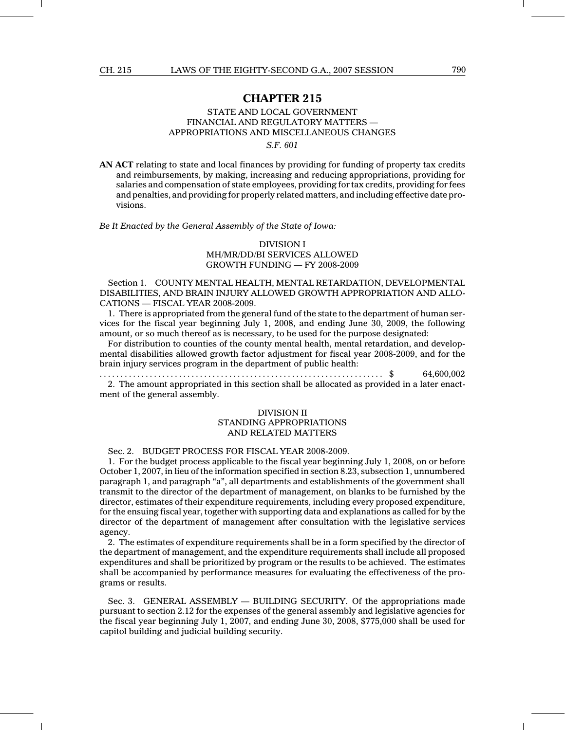## CHAPTER 215

## STATE AND LOCAL GOVERNMENT FINANCIAL AND REGULATORY MATTERS — APPROPRIATIONS AND MISCELLANEOUS CHANGES

S.F. 601

AN ACT relating to state and local finances by providing for funding of property tax credits and reimbursements, by making, increasing and reducing appropriations, providing for salaries and compensation of state employees, providing for tax credits, providing for fees and penalties, and providing for properly related matters, and including effective date provisions.

Be It Enacted by the General Assembly of the State of Iowa:

# DIVISION I

#### MH/MR/DD/BI SERVICES ALLOWED GROWTH FUNDING — FY 2008-2009

Section 1. COUNTY MENTAL HEALTH, MENTAL RETARDATION, DEVELOPMENTAL DISABILITIES, AND BRAIN INJURY ALLOWED GROWTH APPROPRIATION AND ALLO-CATIONS — FISCAL YEAR 2008-2009.

1. There is appropriated from the general fund of the state to the department of human services for the fiscal year beginning July 1, 2008, and ending June 30, 2009, the following amount, or so much thereof as is necessary, to be used for the purpose designated:

For distribution to counties of the county mental health, mental retardation, and developmental disabilities allowed growth factor adjustment for fiscal year 2008-2009, and for the brain injury services program in the department of public health:

...................................... .............................. \$ 64,600,002 2. The amount appropriated in this section shall be allocated as provided in a later enact-

ment of the general assembly.

## DIVISION II STANDING APPROPRIATIONS AND RELATED MATTERS

## Sec. 2. BUDGET PROCESS FOR FISCAL YEAR 2008-2009.

1. For the budget process applicable to the fiscal year beginning July 1, 2008, on or before October 1, 2007, in lieu of the information specified in section 8.23, subsection 1, unnumbered paragraph 1, and paragraph "a", all departments and establishments of the government shall transmit to the director of the department of management, on blanks to be furnished by the director, estimates of their expenditure requirements, including every proposed expenditure, for the ensuing fiscal year, together with supporting data and explanations as called for by the director of the department of management after consultation with the legislative services agency.

2. The estimates of expenditure requirements shall be in a form specified by the director of the department of management, and the expenditure requirements shall include all proposed expenditures and shall be prioritized by program or the results to be achieved. The estimates shall be accompanied by performance measures for evaluating the effectiveness of the programs or results.

Sec. 3. GENERAL ASSEMBLY — BUILDING SECURITY. Of the appropriations made pursuant to section 2.12 for the expenses of the general assembly and legislative agencies for the fiscal year beginning July 1, 2007, and ending June 30, 2008, \$775,000 shall be used for capitol building and judicial building security.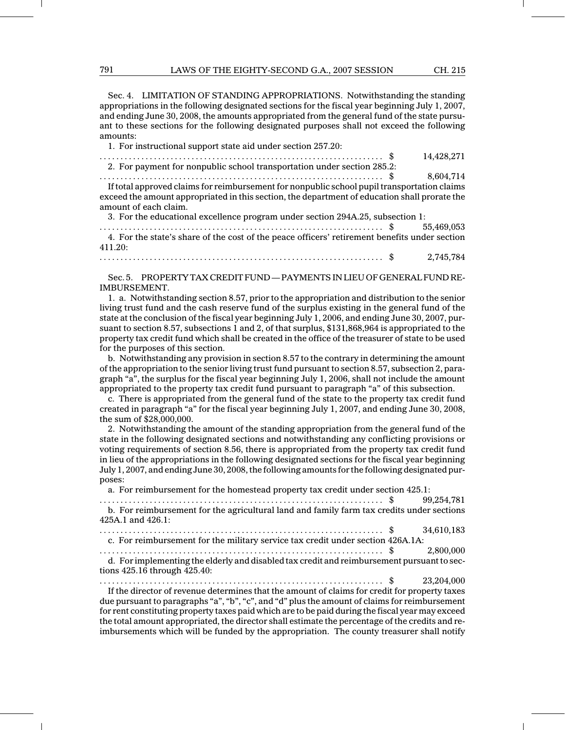Sec. 4. LIMITATION OF STANDING APPROPRIATIONS. Notwithstanding the standing appropriations in the following designated sections for the fiscal year beginning July 1, 2007, and ending June 30, 2008, the amounts appropriated from the general fund of the state pursuant to these sections for the following designated purposes shall not exceed the following amounts:

1. For instructional support state aid under section 257.20:

...................................... .............................. \$ 14,428,271 2. For payment for nonpublic school transportation under section 285.2:

...................................... .............................. \$ 8,604,714 If total approved claims for reimbursement for nonpublic school pupil transportation claims exceed the amount appropriated in this section, the department of education shall prorate the amount of each claim.

3. For the educational excellence program under section 294A.25, subsection 1:

...................................... .............................. \$ 55,469,053 4. For the state's share of the cost of the peace officers' retirement benefits under section 411.20:

...................................... .............................. \$ 2,745,784

Sec. 5. PROPERTY TAX CREDIT FUND— PAYMENTS IN LIEU OF GENERAL FUND RE-IMBURSEMENT.

1. a. Notwithstanding section 8.57, prior to the appropriation and distribution to the senior living trust fund and the cash reserve fund of the surplus existing in the general fund of the state at the conclusion of the fiscal year beginning July 1, 2006, and ending June 30, 2007, pursuant to section 8.57, subsections 1 and 2, of that surplus, \$131,868,964 is appropriated to the property tax credit fund which shall be created in the office of the treasurer of state to be used for the purposes of this section.

b. Notwithstanding any provision in section 8.57 to the contrary in determining the amount of the appropriation to the senior living trust fund pursuant to section 8.57, subsection 2, paragraph "a", the surplus for the fiscal year beginning July 1, 2006, shall not include the amount appropriated to the property tax credit fund pursuant to paragraph "a" of this subsection.

c. There is appropriated from the general fund of the state to the property tax credit fund created in paragraph "a" for the fiscal year beginning July 1, 2007, and ending June 30, 2008, the sum of \$28,000,000.

2. Notwithstanding the amount of the standing appropriation from the general fund of the state in the following designated sections and notwithstanding any conflicting provisions or voting requirements of section 8.56, there is appropriated from the property tax credit fund in lieu of the appropriations in the following designated sections for the fiscal year beginning July 1, 2007, and ending June 30, 2008, the following amounts for the following designated purposes:

a. For reimbursement for the homestead property tax credit under section 425.1:

| b. For reimbursement for the agricultural land and family farm tax credits under sections<br>425A.1 and 426.1:                  |  |
|---------------------------------------------------------------------------------------------------------------------------------|--|
|                                                                                                                                 |  |
| c. For reimbursement for the military service tax credit under section 426A.1A:                                                 |  |
|                                                                                                                                 |  |
| d. For implementing the elderly and disabled tax credit and reimbursement pursuant to sec-<br>tions $425.16$ through $425.40$ : |  |
| . This a diverse of necessary determines that the concurred of claims for an dit for neare outstance                            |  |

If the director of revenue determines that the amount of claims for credit for property taxes due pursuant to paragraphs "a", "b", "c", and "d" plus the amount of claims for reimbursement for rent constituting property taxes paid which are to be paid during the fiscal year may exceed the total amount appropriated, the director shall estimate the percentage of the credits and reimbursements which will be funded by the appropriation. The county treasurer shall notify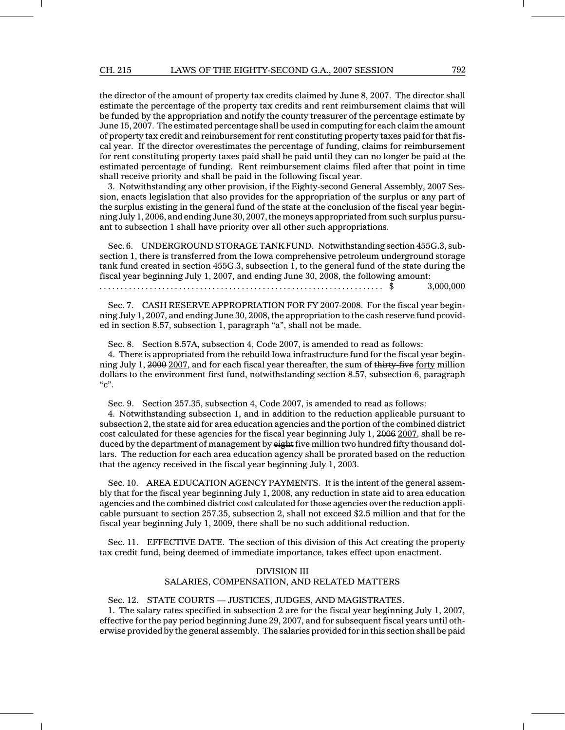#### CH. 215 LAWS OF THE EIGHTY-SECOND G.A., 2007 SESSION 792

the director of the amount of property tax credits claimed by June 8, 2007. The director shall estimate the percentage of the property tax credits and rent reimbursement claims that will be funded by the appropriation and notify the county treasurer of the percentage estimate by June 15, 2007. The estimated percentage shall be used in computing for each claim the amount of property tax credit and reimbursement for rent constituting property taxes paid for that fiscal year. If the director overestimates the percentage of funding, claims for reimbursement for rent constituting property taxes paid shall be paid until they can no longer be paid at the estimated percentage of funding. Rent reimbursement claims filed after that point in time shall receive priority and shall be paid in the following fiscal year.

3. Notwithstanding any other provision, if the Eighty-second General Assembly, 2007 Session, enacts legislation that also provides for the appropriation of the surplus or any part of the surplus existing in the general fund of the state at the conclusion of the fiscal year beginning July 1, 2006, and ending June 30, 2007, the moneys appropriated from such surplus pursuant to subsection 1 shall have priority over all other such appropriations.

Sec. 6. UNDERGROUND STORAGE TANK FUND. Notwithstanding section 455G.3, subsection 1, there is transferred from the Iowa comprehensive petroleum underground storage tank fund created in section 455G.3, subsection 1, to the general fund of the state during the fiscal year beginning July 1, 2007, and ending June 30, 2008, the following amount:

...................................... .............................. \$ 3,000,000

Sec. 7. CASH RESERVE APPROPRIATION FOR FY 2007-2008. For the fiscal year beginning July 1, 2007, and ending June 30, 2008, the appropriation to the cash reserve fund provided in section 8.57, subsection 1, paragraph "a", shall not be made.

Sec. 8. Section 8.57A, subsection 4, Code 2007, is amended to read as follows:

4. There is appropriated from the rebuild Iowa infrastructure fund for the fiscal year beginning July 1, 2000 2007, and for each fiscal year thereafter, the sum of thirty-five forty million dollars to the environment first fund, notwithstanding section 8.57, subsection 6, paragraph  $C$ ".

Sec. 9. Section 257.35, subsection 4, Code 2007, is amended to read as follows:

4. Notwithstanding subsection 1, and in addition to the reduction applicable pursuant to subsection 2, the state aid for area education agencies and the portion of the combined district cost calculated for these agencies for the fiscal year beginning July 1, 2006 2007, shall be reduced by the department of management by eight five million two hundred fifty thousand dollars. The reduction for each area education agency shall be prorated based on the reduction that the agency received in the fiscal year beginning July 1, 2003.

Sec. 10. AREA EDUCATION AGENCY PAYMENTS. It is the intent of the general assembly that for the fiscal year beginning July 1, 2008, any reduction in state aid to area education agencies and the combined district cost calculated for those agencies over the reduction applicable pursuant to section 257.35, subsection 2, shall not exceed \$2.5 million and that for the fiscal year beginning July 1, 2009, there shall be no such additional reduction.

Sec. 11. EFFECTIVE DATE. The section of this division of this Act creating the property tax credit fund, being deemed of immediate importance, takes effect upon enactment.

#### DIVISION III

## SALARIES, COMPENSATION, AND RELATED MATTERS

## Sec. 12. STATE COURTS — JUSTICES, JUDGES, AND MAGISTRATES.

1. The salary rates specified in subsection 2 are for the fiscal year beginning July 1, 2007, effective for the pay period beginning June 29, 2007, and for subsequent fiscal years until otherwise provided by the general assembly. The salaries provided for in this section shall be paid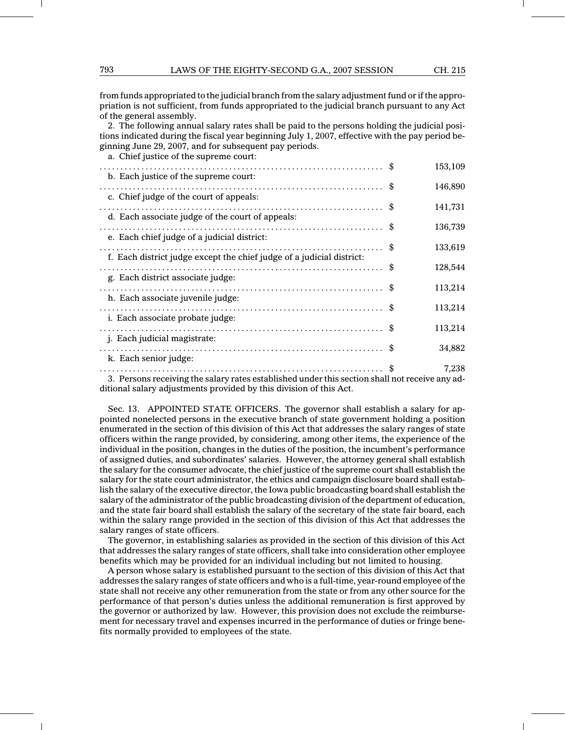from funds appropriated to the judicial branch from the salary adjustment fund or if the appropriation is not sufficient, from funds appropriated to the judicial branch pursuant to any Act of the general assembly.

2. The following annual salary rates shall be paid to the persons holding the judicial positions indicated during the fiscal year beginning July 1, 2007, effective with the pay period beginning June 29, 2007, and for subsequent pay periods.

a. Chief justice of the supreme court:

| b. Each justice of the supreme court:                                 | 153,109 |
|-----------------------------------------------------------------------|---------|
|                                                                       | 146,890 |
| c. Chief judge of the court of appeals:                               | 141,731 |
| d. Each associate judge of the court of appeals:                      |         |
| e. Each chief judge of a judicial district:                           | 136,739 |
| f. Each district judge except the chief judge of a judicial district: | 133,619 |
|                                                                       | 128,544 |
| g. Each district associate judge:                                     | 113,214 |
| h. Each associate juvenile judge:                                     |         |
| <i>i.</i> Each associate probate judge:                               | 113,214 |
| <i>i.</i> Each judicial magistrate:                                   | 113,214 |
|                                                                       | 34,882  |
| k. Each senior judge:                                                 | 7,238   |
|                                                                       |         |

3. Persons receiving the salary rates established under this section shall not receive any additional salary adjustments provided by this division of this Act.

Sec. 13. APPOINTED STATE OFFICERS. The governor shall establish a salary for appointed nonelected persons in the executive branch of state government holding a position enumerated in the section of this division of this Act that addresses the salary ranges of state officers within the range provided, by considering, among other items, the experience of the individual in the position, changes in the duties of the position, the incumbent's performance of assigned duties, and subordinates' salaries. However, the attorney general shall establish the salary for the consumer advocate, the chief justice of the supreme court shall establish the salary for the state court administrator, the ethics and campaign disclosure board shall establish the salary of the executive director, the Iowa public broadcasting board shall establish the salary of the administrator of the public broadcasting division of the department of education, and the state fair board shall establish the salary of the secretary of the state fair board, each within the salary range provided in the section of this division of this Act that addresses the salary ranges of state officers.

The governor, in establishing salaries as provided in the section of this division of this Act that addresses the salary ranges of state officers, shall take into consideration other employee benefits which may be provided for an individual including but not limited to housing.

A person whose salary is established pursuant to the section of this division of this Act that addresses the salary ranges of state officers and who is a full-time, year-round employee of the state shall not receive any other remuneration from the state or from any other source for the performance of that person's duties unless the additional remuneration is first approved by the governor or authorized by law. However, this provision does not exclude the reimbursement for necessary travel and expenses incurred in the performance of duties or fringe benefits normally provided to employees of the state.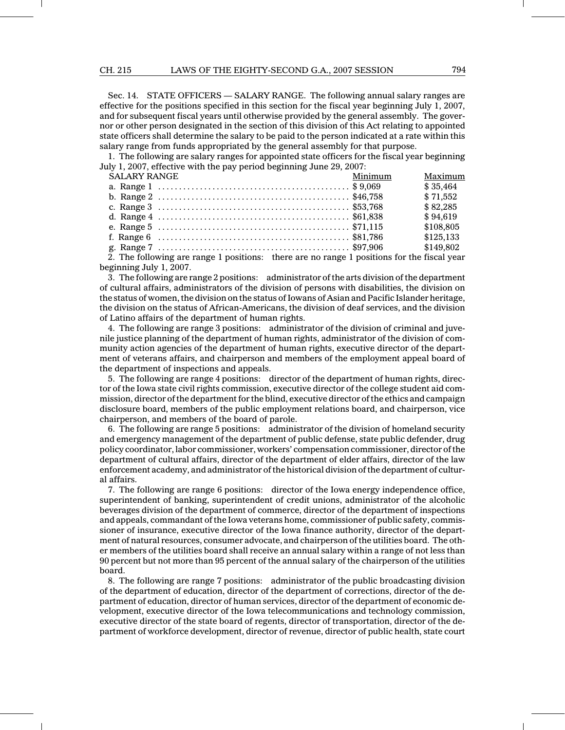Sec. 14. STATE OFFICERS — SALARY RANGE. The following annual salary ranges are effective for the positions specified in this section for the fiscal year beginning July 1, 2007, and for subsequent fiscal years until otherwise provided by the general assembly. The governor or other person designated in the section of this division of this Act relating to appointed state officers shall determine the salary to be paid to the person indicated at a rate within this salary range from funds appropriated by the general assembly for that purpose.

1. The following are salary ranges for appointed state officers for the fiscal year beginning July 1, 2007, effective with the pay period beginning June 29, 2007:

| <b>SALARY RANGE</b>                                                                      | Minimum | Maximum   |
|------------------------------------------------------------------------------------------|---------|-----------|
|                                                                                          |         | \$35.464  |
|                                                                                          |         | \$71,552  |
|                                                                                          |         | \$82,285  |
|                                                                                          |         | \$94,619  |
|                                                                                          |         | \$108,805 |
|                                                                                          |         | \$125,133 |
|                                                                                          |         | \$149,802 |
| 2. The following are reaged positions, there are no reaged positions for the fiscal wear |         |           |

2. The following are range 1 positions: there are no range 1 positions for the fiscal year beginning July 1, 2007.

3. The following are range 2 positions: administrator of the arts division of the department of cultural affairs, administrators of the division of persons with disabilities, the division on the status of women, the division on the status of Iowans of Asian and Pacific Islander heritage, the division on the status of African-Americans, the division of deaf services, and the division of Latino affairs of the department of human rights.

4. The following are range 3 positions: administrator of the division of criminal and juvenile justice planning of the department of human rights, administrator of the division of community action agencies of the department of human rights, executive director of the department of veterans affairs, and chairperson and members of the employment appeal board of the department of inspections and appeals.

5. The following are range 4 positions: director of the department of human rights, director of the Iowa state civil rights commission, executive director of the college student aid commission, director of the department for the blind, executive director of the ethics and campaign disclosure board, members of the public employment relations board, and chairperson, vice chairperson, and members of the board of parole.

6. The following are range 5 positions: administrator of the division of homeland security and emergency management of the department of public defense, state public defender, drug policy coordinator, labor commissioner, workers' compensation commissioner, director of the department of cultural affairs, director of the department of elder affairs, director of the law enforcement academy, and administrator of the historical division of the department of cultural affairs.

7. The following are range 6 positions: director of the Iowa energy independence office, superintendent of banking, superintendent of credit unions, administrator of the alcoholic beverages division of the department of commerce, director of the department of inspections and appeals, commandant of the Iowa veterans home, commissioner of public safety, commissioner of insurance, executive director of the Iowa finance authority, director of the department of natural resources, consumer advocate, and chairperson of the utilities board. The other members of the utilities board shall receive an annual salary within a range of not less than 90 percent but not more than 95 percent of the annual salary of the chairperson of the utilities board.

8. The following are range 7 positions: administrator of the public broadcasting division of the department of education, director of the department of corrections, director of the department of education, director of human services, director of the department of economic development, executive director of the Iowa telecommunications and technology commission, executive director of the state board of regents, director of transportation, director of the department of workforce development, director of revenue, director of public health, state court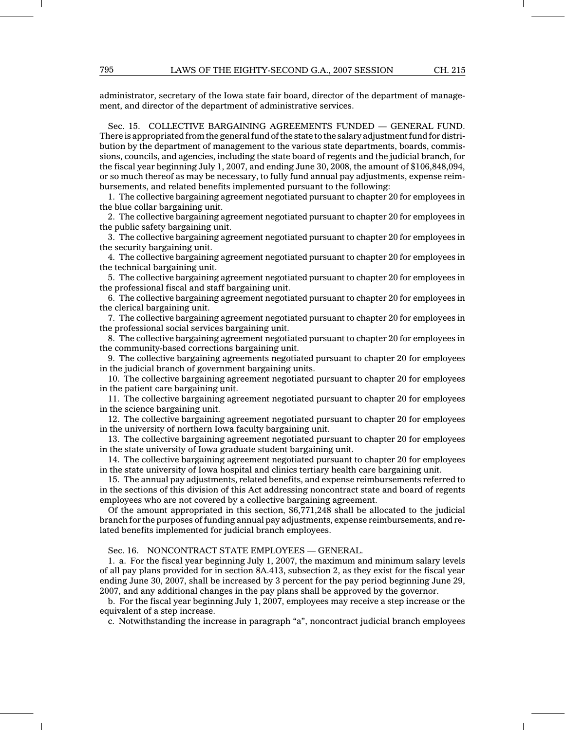administrator, secretary of the Iowa state fair board, director of the department of management, and director of the department of administrative services.

Sec. 15. COLLECTIVE BARGAINING AGREEMENTS FUNDED — GENERAL FUND. There is appropriated from the general fund of the state to the salary adjustment fund for distribution by the department of management to the various state departments, boards, commissions, councils, and agencies, including the state board of regents and the judicial branch, for the fiscal year beginning July 1, 2007, and ending June 30, 2008, the amount of \$106,848,094, or so much thereof as may be necessary, to fully fund annual pay adjustments, expense reimbursements, and related benefits implemented pursuant to the following:

1. The collective bargaining agreement negotiated pursuant to chapter 20 for employees in the blue collar bargaining unit.

2. The collective bargaining agreement negotiated pursuant to chapter 20 for employees in the public safety bargaining unit.

3. The collective bargaining agreement negotiated pursuant to chapter 20 for employees in the security bargaining unit.

4. The collective bargaining agreement negotiated pursuant to chapter 20 for employees in the technical bargaining unit.

5. The collective bargaining agreement negotiated pursuant to chapter 20 for employees in the professional fiscal and staff bargaining unit.

6. The collective bargaining agreement negotiated pursuant to chapter 20 for employees in the clerical bargaining unit.

7. The collective bargaining agreement negotiated pursuant to chapter 20 for employees in the professional social services bargaining unit.

8. The collective bargaining agreement negotiated pursuant to chapter 20 for employees in the community-based corrections bargaining unit.

9. The collective bargaining agreements negotiated pursuant to chapter 20 for employees in the judicial branch of government bargaining units.

10. The collective bargaining agreement negotiated pursuant to chapter 20 for employees in the patient care bargaining unit.

11. The collective bargaining agreement negotiated pursuant to chapter 20 for employees in the science bargaining unit.

12. The collective bargaining agreement negotiated pursuant to chapter 20 for employees in the university of northern Iowa faculty bargaining unit.

13. The collective bargaining agreement negotiated pursuant to chapter 20 for employees in the state university of Iowa graduate student bargaining unit.

14. The collective bargaining agreement negotiated pursuant to chapter 20 for employees in the state university of Iowa hospital and clinics tertiary health care bargaining unit.

15. The annual pay adjustments, related benefits, and expense reimbursements referred to in the sections of this division of this Act addressing noncontract state and board of regents employees who are not covered by a collective bargaining agreement.

Of the amount appropriated in this section, \$6,771,248 shall be allocated to the judicial branch for the purposes of funding annual pay adjustments, expense reimbursements, and related benefits implemented for judicial branch employees.

Sec. 16. NONCONTRACT STATE EMPLOYEES — GENERAL.

1. a. For the fiscal year beginning July 1, 2007, the maximum and minimum salary levels of all pay plans provided for in section 8A.413, subsection 2, as they exist for the fiscal year ending June 30, 2007, shall be increased by 3 percent for the pay period beginning June 29, 2007, and any additional changes in the pay plans shall be approved by the governor.

b. For the fiscal year beginning July 1, 2007, employees may receive a step increase or the equivalent of a step increase.

c. Notwithstanding the increase in paragraph "a", noncontract judicial branch employees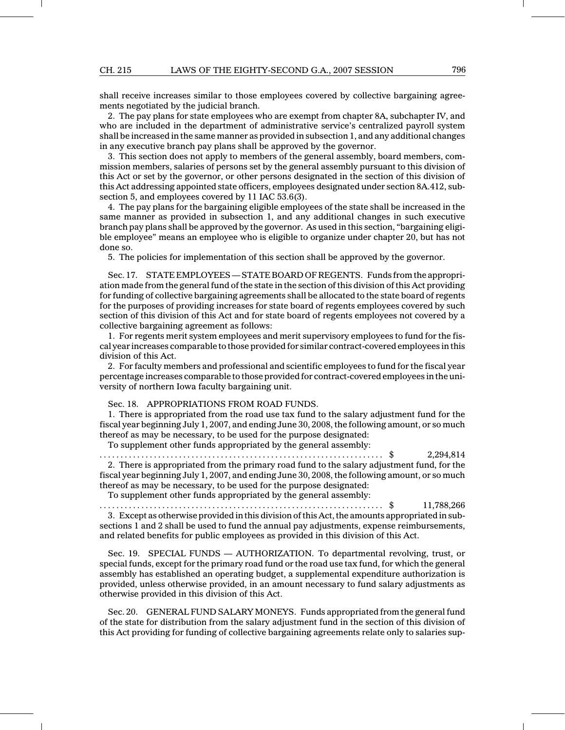shall receive increases similar to those employees covered by collective bargaining agreements negotiated by the judicial branch.

2. The pay plans for state employees who are exempt from chapter 8A, subchapter IV, and who are included in the department of administrative service's centralized payroll system shall be increased in the same manner as provided in subsection 1, and any additional changes in any executive branch pay plans shall be approved by the governor.

3. This section does not apply to members of the general assembly, board members, commission members, salaries of persons set by the general assembly pursuant to this division of this Act or set by the governor, or other persons designated in the section of this division of this Act addressing appointed state officers, employees designated under section 8A.412, subsection 5, and employees covered by 11 IAC 53.6(3).

4. The pay plans for the bargaining eligible employees of the state shall be increased in the same manner as provided in subsection 1, and any additional changes in such executive branch pay plans shall be approved by the governor. As used in this section, "bargaining eligible employee" means an employee who is eligible to organize under chapter 20, but has not done so.

5. The policies for implementation of this section shall be approved by the governor.

Sec. 17. STATE EMPLOYEES— STATE BOARD OF REGENTS. Funds from the appropriation made from the general fund of the state in the section of this division of this Act providing for funding of collective bargaining agreements shall be allocated to the state board of regents for the purposes of providing increases for state board of regents employees covered by such section of this division of this Act and for state board of regents employees not covered by a collective bargaining agreement as follows:

1. For regents merit system employees and merit supervisory employees to fund for the fiscal year increases comparable to those provided for similar contract-covered employees in this division of this Act.

2. For faculty members and professional and scientific employees to fund for the fiscal year percentage increases comparable to those provided for contract-covered employees in the university of northern Iowa faculty bargaining unit.

Sec. 18. APPROPRIATIONS FROM ROAD FUNDS.

1. There is appropriated from the road use tax fund to the salary adjustment fund for the fiscal year beginning July 1, 2007, and ending June 30, 2008, the following amount, or so much thereof as may be necessary, to be used for the purpose designated:

To supplement other funds appropriated by the general assembly:

...................................... .............................. \$ 2,294,814 2. There is appropriated from the primary road fund to the salary adjustment fund, for the fiscal year beginning July 1, 2007, and ending June 30, 2008, the following amount, or so much thereof as may be necessary, to be used for the purpose designated:

To supplement other funds appropriated by the general assembly:

...................................... .............................. \$ 11,788,266

3. Except as otherwise provided in this division of this Act, the amounts appropriated in subsections 1 and 2 shall be used to fund the annual pay adjustments, expense reimbursements, and related benefits for public employees as provided in this division of this Act.

Sec. 19. SPECIAL FUNDS — AUTHORIZATION. To departmental revolving, trust, or special funds, except for the primary road fund or the road use tax fund, for which the general assembly has established an operating budget, a supplemental expenditure authorization is provided, unless otherwise provided, in an amount necessary to fund salary adjustments as otherwise provided in this division of this Act.

Sec. 20. GENERAL FUND SALARY MONEYS. Funds appropriated from the general fund of the state for distribution from the salary adjustment fund in the section of this division of this Act providing for funding of collective bargaining agreements relate only to salaries sup-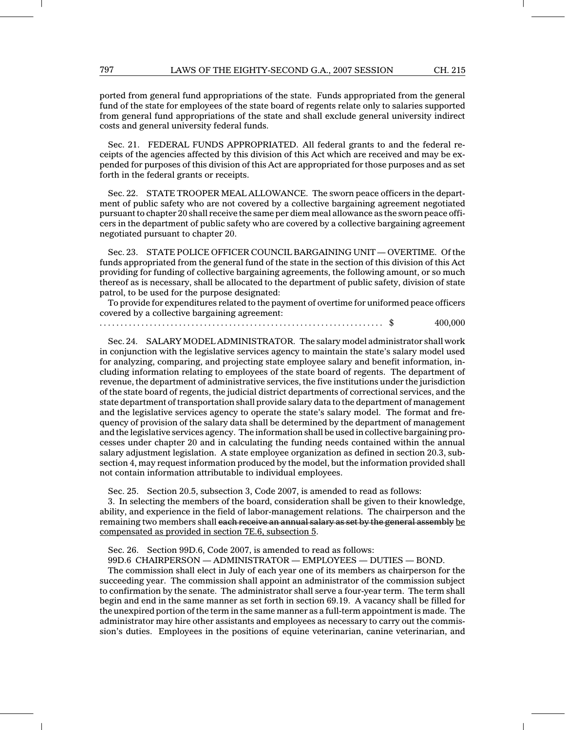ported from general fund appropriations of the state. Funds appropriated from the general fund of the state for employees of the state board of regents relate only to salaries supported from general fund appropriations of the state and shall exclude general university indirect costs and general university federal funds.

Sec. 21. FEDERAL FUNDS APPROPRIATED. All federal grants to and the federal receipts of the agencies affected by this division of this Act which are received and may be expended for purposes of this division of this Act are appropriated for those purposes and as set forth in the federal grants or receipts.

Sec. 22. STATE TROOPER MEAL ALLOWANCE. The sworn peace officers in the department of public safety who are not covered by a collective bargaining agreement negotiated pursuant to chapter 20 shall receive the same per diem meal allowance as the sworn peace officers in the department of public safety who are covered by a collective bargaining agreement negotiated pursuant to chapter 20.

Sec. 23. STATE POLICE OFFICER COUNCIL BARGAINING UNIT — OVERTIME. Of the funds appropriated from the general fund of the state in the section of this division of this Act providing for funding of collective bargaining agreements, the following amount, or so much thereof as is necessary, shall be allocated to the department of public safety, division of state patrol, to be used for the purpose designated:

To provide for expenditures related to the payment of overtime for uniformed peace officers covered by a collective bargaining agreement:

...................................... .............................. \$ 400,000

Sec. 24. SALARY MODEL ADMINISTRATOR. The salary model administrator shall work in conjunction with the legislative services agency to maintain the state's salary model used for analyzing, comparing, and projecting state employee salary and benefit information, including information relating to employees of the state board of regents. The department of revenue, the department of administrative services, the five institutions under the jurisdiction of the state board of regents, the judicial district departments of correctional services, and the state department of transportation shall provide salary data to the department of management and the legislative services agency to operate the state's salary model. The format and frequency of provision of the salary data shall be determined by the department of management and the legislative services agency. The information shall be used in collective bargaining processes under chapter 20 and in calculating the funding needs contained within the annual salary adjustment legislation. A state employee organization as defined in section 20.3, subsection 4, may request information produced by the model, but the information provided shall not contain information attributable to individual employees.

Sec. 25. Section 20.5, subsection 3, Code 2007, is amended to read as follows:

3. In selecting the members of the board, consideration shall be given to their knowledge, ability, and experience in the field of labor-management relations. The chairperson and the remaining two members shall each receive an annual salary as set by the general assembly be compensated as provided in section 7E.6, subsection 5.

Sec. 26. Section 99D.6, Code 2007, is amended to read as follows:

99D.6 CHAIRPERSON — ADMINISTRATOR — EMPLOYEES — DUTIES — BOND.

The commission shall elect in July of each year one of its members as chairperson for the succeeding year. The commission shall appoint an administrator of the commission subject to confirmation by the senate. The administrator shall serve a four-year term. The term shall begin and end in the same manner as set forth in section 69.19. A vacancy shall be filled for the unexpired portion of the term in the same manner as a full-term appointment is made. The administrator may hire other assistants and employees as necessary to carry out the commission's duties. Employees in the positions of equine veterinarian, canine veterinarian, and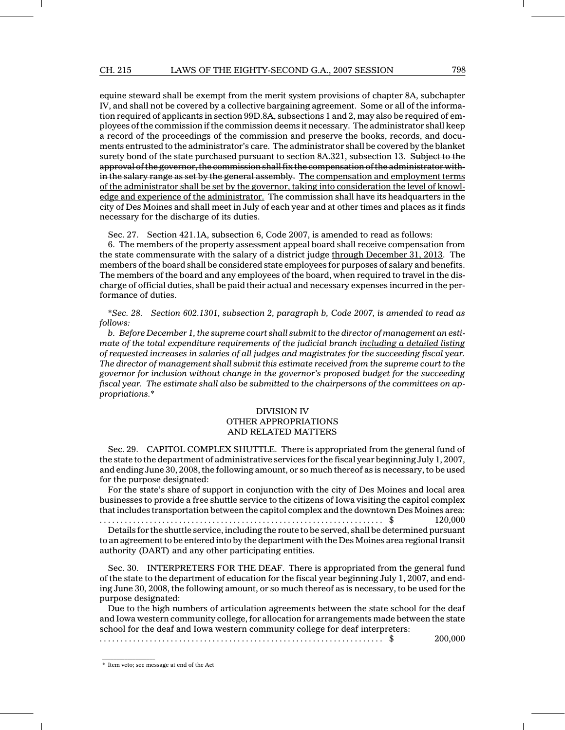equine steward shall be exempt from the merit system provisions of chapter 8A, subchapter IV, and shall not be covered by a collective bargaining agreement. Some or all of the information required of applicants in section 99D.8A, subsections 1 and 2, may also be required of employees of the commission if the commission deems it necessary. The administrator shall keep a record of the proceedings of the commission and preserve the books, records, and documents entrusted to the administrator's care. The administrator shall be covered by the blanket surety bond of the state purchased pursuant to section 8A.321, subsection 13. Subject to the approval of the governor, the commission shall fix the compensation of the administrator within the salary range as set by the general assembly. The compensation and employment terms of the administrator shall be set by the governor, taking into consideration the level of knowledge and experience of the administrator. The commission shall have its headquarters in the city of Des Moines and shall meet in July of each year and at other times and places as it finds necessary for the discharge of its duties.

Sec. 27. Section 421.1A, subsection 6, Code 2007, is amended to read as follows:

6. The members of the property assessment appeal board shall receive compensation from the state commensurate with the salary of a district judge through December 31, 2013. The members of the board shall be considered state employees for purposes of salary and benefits. The members of the board and any employees of the board, when required to travel in the discharge of official duties, shall be paid their actual and necessary expenses incurred in the performance of duties.

\*Sec. 28. Section 602.1301, subsection 2, paragraph b, Code 2007, is amended to read as follows:

b. Before December 1, the supreme court shall submit to the director of management an estimate of the total expenditure requirements of the judicial branch including a detailed listing of requested increases in salaries of all judges and magistrates for the succeeding fiscal year. The director of management shall submit this estimate received from the supreme court to the governor for inclusion without change in the governor's proposed budget for the succeeding fiscal year. The estimate shall also be submitted to the chairpersons of the committees on appropriations.\*

## DIVISION IV OTHER APPROPRIATIONS AND RELATED MATTERS

Sec. 29. CAPITOL COMPLEX SHUTTLE. There is appropriated from the general fund of the state to the department of administrative services for the fiscal year beginning July 1, 2007, and ending June 30, 2008, the following amount, or so much thereof as is necessary, to be used for the purpose designated:

For the state's share of support in conjunction with the city of Des Moines and local area businesses to provide a free shuttle service to the citizens of Iowa visiting the capitol complex that includes transportation between the capitol complex and the downtown Des Moines area:

...................................... .............................. \$ 120,000 Details for the shuttle service, including the route to be served, shall be determined pursuant to an agreement to be entered into by the department with the Des Moines area regional transit authority (DART) and any other participating entities.

Sec. 30. INTERPRETERS FOR THE DEAF. There is appropriated from the general fund of the state to the department of education for the fiscal year beginning July 1, 2007, and ending June 30, 2008, the following amount, or so much thereof as is necessary, to be used for the purpose designated:

Due to the high numbers of articulation agreements between the state school for the deaf and Iowa western community college, for allocation for arrangements made between the state school for the deaf and Iowa western community college for deaf interpreters:

...................................... .............................. \$ 200,000

\* Item veto; see message at end of the Act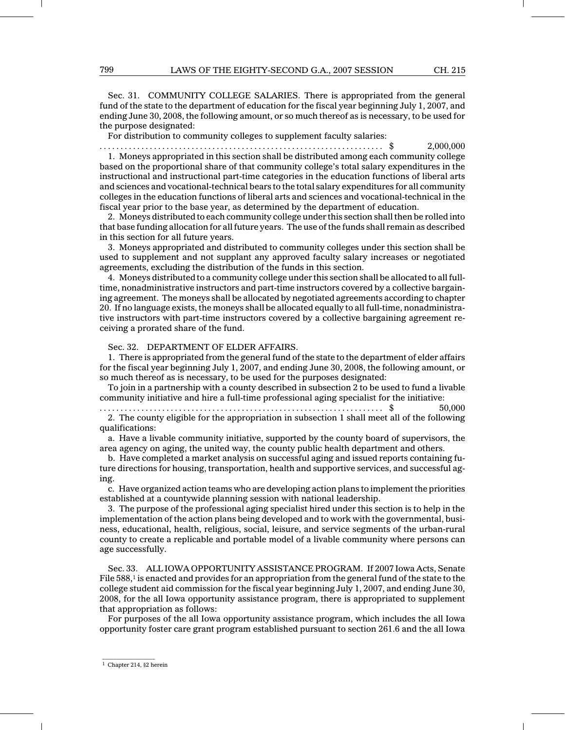Sec. 31. COMMUNITY COLLEGE SALARIES. There is appropriated from the general fund of the state to the department of education for the fiscal year beginning July 1, 2007, and ending June 30, 2008, the following amount, or so much thereof as is necessary, to be used for the purpose designated:

For distribution to community colleges to supplement faculty salaries:

...................................... .............................. \$ 2,000,000 1. Moneys appropriated in this section shall be distributed among each community college based on the proportional share of that community college's total salary expenditures in the instructional and instructional part-time categories in the education functions of liberal arts and sciences and vocational-technical bears to the total salary expenditures for all community colleges in the education functions of liberal arts and sciences and vocational-technical in the fiscal year prior to the base year, as determined by the department of education.

2. Moneys distributed to each community college under this section shall then be rolled into that base funding allocation for all future years. The use of the funds shall remain as described in this section for all future years.

3. Moneys appropriated and distributed to community colleges under this section shall be used to supplement and not supplant any approved faculty salary increases or negotiated agreements, excluding the distribution of the funds in this section.

4. Moneys distributed to a community college under this section shall be allocated to all fulltime, nonadministrative instructors and part-time instructors covered by a collective bargaining agreement. The moneys shall be allocated by negotiated agreements according to chapter 20. If no language exists, the moneys shall be allocated equally to all full-time, nonadministrative instructors with part-time instructors covered by a collective bargaining agreement receiving a prorated share of the fund.

#### Sec. 32. DEPARTMENT OF ELDER AFFAIRS.

1. There is appropriated from the general fund of the state to the department of elder affairs for the fiscal year beginning July 1, 2007, and ending June 30, 2008, the following amount, or so much thereof as is necessary, to be used for the purposes designated:

To join in a partnership with a county described in subsection 2 to be used to fund a livable community initiative and hire a full-time professional aging specialist for the initiative:

...................................... .............................. \$ 50,000 2. The county eligible for the appropriation in subsection 1 shall meet all of the following qualifications:

a. Have a livable community initiative, supported by the county board of supervisors, the area agency on aging, the united way, the county public health department and others.

b. Have completed a market analysis on successful aging and issued reports containing future directions for housing, transportation, health and supportive services, and successful aging.

c. Have organized action teams who are developing action plans to implement the priorities established at a countywide planning session with national leadership.

3. The purpose of the professional aging specialist hired under this section is to help in the implementation of the action plans being developed and to work with the governmental, business, educational, health, religious, social, leisure, and service segments of the urban-rural county to create a replicable and portable model of a livable community where persons can age successfully.

Sec. 33. ALL IOWA OPPORTUNITY ASSISTANCE PROGRAM. If 2007 Iowa Acts, Senate File  $588<sub>1</sub>$  is enacted and provides for an appropriation from the general fund of the state to the college student aid commission for the fiscal year beginning July 1, 2007, and ending June 30, 2008, for the all Iowa opportunity assistance program, there is appropriated to supplement that appropriation as follows:

For purposes of the all Iowa opportunity assistance program, which includes the all Iowa opportunity foster care grant program established pursuant to section 261.6 and the all Iowa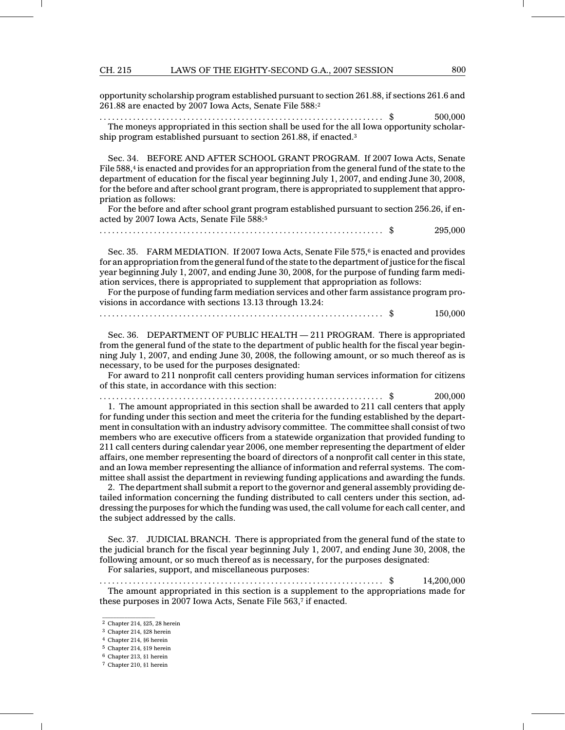#### CH. 215 LAWS OF THE EIGHTY-SECOND G.A., 2007 SESSION 800

opportunity scholarship program established pursuant to section 261.88, if sections 261.6 and 261.88 are enacted by 2007 Iowa Acts, Senate File 588:<sup>2</sup>

...................................... .............................. \$ 500,000 The moneys appropriated in this section shall be used for the all Iowa opportunity scholarship program established pursuant to section 261.88, if enacted.<sup>3</sup>

Sec. 34. BEFORE AND AFTER SCHOOL GRANT PROGRAM. If 2007 Iowa Acts, Senate File 588,<sup>4</sup> is enacted and provides for an appropriation from the general fund of the state to the department of education for the fiscal year beginning July 1, 2007, and ending June 30, 2008, for the before and after school grant program, there is appropriated to supplement that appropriation as follows:

For the before and after school grant program established pursuant to section 256.26, if enacted by 2007 Iowa Acts, Senate File 588:<sup>5</sup>

...................................... .............................. \$ 295,000

Sec. 35. FARM MEDIATION. If 2007 Iowa Acts, Senate File 575,6 is enacted and provides for an appropriation from the general fund of the state to the department of justice for the fiscal year beginning July 1, 2007, and ending June 30, 2008, for the purpose of funding farm mediation services, there is appropriated to supplement that appropriation as follows:

For the purpose of funding farm mediation services and other farm assistance program provisions in accordance with sections 13.13 through 13.24:

Sec. 36. DEPARTMENT OF PUBLIC HEALTH — 211 PROGRAM. There is appropriated from the general fund of the state to the department of public health for the fiscal year beginning July 1, 2007, and ending June 30, 2008, the following amount, or so much thereof as is necessary, to be used for the purposes designated:

For award to 211 nonprofit call centers providing human services information for citizens of this state, in accordance with this section:

...................................... .............................. \$ 200,000

1. The amount appropriated in this section shall be awarded to 211 call centers that apply for funding under this section and meet the criteria for the funding established by the department in consultation with an industry advisory committee. The committee shall consist of two members who are executive officers from a statewide organization that provided funding to 211 call centers during calendar year 2006, one member representing the department of elder affairs, one member representing the board of directors of a nonprofit call center in this state, and an Iowa member representing the alliance of information and referral systems. The committee shall assist the department in reviewing funding applications and awarding the funds.

2. The department shall submit a report to the governor and general assembly providing detailed information concerning the funding distributed to call centers under this section, addressing the purposes for which the funding was used, the call volume for each call center, and the subject addressed by the calls.

Sec. 37. JUDICIAL BRANCH. There is appropriated from the general fund of the state to the judicial branch for the fiscal year beginning July 1, 2007, and ending June 30, 2008, the following amount, or so much thereof as is necessary, for the purposes designated:

For salaries, support, and miscellaneous purposes:

...................................... .............................. \$ 14,200,000 The amount appropriated in this section is a supplement to the appropriations made for these purposes in 2007 Iowa Acts, Senate File 563,<sup>7</sup> if enacted.

<sup>2</sup> Chapter 214, §25, 28 herein

<sup>3</sup> Chapter 214, §28 herein

<sup>4</sup> Chapter 214, §6 herein

<sup>5</sup> Chapter 214, §19 herein

<sup>6</sup> Chapter 213, §1 herein

<sup>7</sup> Chapter 210, §1 herein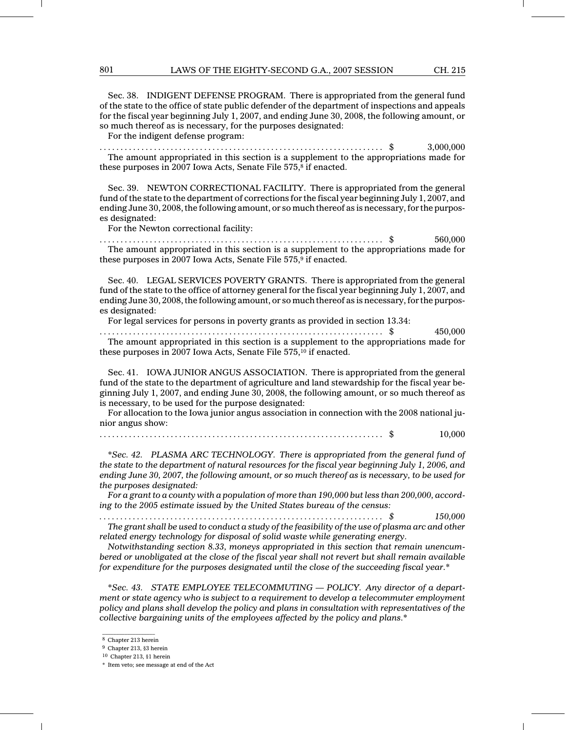Sec. 38. INDIGENT DEFENSE PROGRAM. There is appropriated from the general fund of the state to the office of state public defender of the department of inspections and appeals for the fiscal year beginning July 1, 2007, and ending June 30, 2008, the following amount, or so much thereof as is necessary, for the purposes designated:

For the indigent defense program:

...................................... .............................. \$ 3,000,000 The amount appropriated in this section is a supplement to the appropriations made for these purposes in 2007 Iowa Acts, Senate File 575,<sup>8</sup> if enacted.

Sec. 39. NEWTON CORRECTIONAL FACILITY. There is appropriated from the general fund of the state to the department of corrections for the fiscal year beginning July 1, 2007, and ending June 30, 2008, the following amount, or so much thereof as is necessary, for the purposes designated:

For the Newton correctional facility:

...................................... .............................. \$ 560,000 The amount appropriated in this section is a supplement to the appropriations made for these purposes in 2007 Iowa Acts, Senate File 575,<sup>9</sup> if enacted.

Sec. 40. LEGAL SERVICES POVERTY GRANTS. There is appropriated from the general fund of the state to the office of attorney general for the fiscal year beginning July 1, 2007, and ending June 30, 2008, the following amount, or so much thereof as is necessary, for the purposes designated:

For legal services for persons in poverty grants as provided in section 13.34:

...................................... .............................. \$ 450,000 The amount appropriated in this section is a supplement to the appropriations made for these purposes in 2007 Iowa Acts, Senate File 575,<sup>10</sup> if enacted.

Sec. 41. IOWA JUNIOR ANGUS ASSOCIATION. There is appropriated from the general fund of the state to the department of agriculture and land stewardship for the fiscal year beginning July 1, 2007, and ending June 30, 2008, the following amount, or so much thereof as is necessary, to be used for the purpose designated:

For allocation to the Iowa junior angus association in connection with the 2008 national junior angus show:

\*Sec. 42. PLASMA ARC TECHNOLOGY. There is appropriated from the general fund of the state to the department of natural resources for the fiscal year beginning July 1, 2006, and ending June 30, 2007, the following amount, or so much thereof as is necessary, to be used for the purposes designated:

For a grant to a county with a population of more than 190,000 but less than 200,000, according to the 2005 estimate issued by the United States bureau of the census:

...................................... .............................. \$ 150,000 The grant shall be used to conduct a study of the feasibility of the use of plasma arc and other

related energy technology for disposal of solid waste while generating energy. Notwithstanding section 8.33, moneys appropriated in this section that remain unencum-

bered or unobligated at the close of the fiscal year shall not revert but shall remain available for expenditure for the purposes designated until the close of the succeeding fiscal year.\*

\*Sec. 43. STATE EMPLOYEE TELECOMMUTING — POLICY. Any director of a department or state agency who is subject to a requirement to develop a telecommuter employment policy and plans shall develop the policy and plans in consultation with representatives of the collective bargaining units of the employees affected by the policy and plans.\*

 $\mathcal{L}=\mathcal{L}$  , we can also the set of the set of the set of the set of the set of the set of the set of the set of the set of the set of the set of the set of the set of the set of the set of the set of the set of the s <sup>8</sup> Chapter 213 herein

<sup>9</sup> Chapter 213, §3 herein

<sup>10</sup> Chapter 213, §1 herein

<sup>\*</sup> Item veto; see message at end of the Act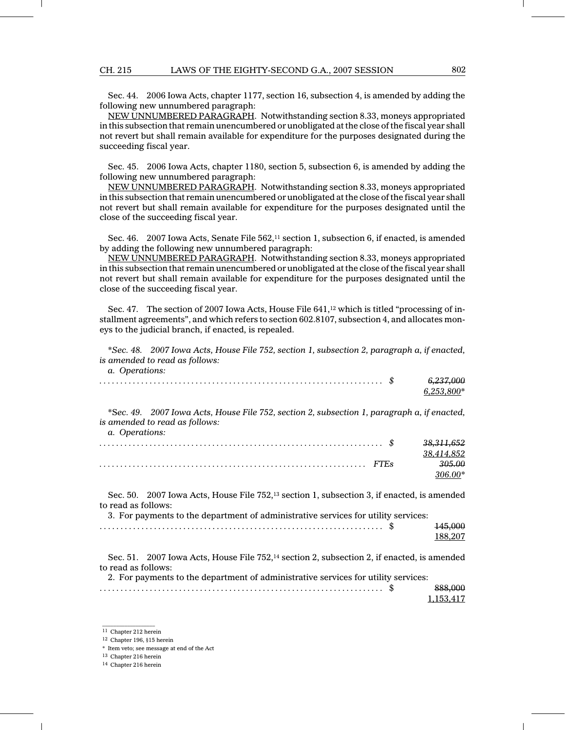Sec. 44. 2006 Iowa Acts, chapter 1177, section 16, subsection 4, is amended by adding the following new unnumbered paragraph:

NEW UNNUMBERED PARAGRAPH. Notwithstanding section 8.33, moneys appropriated in this subsection that remain unencumbered or unobligated at the close of the fiscal year shall not revert but shall remain available for expenditure for the purposes designated during the succeeding fiscal year.

Sec. 45. 2006 Iowa Acts, chapter 1180, section 5, subsection 6, is amended by adding the following new unnumbered paragraph:

NEW UNNUMBERED PARAGRAPH. Notwithstanding section 8.33, moneys appropriated in this subsection that remain unencumbered or unobligated at the close of the fiscal year shall not revert but shall remain available for expenditure for the purposes designated until the close of the succeeding fiscal year.

Sec. 46. 2007 Iowa Acts, Senate File 562,<sup>11</sup> section 1, subsection 6, if enacted, is amended by adding the following new unnumbered paragraph:

NEW UNNUMBERED PARAGRAPH. Notwithstanding section 8.33, moneys appropriated in this subsection that remain unencumbered or unobligated at the close of the fiscal year shall not revert but shall remain available for expenditure for the purposes designated until the close of the succeeding fiscal year.

Sec. 47. The section of 2007 Iowa Acts, House File 641,<sup>12</sup> which is titled "processing of installment agreements", and which refers to section 602.8107, subsection 4, and allocates moneys to the judicial branch, if enacted, is repealed.

\*Sec. 48. 2007 Iowa Acts, House File 752, section 1, subsection 2, paragraph a, if enacted, is amended to read as follows:

| a. Operations:                                                                                                                                                                                                      |                           |
|---------------------------------------------------------------------------------------------------------------------------------------------------------------------------------------------------------------------|---------------------------|
|                                                                                                                                                                                                                     | 6,237,000<br>$6,253,800*$ |
| *Sec. 49. 2007 Iowa Acts, House File 752, section 2, subsection 1, paragraph a, if enacted,<br>is amended to read as follows:<br>a. Operations:                                                                     |                           |
|                                                                                                                                                                                                                     | 38,311,652                |
|                                                                                                                                                                                                                     | 38,414,852                |
|                                                                                                                                                                                                                     | 305.00                    |
|                                                                                                                                                                                                                     | $306.00*$                 |
| Sec. 50. 2007 Iowa Acts, House File 752, <sup>13</sup> section 1, subsection 3, if enacted, is amended<br>to read as follows:<br>3. For payments to the department of administrative services for utility services: |                           |
|                                                                                                                                                                                                                     | 145,000                   |
|                                                                                                                                                                                                                     | 188,207                   |
| Sec. 51. 2007 Iowa Acts, House File 752, <sup>14</sup> section 2, subsection 2, if enacted, is amended<br>to read as follows:                                                                                       |                           |
| 2. For payments to the department of administrative services for utility services:                                                                                                                                  |                           |
|                                                                                                                                                                                                                     | 888,000                   |

| <sup>11</sup> Chapter 212 herein |
|----------------------------------|

<sup>12</sup> Chapter 196, §15 herein

<sup>13</sup> Chapter 216 herein

1,153,417

<sup>\*</sup> Item veto; see message at end of the Act

<sup>14</sup> Chapter 216 herein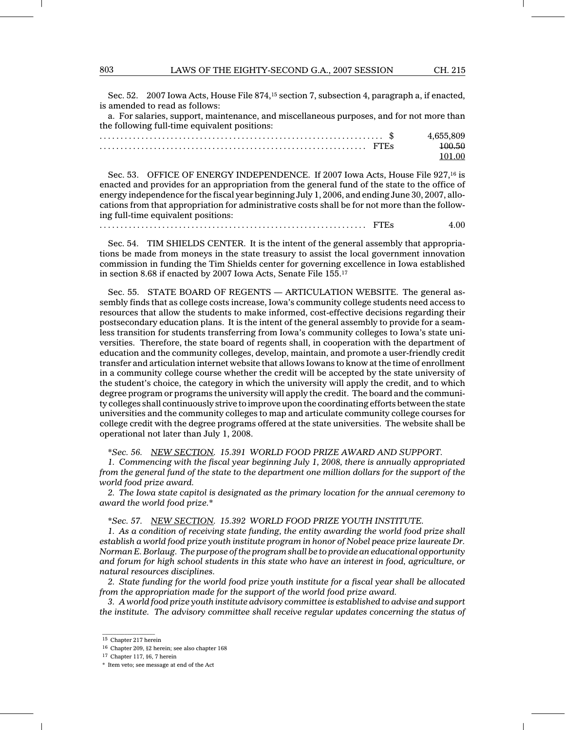Sec. 52. 2007 Iowa Acts, House File 874,<sup>15</sup> section 7, subsection 4, paragraph a, if enacted, is amended to read as follows:

a. For salaries, support, maintenance, and miscellaneous purposes, and for not more than the following full-time equivalent positions:

| 4.655.809 |
|-----------|
| 100.50    |
|           |

Sec. 53. OFFICE OF ENERGY INDEPENDENCE. If 2007 Iowa Acts, House File 927,<sup>16</sup> is enacted and provides for an appropriation from the general fund of the state to the office of energy independence for the fiscal year beginning July 1, 2006, and ending June 30, 2007, allocations from that appropriation for administrative costs shall be for not more than the following full-time equivalent positions:

................................ ................................ FTEs 4.00

Sec. 54. TIM SHIELDS CENTER. It is the intent of the general assembly that appropriations be made from moneys in the state treasury to assist the local government innovation commission in funding the Tim Shields center for governing excellence in Iowa established in section 8.68 if enacted by 2007 Iowa Acts, Senate File 155.<sup>17</sup>

Sec. 55. STATE BOARD OF REGENTS — ARTICULATION WEBSITE. The general assembly finds that as college costs increase, Iowa's community college students need access to resources that allow the students to make informed, cost-effective decisions regarding their postsecondary education plans. It is the intent of the general assembly to provide for a seamless transition for students transferring from Iowa's community colleges to Iowa's state universities. Therefore, the state board of regents shall, in cooperation with the department of education and the community colleges, develop, maintain, and promote a user-friendly credit transfer and articulation internet website that allows Iowans to know at the time of enrollment in a community college course whether the credit will be accepted by the state university of the student's choice, the category in which the university will apply the credit, and to which degree program or programs the university will apply the credit. The board and the community colleges shall continuously strive to improve upon the coordinating efforts between the state universities and the community colleges to map and articulate community college courses for college credit with the degree programs offered at the state universities. The website shall be operational not later than July 1, 2008.

\*Sec. 56. NEW SECTION. 15.391 WORLD FOOD PRIZE AWARD AND SUPPORT.

1. Commencing with the fiscal year beginning July 1, 2008, there is annually appropriated from the general fund of the state to the department one million dollars for the support of the world food prize award.

2. The Iowa state capitol is designated as the primary location for the annual ceremony to award the world food prize.\*

\*Sec. 57. NEW SECTION. 15.392 WORLD FOOD PRIZE YOUTH INSTITUTE.

1. As a condition of receiving state funding, the entity awarding the world food prize shall establish a world food prize youth institute program in honor of Nobel peace prize laureate Dr. Norman E. Borlaug. The purpose of the program shall be to provide an educational opportunity and forum for high school students in this state who have an interest in food, agriculture, or natural resources disciplines.

2. State funding for the world food prize youth institute for a fiscal year shall be allocated from the appropriation made for the support of the world food prize award.

3. A world food prize youth institute advisory committee is established to advise and support the institute. The advisory committee shall receive regular updates concerning the status of

 $\mathcal{L}=\mathcal{L}$  , we can also the set of the set of the set of the set of the set of the set of the set of the set of the set of the set of the set of the set of the set of the set of the set of the set of the set of the s <sup>15</sup> Chapter 217 herein

<sup>16</sup> Chapter 209, §2 herein; see also chapter 168

<sup>17</sup> Chapter 117, §6, 7 herein

<sup>\*</sup> Item veto; see message at end of the Act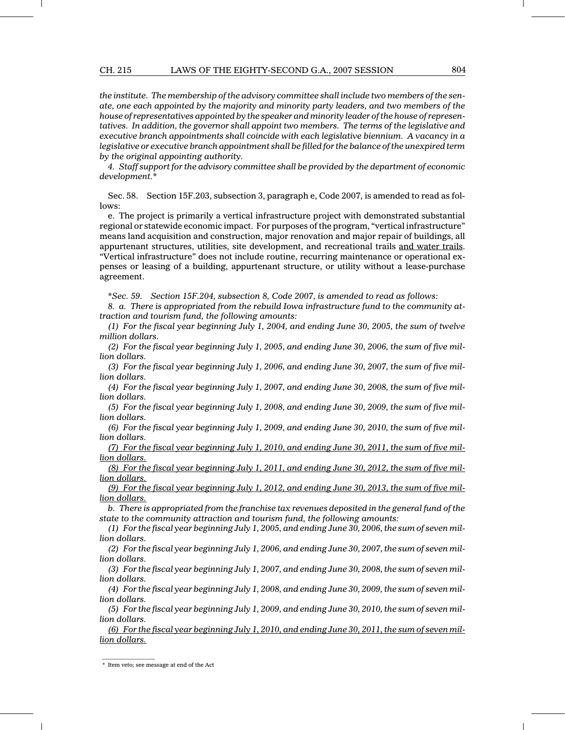#### CH. 215 LAWS OF THE EIGHTY-SECOND G.A., 2007 SESSION 804

the institute. The membership of the advisory committee shall include two members of the senate, one each appointed by the majority and minority party leaders, and two members of the house of representatives appointed by the speaker and minority leader of the house of representatives. In addition, the governor shall appoint two members. The terms of the legislative and executive branch appointments shall coincide with each legislative biennium. A vacancy in a legislative or executive branch appointment shall be filled for the balance of the unexpired term by the original appointing authority.

4. Staff support for the advisory committee shall be provided by the department of economic development.\*

Sec. 58. Section 15F.203, subsection 3, paragraph e, Code 2007, is amended to read as follows:

e. The project is primarily a vertical infrastructure project with demonstrated substantial regional or statewide economic impact. For purposes of the program, "vertical infrastructure" means land acquisition and construction, major renovation and major repair of buildings, all appurtenant structures, utilities, site development, and recreational trails and water trails. "Vertical infrastructure" does not include routine, recurring maintenance or operational expenses or leasing of a building, appurtenant structure, or utility without a lease-purchase agreement.

\*Sec. 59. Section 15F.204, subsection 8, Code 2007, is amended to read as follows:

8. a. There is appropriated from the rebuild Iowa infrastructure fund to the community attraction and tourism fund, the following amounts:

(1) For the fiscal year beginning July 1, 2004, and ending June 30, 2005, the sum of twelve million dollars.

(2) For the fiscal year beginning July 1, 2005, and ending June 30, 2006, the sum of five million dollars.

(3) For the fiscal year beginning July 1, 2006, and ending June 30, 2007, the sum of five million dollars.

(4) For the fiscal year beginning July 1, 2007, and ending June 30, 2008, the sum of five million dollars.

(5) For the fiscal year beginning July 1, 2008, and ending June 30, 2009, the sum of five million dollars.

(6) For the fiscal year beginning July 1, 2009, and ending June 30, 2010, the sum of five million dollars.

(7) For the fiscal year beginning July 1, 2010, and ending June 30, 2011, the sum of five million dollars.

(8) For the fiscal year beginning July 1, 2011, and ending June 30, 2012, the sum of five million dollars.

(9) For the fiscal year beginning July 1, 2012, and ending June 30, 2013, the sum of five million dollars.

b. There is appropriated from the franchise tax revenues deposited in the general fund of the state to the community attraction and tourism fund, the following amounts:

(1) For the fiscal year beginning July 1, 2005, and ending June 30, 2006, the sum of seven million dollars.

(2) For the fiscal year beginning July 1, 2006, and ending June 30, 2007, the sum of seven million dollars.

(3) For the fiscal year beginning July 1, 2007, and ending June 30, 2008, the sum of seven million dollars.

(4) For the fiscal year beginning July 1, 2008, and ending June 30, 2009, the sum of seven million dollars.

(5) For the fiscal year beginning July 1, 2009, and ending June 30, 2010, the sum of seven million dollars.

(6) For the fiscal year beginning July 1, 2010, and ending June 30, 2011, the sum of seven million dollars.

<sup>\*</sup> Item veto; see message at end of the Act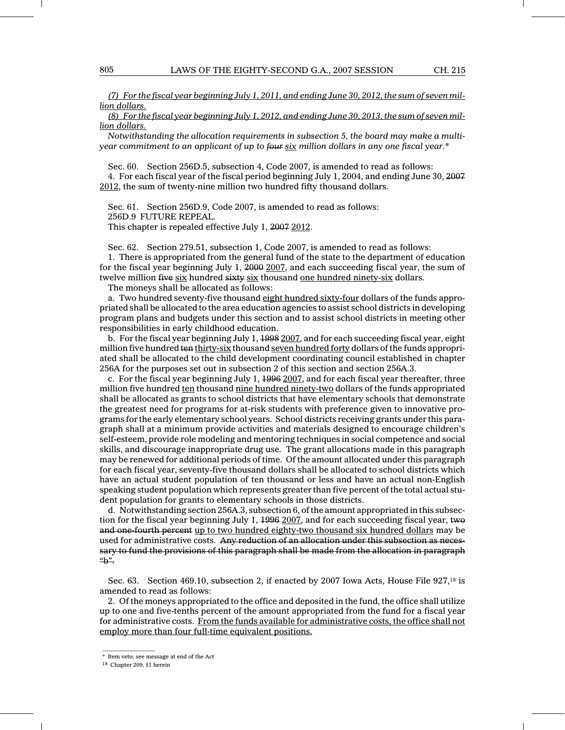(7) For the fiscal year beginning July 1, 2011, and ending June 30, 2012, the sum of seven million dollars.

(8) For the fiscal year beginning July 1, 2012, and ending June 30, 2013, the sum of seven million dollars.

Notwithstanding the allocation requirements in subsection 5, the board may make a multiyear commitment to an applicant of up to four six million dollars in any one fiscal year.\*

Sec. 60. Section 256D.5, subsection 4, Code 2007, is amended to read as follows: 4. For each fiscal year of the fiscal period beginning July 1, 2004, and ending June 30, 2007 2012, the sum of twenty-nine million two hundred fifty thousand dollars.

Sec. 61. Section 256D.9, Code 2007, is amended to read as follows: 256D.9 FUTURE REPEAL. This chapter is repealed effective July 1, 2007 2012.

Sec. 62. Section 279.51, subsection 1, Code 2007, is amended to read as follows:

1. There is appropriated from the general fund of the state to the department of education for the fiscal year beginning July 1, 2000 2007, and each succeeding fiscal year, the sum of twelve million five six hundred sixty six thousand one hundred ninety-six dollars.

The moneys shall be allocated as follows:

a. Two hundred seventy-five thousand eight hundred sixty-four dollars of the funds appropriated shall be allocated to the area education agencies to assist school districts in developing program plans and budgets under this section and to assist school districts in meeting other responsibilities in early childhood education.

b. For the fiscal year beginning July 1, 1998 2007, and for each succeeding fiscal year, eight million five hundred ten thirty-six thousand seven hundred forty dollars of the funds appropriated shall be allocated to the child development coordinating council established in chapter 256A for the purposes set out in subsection 2 of this section and section 256A.3.

c. For the fiscal year beginning July 1, 1996 2007, and for each fiscal year thereafter, three million five hundred ten thousand nine hundred ninety-two dollars of the funds appropriated shall be allocated as grants to school districts that have elementary schools that demonstrate the greatest need for programs for at-risk students with preference given to innovative programs for the early elementary school years. School districts receiving grants under this paragraph shall at a minimum provide activities and materials designed to encourage children's self-esteem, provide role modeling and mentoring techniques in social competence and social skills, and discourage inappropriate drug use. The grant allocations made in this paragraph may be renewed for additional periods of time. Of the amount allocated under this paragraph for each fiscal year, seventy-five thousand dollars shall be allocated to school districts which have an actual student population of ten thousand or less and have an actual non-English speaking student population which represents greater than five percent of the total actual student population for grants to elementary schools in those districts.

d. Notwithstanding section 256A.3, subsection 6, of the amount appropriated in this subsection for the fiscal year beginning July 1, 1996 2007, and for each succeeding fiscal year, two and one-fourth percent up to two hundred eighty-two thousand six hundred dollars may be used for administrative costs. Any reduction of an allocation under this subsection as necessary to fund the provisions of this paragraph shall be made from the allocation in paragraph " $h$ ".

Sec. 63. Section 469.10, subsection 2, if enacted by 2007 Iowa Acts, House File 927,<sup>18</sup> is amended to read as follows:

2. Of the moneys appropriated to the office and deposited in the fund, the office shall utilize up to one and five-tenths percent of the amount appropriated from the fund for a fiscal year for administrative costs. From the funds available for administrative costs, the office shall not employ more than four full-time equivalent positions.

 $\mathcal{L}=\mathcal{L}$  , we can also the set of the set of the set of the set of the set of the set of the set of the set of the set of the set of the set of the set of the set of the set of the set of the set of the set of the s

<sup>\*</sup> Item veto; see message at end of the Act

<sup>18</sup> Chapter 209, §1 herein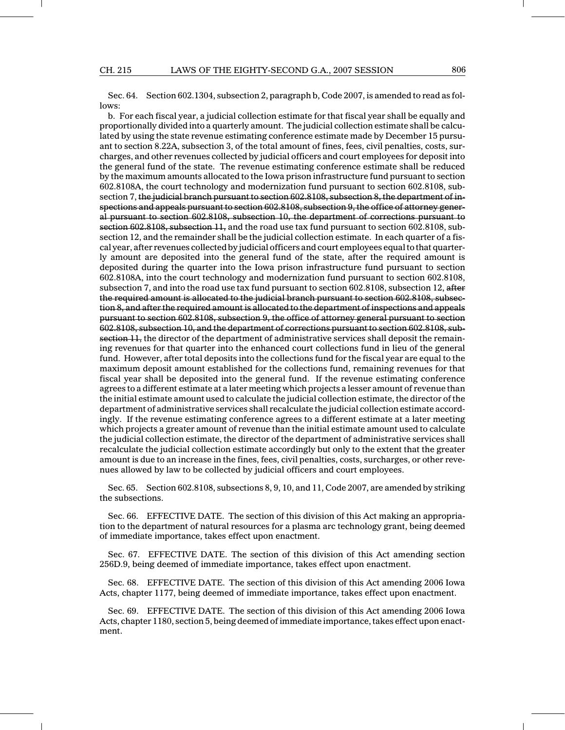Sec. 64. Section 602.1304, subsection 2, paragraph b, Code 2007, is amended to read as follows:

b. For each fiscal year, a judicial collection estimate for that fiscal year shall be equally and proportionally divided into a quarterly amount. The judicial collection estimate shall be calculated by using the state revenue estimating conference estimate made by December 15 pursuant to section 8.22A, subsection 3, of the total amount of fines, fees, civil penalties, costs, surcharges, and other revenues collected by judicial officers and court employees for deposit into the general fund of the state. The revenue estimating conference estimate shall be reduced by the maximum amounts allocated to the Iowa prison infrastructure fund pursuant to section 602.8108A, the court technology and modernization fund pursuant to section 602.8108, subsection 7, the judicial branch pursuant to section 602.8108, subsection 8, the department of inspections and appeals pursuant to section 602.8108, subsection 9, the office of attorney general pursuant to section 602.8108, subsection 10, the department of corrections pursuant to section 602.8108, subsection 11, and the road use tax fund pursuant to section 602.8108, subsection 12, and the remainder shall be the judicial collection estimate. In each quarter of a fiscal year, after revenues collected by judicial officers and court employees equal to that quarterly amount are deposited into the general fund of the state, after the required amount is deposited during the quarter into the Iowa prison infrastructure fund pursuant to section 602.8108A, into the court technology and modernization fund pursuant to section 602.8108, subsection 7, and into the road use tax fund pursuant to section 602.8108, subsection 12, after the required amount is allocated to the judicial branch pursuant to section 602.8108, subsection 8, and after the required amount is allocated to the department of inspections and appeals pursuant to section 602.8108, subsection 9, the office of attorney general pursuant to section 602.8108, subsection 10, and the department of corrections pursuant to section 602.8108, subsection  $11$ , the director of the department of administrative services shall deposit the remaining revenues for that quarter into the enhanced court collections fund in lieu of the general fund. However, after total deposits into the collections fund for the fiscal year are equal to the maximum deposit amount established for the collections fund, remaining revenues for that fiscal year shall be deposited into the general fund. If the revenue estimating conference agrees to a different estimate at a later meeting which projects a lesser amount of revenue than the initial estimate amount used to calculate the judicial collection estimate, the director of the department of administrative services shall recalculate the judicial collection estimate accordingly. If the revenue estimating conference agrees to a different estimate at a later meeting which projects a greater amount of revenue than the initial estimate amount used to calculate the judicial collection estimate, the director of the department of administrative services shall recalculate the judicial collection estimate accordingly but only to the extent that the greater amount is due to an increase in the fines, fees, civil penalties, costs, surcharges, or other revenues allowed by law to be collected by judicial officers and court employees.

Sec. 65. Section 602.8108, subsections 8, 9, 10, and 11, Code 2007, are amended by striking the subsections.

Sec. 66. EFFECTIVE DATE. The section of this division of this Act making an appropriation to the department of natural resources for a plasma arc technology grant, being deemed of immediate importance, takes effect upon enactment.

Sec. 67. EFFECTIVE DATE. The section of this division of this Act amending section 256D.9, being deemed of immediate importance, takes effect upon enactment.

Sec. 68. EFFECTIVE DATE. The section of this division of this Act amending 2006 Iowa Acts, chapter 1177, being deemed of immediate importance, takes effect upon enactment.

Sec. 69. EFFECTIVE DATE. The section of this division of this Act amending 2006 Iowa Acts, chapter 1180, section 5, being deemed of immediate importance, takes effect upon enactment.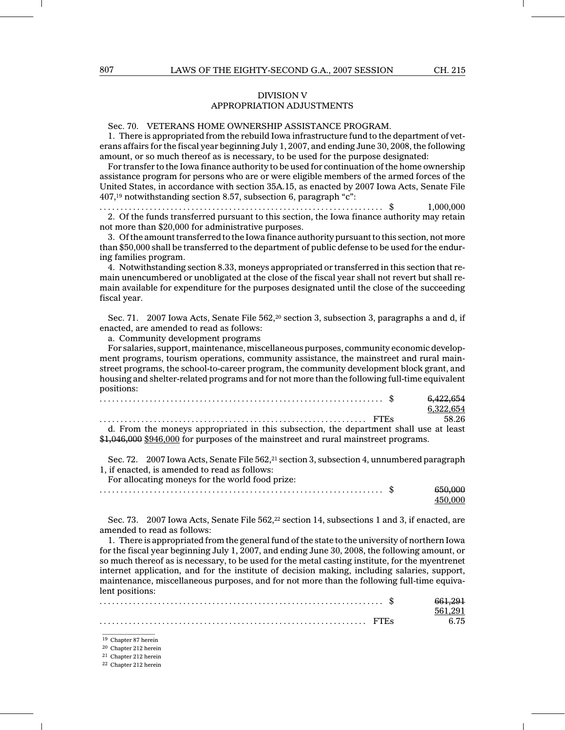## DIVISION V APPROPRIATION ADJUSTMENTS

## Sec. 70. VETERANS HOME OWNERSHIP ASSISTANCE PROGRAM.

1. There is appropriated from the rebuild Iowa infrastructure fund to the department of veterans affairs for the fiscal year beginning July 1, 2007, and ending June 30, 2008, the following amount, or so much thereof as is necessary, to be used for the purpose designated:

For transfer to the Iowa finance authority to be used for continuation of the home ownership assistance program for persons who are or were eligible members of the armed forces of the United States, in accordance with section 35A.15, as enacted by 2007 Iowa Acts, Senate File 407,<sup>19</sup> notwithstanding section 8.57, subsection 6, paragraph "c":

...................................... .............................. \$ 1,000,000 2. Of the funds transferred pursuant to this section, the Iowa finance authority may retain not more than \$20,000 for administrative purposes.

3. Of the amount transferred to the Iowa finance authority pursuant to this section, not more than \$50,000 shall be transferred to the department of public defense to be used for the enduring families program.

4. Notwithstanding section 8.33, moneys appropriated or transferred in this section that remain unencumbered or unobligated at the close of the fiscal year shall not revert but shall remain available for expenditure for the purposes designated until the close of the succeeding fiscal year.

Sec. 71. 2007 Iowa Acts, Senate File 562,<sup>20</sup> section 3, subsection 3, paragraphs a and d, if enacted, are amended to read as follows:

a. Community development programs

For salaries, support, maintenance, miscellaneous purposes, community economic development programs, tourism operations, community assistance, the mainstreet and rural mainstreet programs, the school-to-career program, the community development block grant, and housing and shelter-related programs and for not more than the following full-time equivalent positions:

|  |  |  |  |  |  |  |  |  |  |  |  |  |  |  |  |  |  |  |                                                                                       | 6.422.654 |           |  |
|--|--|--|--|--|--|--|--|--|--|--|--|--|--|--|--|--|--|--|---------------------------------------------------------------------------------------|-----------|-----------|--|
|  |  |  |  |  |  |  |  |  |  |  |  |  |  |  |  |  |  |  |                                                                                       |           | 6.322.654 |  |
|  |  |  |  |  |  |  |  |  |  |  |  |  |  |  |  |  |  |  |                                                                                       | 58.26     |           |  |
|  |  |  |  |  |  |  |  |  |  |  |  |  |  |  |  |  |  |  | d. From the moneys appropriated in this subsection, the department shall use at least |           |           |  |

moneys appropriated in this subsection, the department shall use at least \$1,046,000 \$946,000 for purposes of the mainstreet and rural mainstreet programs.

Sec. 72. 2007 Iowa Acts, Senate File 562,<sup>21</sup> section 3, subsection 4, unnumbered paragraph 1, if enacted, is amended to read as follows:

For allocating moneys for the world food prize:

Sec. 73. 2007 Iowa Acts, Senate File 562,<sup>22</sup> section 14, subsections 1 and 3, if enacted, are amended to read as follows:

1. There is appropriated from the general fund of the state to the university of northern Iowa for the fiscal year beginning July 1, 2007, and ending June 30, 2008, the following amount, or so much thereof as is necessary, to be used for the metal casting institute, for the myentrenet internet application, and for the institute of decision making, including salaries, support, maintenance, miscellaneous purposes, and for not more than the following full-time equivalent positions:

 $\mathcal{L}=\mathcal{L}$  , we can also the set of the set of the set of the set of the set of the set of the set of the set of the set of the set of the set of the set of the set of the set of the set of the set of the set of the s <sup>19</sup> Chapter 87 herein

<sup>20</sup> Chapter 212 herein

<sup>21</sup> Chapter 212 herein

<sup>22</sup> Chapter 212 herein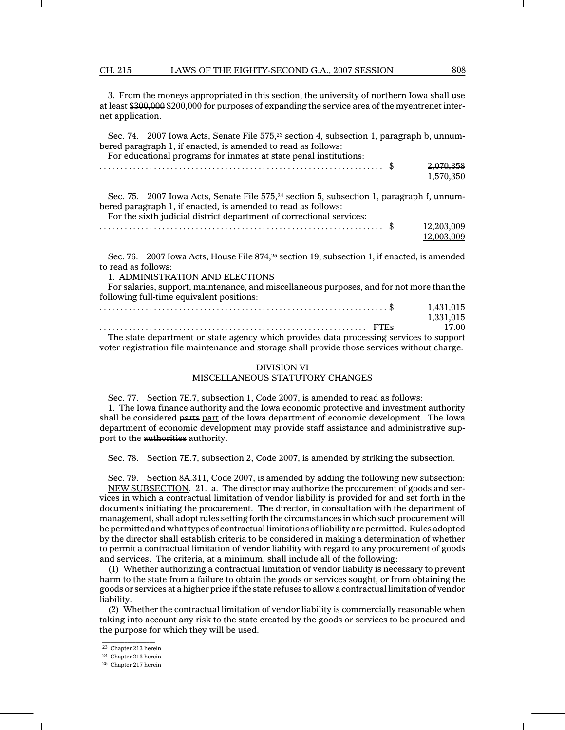CH. 215 LAWS OF THE EIGHTY-SECOND G.A., 2007 SESSION 808

3. From the moneys appropriated in this section, the university of northern Iowa shall use at least \$300,000 \$200,000 for purposes of expanding the service area of the myentrenet internet application.

Sec. 74. 2007 Iowa Acts, Senate File 575,<sup>23</sup> section 4, subsection 1, paragraph b, unnumbered paragraph 1, if enacted, is amended to read as follows: For educational programs for inmates at state penal institutions:

| For educational programs for immates at state penal institutions. |           |
|-------------------------------------------------------------------|-----------|
|                                                                   | 2,070,358 |

Sec. 75. 2007 Iowa Acts, Senate File 575,<sup>24</sup> section 5, subsection 1, paragraph f, unnumbered paragraph 1, if enacted, is amended to read as follows: For the sixth judicial district department of correctional services:

| . | ഄ | 12 203 009<br>$+4,400,000$ |
|---|---|----------------------------|
|   |   | 12 003 009                 |

Sec. 76. 2007 Iowa Acts, House File 874,<sup>25</sup> section 19, subsection 1, if enacted, is amended to read as follows:

1. ADMINISTRATION AND ELECTIONS

For salaries, support, maintenance, and miscellaneous purposes, and for not more than the following full-time equivalent positions:

|                                                                                         | 1,431,015 |
|-----------------------------------------------------------------------------------------|-----------|
|                                                                                         | 1.331.015 |
|                                                                                         | 17.00     |
| The state department or state agency which provides data processing services to support |           |

The state department or state agency which provides data processing services to support voter registration file maintenance and storage shall provide those services without charge.

## DIVISION VI MISCELLANEOUS STATUTORY CHANGES

Sec. 77. Section 7E.7, subsection 1, Code 2007, is amended to read as follows:

1. The Iowa finance authority and the Iowa economic protective and investment authority shall be considered parts part of the Iowa department of economic development. The Iowa department of economic development may provide staff assistance and administrative support to the authorities authority.

Sec. 78. Section 7E.7, subsection 2, Code 2007, is amended by striking the subsection.

Sec. 79. Section 8A.311, Code 2007, is amended by adding the following new subsection: NEW SUBSECTION. 21. a. The director may authorize the procurement of goods and services in which a contractual limitation of vendor liability is provided for and set forth in the documents initiating the procurement. The director, in consultation with the department of management, shall adopt rules setting forth the circumstances in which such procurement will be permitted and what types of contractual limitations of liability are permitted. Rules adopted by the director shall establish criteria to be considered in making a determination of whether to permit a contractual limitation of vendor liability with regard to any procurement of goods and services. The criteria, at a minimum, shall include all of the following:

(1) Whether authorizing a contractual limitation of vendor liability is necessary to prevent harm to the state from a failure to obtain the goods or services sought, or from obtaining the goods or services at a higher price if the state refuses to allow a contractual limitation of vendor liability.

(2) Whether the contractual limitation of vendor liability is commercially reasonable when taking into account any risk to the state created by the goods or services to be procured and the purpose for which they will be used.

1,570,350

 $\mathcal{L}=\mathcal{L}$  , we can also the set of the set of the set of the set of the set of the set of the set of the set of the set of the set of the set of the set of the set of the set of the set of the set of the set of the s <sup>23</sup> Chapter 213 herein

<sup>24</sup> Chapter 213 herein

<sup>25</sup> Chapter 217 herein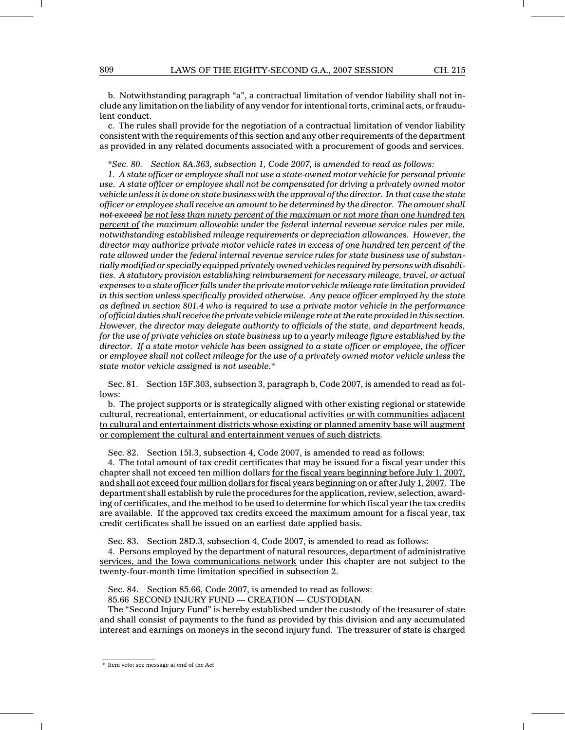b. Notwithstanding paragraph "a", a contractual limitation of vendor liability shall not include any limitation on the liability of any vendor for intentional torts, criminal acts, or fraudulent conduct.

c. The rules shall provide for the negotiation of a contractual limitation of vendor liability consistent with the requirements of this section and any other requirements of the department as provided in any related documents associated with a procurement of goods and services.

\*Sec. 80. Section 8A.363, subsection 1, Code 2007, is amended to read as follows:

1. A state officer or employee shall not use a state-owned motor vehicle for personal private use. A state officer or employee shall not be compensated for driving a privately owned motor vehicle unless it is done on state business with the approval of the director. In that case the state officer or employee shall receive an amount to be determined by the director. The amount shall not exceed be not less than ninety percent of the maximum or not more than one hundred ten percent of the maximum allowable under the federal internal revenue service rules per mile, notwithstanding established mileage requirements or depreciation allowances. However, the director may authorize private motor vehicle rates in excess of <u>one hundred ten percent of</u> the rate allowed under the federal internal revenue service rules for state business use of substantially modified or specially equipped privately owned vehicles required by persons with disabilities. A statutory provision establishing reimbursement for necessary mileage, travel, or actual expenses to a state officer falls under the private motor vehicle mileage rate limitation provided in this section unless specifically provided otherwise. Any peace officer employed by the state as defined in section 801.4 who is required to use a private motor vehicle in the performance of official duties shall receive the private vehicle mileage rate at the rate provided in this section. However, the director may delegate authority to officials of the state, and department heads, for the use of private vehicles on state business up to a yearly mileage figure established by the director. If a state motor vehicle has been assigned to a state officer or employee, the officer or employee shall not collect mileage for the use of a privately owned motor vehicle unless the state motor vehicle assigned is not useable.\*

Sec. 81. Section 15F.303, subsection 3, paragraph b, Code 2007, is amended to read as follows:

b. The project supports or is strategically aligned with other existing regional or statewide cultural, recreational, entertainment, or educational activities or with communities adjacent to cultural and entertainment districts whose existing or planned amenity base will augment or complement the cultural and entertainment venues of such districts.

Sec. 82. Section 15I.3, subsection 4, Code 2007, is amended to read as follows:

4. The total amount of tax credit certificates that may be issued for a fiscal year under this chapter shall not exceed ten million dollars for the fiscal years beginning before July 1, 2007, and shall not exceed four million dollars for fiscal years beginning on or after July 1, 2007. The department shall establish by rule the procedures for the application, review, selection, awarding of certificates, and the method to be used to determine for which fiscal year the tax credits are available. If the approved tax credits exceed the maximum amount for a fiscal year, tax credit certificates shall be issued on an earliest date applied basis.

Sec. 83. Section 28D.3, subsection 4, Code 2007, is amended to read as follows:

4. Persons employed by the department of natural resources, department of administrative services, and the Iowa communications network under this chapter are not subject to the twenty-four-month time limitation specified in subsection 2.

Sec. 84. Section 85.66, Code 2007, is amended to read as follows:

85.66 SECOND INJURY FUND — CREATION — CUSTODIAN.

The "Second Injury Fund" is hereby established under the custody of the treasurer of state and shall consist of payments to the fund as provided by this division and any accumulated interest and earnings on moneys in the second injury fund. The treasurer of state is charged

\* Item veto; see message at end of the Act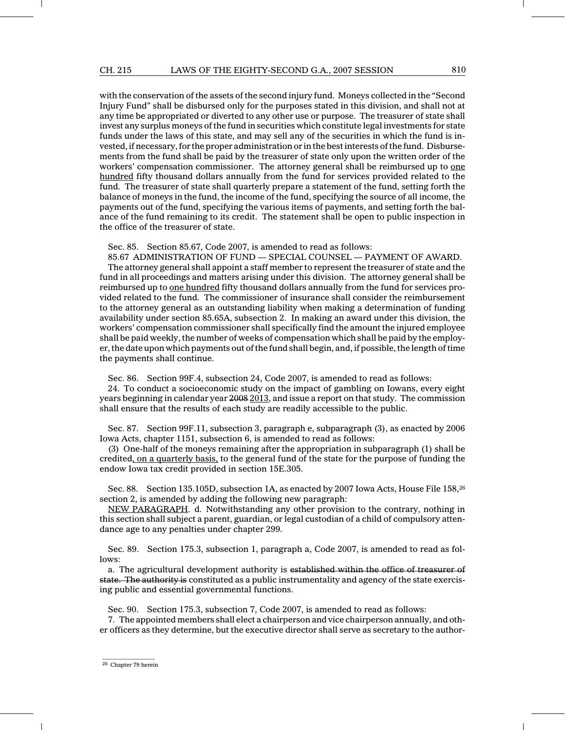with the conservation of the assets of the second injury fund. Moneys collected in the "Second Injury Fund" shall be disbursed only for the purposes stated in this division, and shall not at any time be appropriated or diverted to any other use or purpose. The treasurer of state shall invest any surplus moneys of the fund in securities which constitute legal investments for state funds under the laws of this state, and may sell any of the securities in which the fund is invested, if necessary, for the proper administration or in the best interests of the fund. Disbursements from the fund shall be paid by the treasurer of state only upon the written order of the workers' compensation commissioner. The attorney general shall be reimbursed up to one hundred fifty thousand dollars annually from the fund for services provided related to the fund. The treasurer of state shall quarterly prepare a statement of the fund, setting forth the balance of moneys in the fund, the income of the fund, specifying the source of all income, the payments out of the fund, specifying the various items of payments, and setting forth the balance of the fund remaining to its credit. The statement shall be open to public inspection in the office of the treasurer of state.

Sec. 85. Section 85.67, Code 2007, is amended to read as follows:

85.67 ADMINISTRATION OF FUND — SPECIAL COUNSEL — PAYMENT OF AWARD. The attorney general shall appoint a staff member to represent the treasurer of state and the fund in all proceedings and matters arising under this division. The attorney general shall be reimbursed up to one hundred fifty thousand dollars annually from the fund for services provided related to the fund. The commissioner of insurance shall consider the reimbursement to the attorney general as an outstanding liability when making a determination of funding availability under section 85.65A, subsection 2. In making an award under this division, the workers' compensation commissioner shall specifically find the amount the injured employee shall be paid weekly, the number of weeks of compensation which shall be paid by the employer, the date upon which payments out of the fund shall begin, and, if possible, the length of time the payments shall continue.

Sec. 86. Section 99F.4, subsection 24, Code 2007, is amended to read as follows:

24. To conduct a socioeconomic study on the impact of gambling on Iowans, every eight years beginning in calendar year 2008 2013, and issue a report on that study. The commission shall ensure that the results of each study are readily accessible to the public.

Sec. 87. Section 99F.11, subsection 3, paragraph e, subparagraph (3), as enacted by 2006 Iowa Acts, chapter 1151, subsection 6, is amended to read as follows:

(3) One-half of the moneys remaining after the appropriation in subparagraph (1) shall be credited, on a quarterly basis, to the general fund of the state for the purpose of funding the endow Iowa tax credit provided in section 15E.305.

Sec. 88. Section 135.105D, subsection 1A, as enacted by 2007 Iowa Acts, House File 158, <sup>26</sup> section 2, is amended by adding the following new paragraph:

NEW PARAGRAPH. d. Notwithstanding any other provision to the contrary, nothing in this section shall subject a parent, guardian, or legal custodian of a child of compulsory attendance age to any penalties under chapter 299.

Sec. 89. Section 175.3, subsection 1, paragraph a, Code 2007, is amended to read as follows:

a. The agricultural development authority is established within the office of treasurer of state. The authority is constituted as a public instrumentality and agency of the state exercising public and essential governmental functions.

Sec. 90. Section 175.3, subsection 7, Code 2007, is amended to read as follows:

7. The appointed members shall elect a chairperson and vice chairperson annually, and other officers as they determine, but the executive director shall serve as secretary to the author-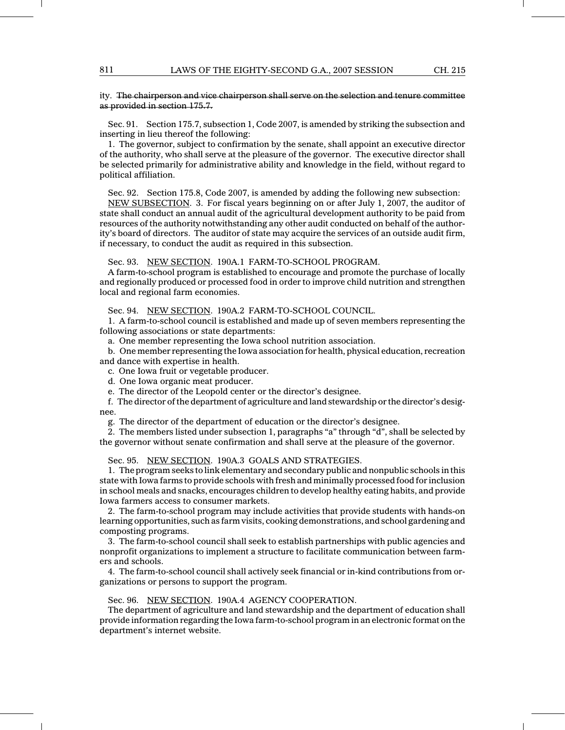### ity. The chairperson and vice chairperson shall serve on the selection and tenure committee as provided in section 175.7.

Sec. 91. Section 175.7, subsection 1, Code 2007, is amended by striking the subsection and inserting in lieu thereof the following:

1. The governor, subject to confirmation by the senate, shall appoint an executive director of the authority, who shall serve at the pleasure of the governor. The executive director shall be selected primarily for administrative ability and knowledge in the field, without regard to political affiliation.

Sec. 92. Section 175.8, Code 2007, is amended by adding the following new subsection:

NEW SUBSECTION. 3. For fiscal years beginning on or after July 1, 2007, the auditor of state shall conduct an annual audit of the agricultural development authority to be paid from resources of the authority notwithstanding any other audit conducted on behalf of the authority's board of directors. The auditor of state may acquire the services of an outside audit firm, if necessary, to conduct the audit as required in this subsection.

Sec. 93. NEW SECTION. 190A.1 FARM-TO-SCHOOL PROGRAM.

A farm-to-school program is established to encourage and promote the purchase of locally and regionally produced or processed food in order to improve child nutrition and strengthen local and regional farm economies.

Sec. 94. NEW SECTION. 190A.2 FARM-TO-SCHOOL COUNCIL.

1. A farm-to-school council is established and made up of seven members representing the following associations or state departments:

a. One member representing the Iowa school nutrition association.

b. One member representing the Iowa association for health, physical education, recreation and dance with expertise in health.

c. One Iowa fruit or vegetable producer.

d. One Iowa organic meat producer.

e. The director of the Leopold center or the director's designee.

f. The director of the department of agriculture and land stewardship or the director's designee.

g. The director of the department of education or the director's designee.

2. The members listed under subsection 1, paragraphs "a" through "d", shall be selected by the governor without senate confirmation and shall serve at the pleasure of the governor.

Sec. 95. NEW SECTION. 190A.3 GOALS AND STRATEGIES.

1. The program seeks to link elementary and secondary public and nonpublic schools in this state with Iowa farms to provide schools with fresh and minimally processed food for inclusion in school meals and snacks, encourages children to develop healthy eating habits, and provide Iowa farmers access to consumer markets.

2. The farm-to-school program may include activities that provide students with hands-on learning opportunities, such as farm visits, cooking demonstrations, and school gardening and composting programs.

3. The farm-to-school council shall seek to establish partnerships with public agencies and nonprofit organizations to implement a structure to facilitate communication between farmers and schools.

4. The farm-to-school council shall actively seek financial or in-kind contributions from organizations or persons to support the program.

Sec. 96. NEW SECTION. 190A.4 AGENCY COOPERATION.

The department of agriculture and land stewardship and the department of education shall provide information regarding the Iowa farm-to-school program in an electronic format on the department's internet website.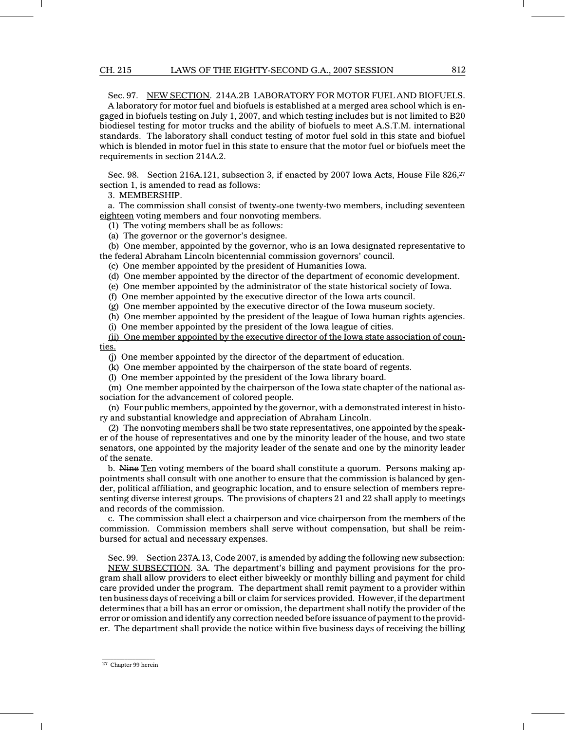#### CH. 215 LAWS OF THE EIGHTY-SECOND G.A., 2007 SESSION 812

Sec. 97. NEW SECTION. 214A.2B LABORATORY FOR MOTOR FUEL AND BIOFUELS. A laboratory for motor fuel and biofuels is established at a merged area school which is engaged in biofuels testing on July 1, 2007, and which testing includes but is not limited to B20 biodiesel testing for motor trucks and the ability of biofuels to meet A.S.T.M. international standards. The laboratory shall conduct testing of motor fuel sold in this state and biofuel which is blended in motor fuel in this state to ensure that the motor fuel or biofuels meet the requirements in section 214A.2.

Sec. 98. Section 216A.121, subsection 3, if enacted by 2007 Iowa Acts, House File 826, 27 section 1, is amended to read as follows:

3. MEMBERSHIP.

a. The commission shall consist of twenty-one twenty-two members, including seventeen eighteen voting members and four nonvoting members.

(1) The voting members shall be as follows:

(a) The governor or the governor's designee.

(b) One member, appointed by the governor, who is an Iowa designated representative to the federal Abraham Lincoln bicentennial commission governors' council.

(c) One member appointed by the president of Humanities Iowa.

(d) One member appointed by the director of the department of economic development.

(e) One member appointed by the administrator of the state historical society of Iowa.

(f) One member appointed by the executive director of the Iowa arts council.

(g) One member appointed by the executive director of the Iowa museum society.

(h) One member appointed by the president of the league of Iowa human rights agencies.

(i) One member appointed by the president of the Iowa league of cities.

(ii) One member appointed by the executive director of the Iowa state association of counties.

(j) One member appointed by the director of the department of education.

(k) One member appointed by the chairperson of the state board of regents.

(l) One member appointed by the president of the Iowa library board.

(m) One member appointed by the chairperson of the Iowa state chapter of the national association for the advancement of colored people.

(n) Four public members, appointed by the governor, with a demonstrated interest in history and substantial knowledge and appreciation of Abraham Lincoln.

(2) The nonvoting members shall be two state representatives, one appointed by the speaker of the house of representatives and one by the minority leader of the house, and two state senators, one appointed by the majority leader of the senate and one by the minority leader of the senate.

b. Nine Ten voting members of the board shall constitute a quorum. Persons making appointments shall consult with one another to ensure that the commission is balanced by gender, political affiliation, and geographic location, and to ensure selection of members representing diverse interest groups. The provisions of chapters 21 and 22 shall apply to meetings and records of the commission.

c. The commission shall elect a chairperson and vice chairperson from the members of the commission. Commission members shall serve without compensation, but shall be reimbursed for actual and necessary expenses.

Sec. 99. Section 237A.13, Code 2007, is amended by adding the following new subsection: NEW SUBSECTION. 3A. The department's billing and payment provisions for the program shall allow providers to elect either biweekly or monthly billing and payment for child care provided under the program. The department shall remit payment to a provider within ten business days of receiving a bill or claim for services provided. However, if the department determines that a bill has an error or omission, the department shall notify the provider of the error or omission and identify any correction needed before issuance of payment to the provider. The department shall provide the notice within five business days of receiving the billing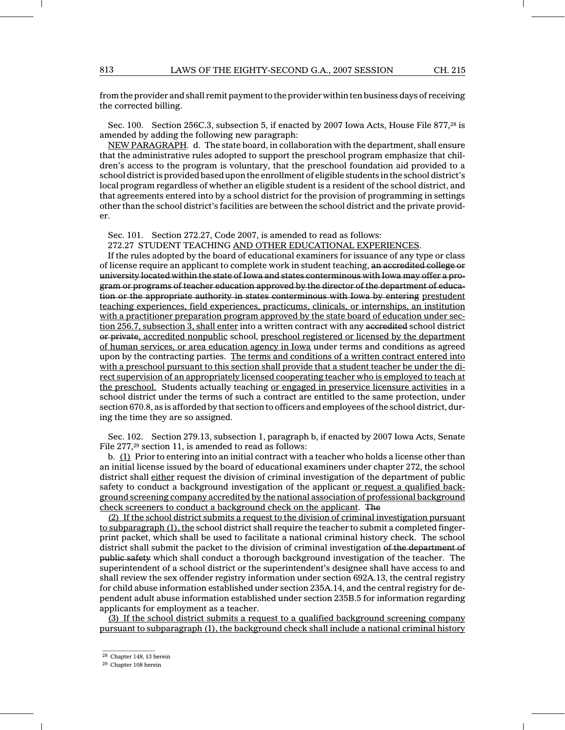from the provider and shall remit payment to the provider within ten business days of receiving the corrected billing.

Sec. 100. Section 256C.3, subsection 5, if enacted by 2007 Iowa Acts, House File 877,<sup>28</sup> is amended by adding the following new paragraph:

NEW PARAGRAPH. d. The state board, in collaboration with the department, shall ensure that the administrative rules adopted to support the preschool program emphasize that children's access to the program is voluntary, that the preschool foundation aid provided to a school district is provided based upon the enrollment of eligible students in the school district's local program regardless of whether an eligible student is a resident of the school district, and that agreements entered into by a school district for the provision of programming in settings other than the school district's facilities are between the school district and the private provider.

Sec. 101. Section 272.27, Code 2007, is amended to read as follows:

272.27 STUDENT TEACHING AND OTHER EDUCATIONAL EXPERIENCES.

If the rules adopted by the board of educational examiners for issuance of any type or class of license require an applicant to complete work in student teaching, an accredited college or university located within the state of Iowa and states conterminous with Iowa may offer a program or programs of teacher education approved by the director of the department of education or the appropriate authority in states conterminous with Iowa by entering prestudent teaching experiences, field experiences, practicums, clinicals, or internships, an institution with a practitioner preparation program approved by the state board of education under section 256.7, subsection 3, shall enter into a written contract with any accredited school district or private, accredited nonpublic school, preschool registered or licensed by the department of human services, or area education agency in Iowa under terms and conditions as agreed upon by the contracting parties. The terms and conditions of a written contract entered into with a preschool pursuant to this section shall provide that a student teacher be under the direct supervision of an appropriately licensed cooperating teacher who is employed to teach at the preschool. Students actually teaching or engaged in preservice licensure activities in a school district under the terms of such a contract are entitled to the same protection, under section 670.8, as is afforded by that section to officers and employees of the school district, during the time they are so assigned.

Sec. 102. Section 279.13, subsection 1, paragraph b, if enacted by 2007 Iowa Acts, Senate File 277,<sup>29</sup> section 11, is amended to read as follows:

b. (1) Prior to entering into an initial contract with a teacher who holds a license other than an initial license issued by the board of educational examiners under chapter 272, the school district shall either request the division of criminal investigation of the department of public safety to conduct a background investigation of the applicant or request a qualified background screening company accredited by the national association of professional background check screeners to conduct a background check on the applicant. The

(2) If the school district submits a request to the division of criminal investigation pursuant to subparagraph (1), the school district shall require the teacher to submit a completed fingerprint packet, which shall be used to facilitate a national criminal history check. The school district shall submit the packet to the division of criminal investigation of the department of public safety which shall conduct a thorough background investigation of the teacher. The superintendent of a school district or the superintendent's designee shall have access to and shall review the sex offender registry information under section 692A.13, the central registry for child abuse information established under section 235A.14, and the central registry for dependent adult abuse information established under section 235B.5 for information regarding applicants for employment as a teacher.

(3) If the school district submits a request to a qualified background screening company pursuant to subparagraph (1), the background check shall include a national criminal history

 $\mathcal{L}=\mathcal{L}$  , we can also the set of the set of the set of the set of the set of the set of the set of the set of the set of the set of the set of the set of the set of the set of the set of the set of the set of the s <sup>28</sup> Chapter 148, §3 herein

<sup>29</sup> Chapter 108 herein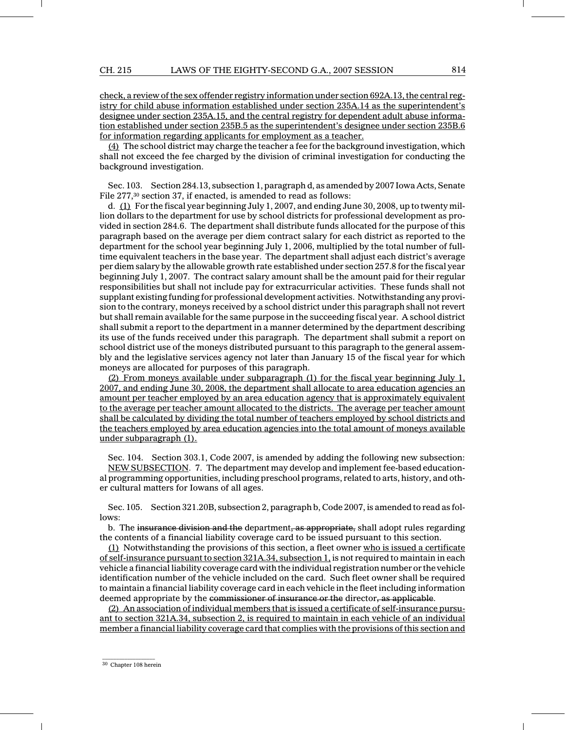check, a review of the sex offender registry information under section 692A.13, the central registry for child abuse information established under section 235A.14 as the superintendent's designee under section 235A.15, and the central registry for dependent adult abuse information established under section 235B.5 as the superintendent's designee under section 235B.6 for information regarding applicants for employment as a teacher.

 $(4)$  The school district may charge the teacher a fee for the background investigation, which shall not exceed the fee charged by the division of criminal investigation for conducting the background investigation.

Sec. 103. Section 284.13, subsection 1, paragraph d, as amended by 2007 Iowa Acts, Senate File 277,<sup>30</sup> section 37, if enacted, is amended to read as follows:

d. (1) For the fiscal year beginning July 1, 2007, and ending June 30, 2008, up to twenty million dollars to the department for use by school districts for professional development as provided in section 284.6. The department shall distribute funds allocated for the purpose of this paragraph based on the average per diem contract salary for each district as reported to the department for the school year beginning July 1, 2006, multiplied by the total number of fulltime equivalent teachers in the base year. The department shall adjust each district's average per diem salary by the allowable growth rate established under section 257.8 for the fiscal year beginning July 1, 2007. The contract salary amount shall be the amount paid for their regular responsibilities but shall not include pay for extracurricular activities. These funds shall not supplant existing funding for professional development activities. Notwithstanding any provision to the contrary, moneys received by a school district under this paragraph shall not revert but shall remain available for the same purpose in the succeeding fiscal year. A school district shall submit a report to the department in a manner determined by the department describing its use of the funds received under this paragraph. The department shall submit a report on school district use of the moneys distributed pursuant to this paragraph to the general assembly and the legislative services agency not later than January 15 of the fiscal year for which moneys are allocated for purposes of this paragraph.

(2) From moneys available under subparagraph (1) for the fiscal year beginning July 1, 2007, and ending June 30, 2008, the department shall allocate to area education agencies an amount per teacher employed by an area education agency that is approximately equivalent to the average per teacher amount allocated to the districts. The average per teacher amount shall be calculated by dividing the total number of teachers employed by school districts and the teachers employed by area education agencies into the total amount of moneys available under subparagraph (1).

Sec. 104. Section 303.1, Code 2007, is amended by adding the following new subsection: NEW SUBSECTION. 7. The department may develop and implement fee-based educational programming opportunities, including preschool programs, related to arts, history, and other cultural matters for Iowans of all ages.

Sec. 105. Section 321.20B, subsection 2, paragraph b, Code 2007, is amended to read as follows:

b. The insurance division and the department, as appropriate, shall adopt rules regarding the contents of a financial liability coverage card to be issued pursuant to this section.

(1) Notwithstanding the provisions of this section, a fleet owner who is issued a certificate of self-insurance pursuant to section 321A.34, subsection 1, is not required to maintain in each vehicle a financial liability coverage card with the individual registration number or the vehicle identification number of the vehicle included on the card. Such fleet owner shall be required to maintain a financial liability coverage card in each vehicle in the fleet including information deemed appropriate by the commissioner of insurance or the director, as applicable.

(2) An association of individual members that is issued a certificate of self-insurance pursuant to section 321A.34, subsection 2, is required to maintain in each vehicle of an individual member a financial liability coverage card that complies with the provisions of this section and

<sup>30</sup> Chapter 108 herein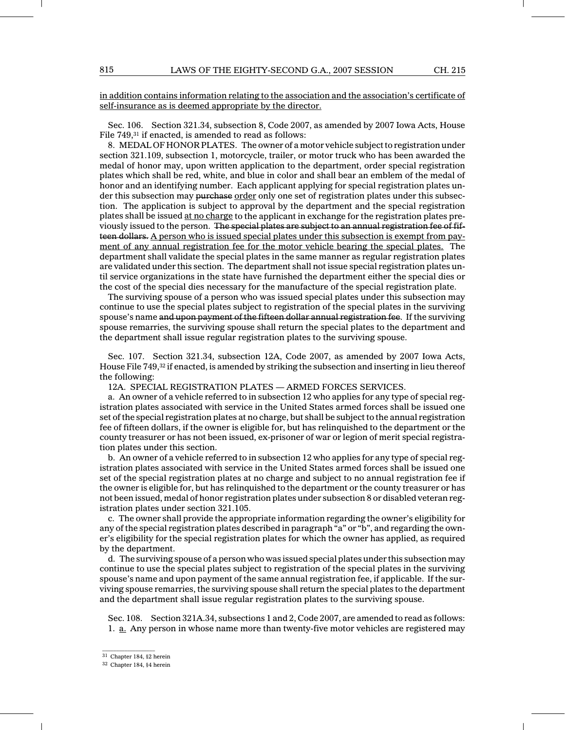in addition contains information relating to the association and the association's certificate of self-insurance as is deemed appropriate by the director.

Sec. 106. Section 321.34, subsection 8, Code 2007, as amended by 2007 Iowa Acts, House File 749,<sup>31</sup> if enacted, is amended to read as follows:

8. MEDAL OF HONOR PLATES. The owner of a motor vehicle subject to registration under section 321.109, subsection 1, motorcycle, trailer, or motor truck who has been awarded the medal of honor may, upon written application to the department, order special registration plates which shall be red, white, and blue in color and shall bear an emblem of the medal of honor and an identifying number. Each applicant applying for special registration plates under this subsection may purchase order only one set of registration plates under this subsection. The application is subject to approval by the department and the special registration plates shall be issued at no charge to the applicant in exchange for the registration plates previously issued to the person. The special plates are subject to an annual registration fee of fifteen dollars. A person who is issued special plates under this subsection is exempt from payment of any annual registration fee for the motor vehicle bearing the special plates. The department shall validate the special plates in the same manner as regular registration plates are validated under this section. The department shall not issue special registration plates until service organizations in the state have furnished the department either the special dies or the cost of the special dies necessary for the manufacture of the special registration plate.

The surviving spouse of a person who was issued special plates under this subsection may continue to use the special plates subject to registration of the special plates in the surviving spouse's name and upon payment of the fifteen dollar annual registration fee. If the surviving spouse remarries, the surviving spouse shall return the special plates to the department and the department shall issue regular registration plates to the surviving spouse.

Sec. 107. Section 321.34, subsection 12A, Code 2007, as amended by 2007 Iowa Acts, House File 749,<sup>32</sup> if enacted, is amended by striking the subsection and inserting in lieu thereof the following:

12A. SPECIAL REGISTRATION PLATES — ARMED FORCES SERVICES.

a. An owner of a vehicle referred to in subsection 12 who applies for any type of special registration plates associated with service in the United States armed forces shall be issued one set of the special registration plates at no charge, but shall be subject to the annual registration fee of fifteen dollars, if the owner is eligible for, but has relinquished to the department or the county treasurer or has not been issued, ex-prisoner of war or legion of merit special registration plates under this section.

b. An owner of a vehicle referred to in subsection 12 who applies for any type of special registration plates associated with service in the United States armed forces shall be issued one set of the special registration plates at no charge and subject to no annual registration fee if the owner is eligible for, but has relinquished to the department or the county treasurer or has not been issued, medal of honor registration plates under subsection 8 or disabled veteran registration plates under section 321.105.

c. The owner shall provide the appropriate information regarding the owner's eligibility for any of the special registration plates described in paragraph "a" or "b", and regarding the owner's eligibility for the special registration plates for which the owner has applied, as required by the department.

d. The surviving spouse of a person who was issued special plates under this subsection may continue to use the special plates subject to registration of the special plates in the surviving spouse's name and upon payment of the same annual registration fee, if applicable. If the surviving spouse remarries, the surviving spouse shall return the special plates to the department and the department shall issue regular registration plates to the surviving spouse.

Sec. 108. Section 321A.34, subsections 1 and 2, Code 2007, are amended to read as follows: 1. a. Any person in whose name more than twenty-five motor vehicles are registered may

 $\mathcal{L}=\mathcal{L}$  , we can also the set of the set of the set of the set of the set of the set of the set of the set of the set of the set of the set of the set of the set of the set of the set of the set of the set of the s <sup>31</sup> Chapter 184, §2 herein

<sup>32</sup> Chapter 184, §4 herein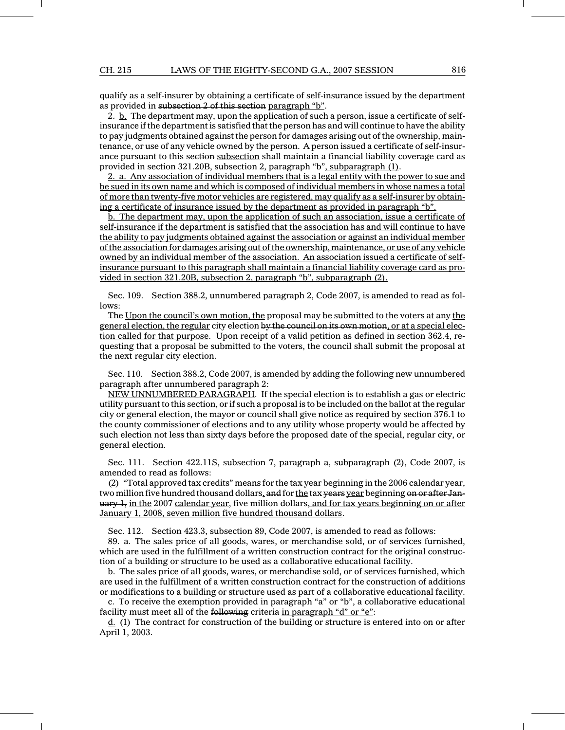qualify as a self-insurer by obtaining a certificate of self-insurance issued by the department as provided in subsection 2 of this section paragraph "b".

 $2. \underline{b}$ . The department may, upon the application of such a person, issue a certificate of selfinsurance if the department is satisfied that the person has and will continue to have the ability to pay judgments obtained against the person for damages arising out of the ownership, maintenance, or use of any vehicle owned by the person. A person issued a certificate of self-insurance pursuant to this section subsection shall maintain a financial liability coverage card as provided in section 321.20B, subsection 2, paragraph "b", subparagraph (1).

2. a. Any association of individual members that is a legal entity with the power to sue and be sued in its own name and which is composed of individual members in whose names a total of more than twenty-five motor vehicles are registered, may qualify as a self-insurer by obtaining a certificate of insurance issued by the department as provided in paragraph "b".

b. The department may, upon the application of such an association, issue a certificate of self-insurance if the department is satisfied that the association has and will continue to have the ability to pay judgments obtained against the association or against an individual member of the association for damages arising out of the ownership, maintenance, or use of any vehicle owned by an individual member of the association. An association issued a certificate of selfinsurance pursuant to this paragraph shall maintain a financial liability coverage card as provided in section 321.20B, subsection 2, paragraph "b", subparagraph (2).

Sec. 109. Section 388.2, unnumbered paragraph 2, Code 2007, is amended to read as follows:

The Upon the council's own motion, the proposal may be submitted to the voters at any the general election, the regular city election by the council on its own motion, or at a special election called for that purpose. Upon receipt of a valid petition as defined in section 362.4, requesting that a proposal be submitted to the voters, the council shall submit the proposal at the next regular city election.

Sec. 110. Section 388.2, Code 2007, is amended by adding the following new unnumbered paragraph after unnumbered paragraph 2:

NEW UNNUMBERED PARAGRAPH. If the special election is to establish a gas or electric utility pursuant to this section, or if such a proposal is to be included on the ballot at the regular city or general election, the mayor or council shall give notice as required by section 376.1 to the county commissioner of elections and to any utility whose property would be affected by such election not less than sixty days before the proposed date of the special, regular city, or general election.

Sec. 111. Section 422.11S, subsection 7, paragraph a, subparagraph (2), Code 2007, is amended to read as follows:

(2) "Total approved tax credits" means for the tax year beginning in the 2006 calendar year, two million five hundred thousand dollars, and for the tax years year beginning on or after Jan- $\mu$ <sub>1</sub>, in the 2007 calendar year, five million dollars, and for tax years beginning on or after January 1, 2008, seven million five hundred thousand dollars.

Sec. 112. Section 423.3, subsection 89, Code 2007, is amended to read as follows:

89. a. The sales price of all goods, wares, or merchandise sold, or of services furnished, which are used in the fulfillment of a written construction contract for the original construction of a building or structure to be used as a collaborative educational facility.

b. The sales price of all goods, wares, or merchandise sold, or of services furnished, which are used in the fulfillment of a written construction contract for the construction of additions or modifications to a building or structure used as part of a collaborative educational facility.

c. To receive the exemption provided in paragraph "a" or "b", a collaborative educational facility must meet all of the following criteria in paragraph "d" or "e":

 $d$ . (1) The contract for construction of the building or structure is entered into on or after April 1, 2003.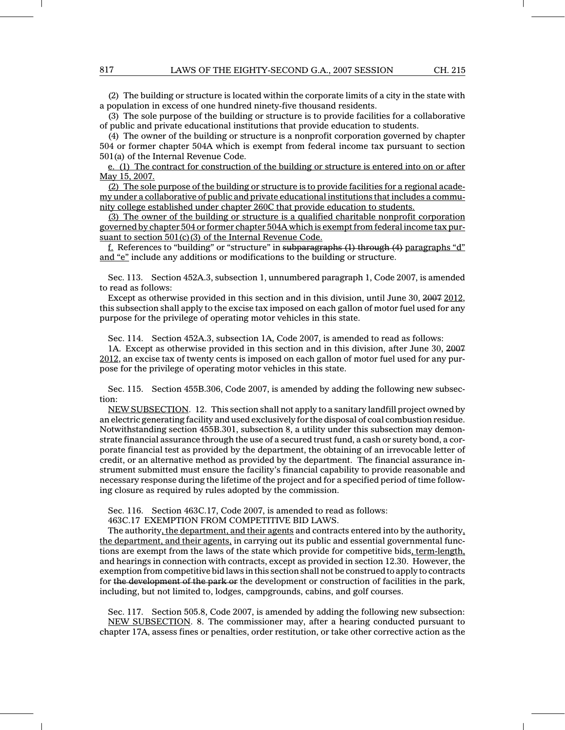(2) The building or structure is located within the corporate limits of a city in the state with a population in excess of one hundred ninety-five thousand residents.

(3) The sole purpose of the building or structure is to provide facilities for a collaborative of public and private educational institutions that provide education to students.

(4) The owner of the building or structure is a nonprofit corporation governed by chapter 504 or former chapter 504A which is exempt from federal income tax pursuant to section 501(a) of the Internal Revenue Code.

e. (1) The contract for construction of the building or structure is entered into on or after May 15, 2007.

(2) The sole purpose of the building or structure is to provide facilities for a regional academy under a collaborative of public and private educational institutions that includes a community college established under chapter 260C that provide education to students.

(3) The owner of the building or structure is a qualified charitable nonprofit corporation governed by chapter 504 or former chapter 504A which is exempt from federal income tax pursuant to section 501(c)(3) of the Internal Revenue Code.

f. References to "building" or "structure" in subparagraphs (1) through (4) paragraphs "d" and "e" include any additions or modifications to the building or structure.

Sec. 113. Section 452A.3, subsection 1, unnumbered paragraph 1, Code 2007, is amended to read as follows:

Except as otherwise provided in this section and in this division, until June 30, 2007 2012, this subsection shall apply to the excise tax imposed on each gallon of motor fuel used for any purpose for the privilege of operating motor vehicles in this state.

Sec. 114. Section 452A.3, subsection 1A, Code 2007, is amended to read as follows:

1A. Except as otherwise provided in this section and in this division, after June 30, 2007 2012, an excise tax of twenty cents is imposed on each gallon of motor fuel used for any purpose for the privilege of operating motor vehicles in this state.

Sec. 115. Section 455B.306, Code 2007, is amended by adding the following new subsection:

NEW SUBSECTION. 12. This section shall not apply to a sanitary landfill project owned by an electric generating facility and used exclusively for the disposal of coal combustion residue. Notwithstanding section 455B.301, subsection 8, a utility under this subsection may demonstrate financial assurance through the use of a secured trust fund, a cash or surety bond, a corporate financial test as provided by the department, the obtaining of an irrevocable letter of credit, or an alternative method as provided by the department. The financial assurance instrument submitted must ensure the facility's financial capability to provide reasonable and necessary response during the lifetime of the project and for a specified period of time following closure as required by rules adopted by the commission.

Sec. 116. Section 463C.17, Code 2007, is amended to read as follows:

463C.17 EXEMPTION FROM COMPETITIVE BID LAWS.

The authority, the department, and their agents and contracts entered into by the authority, the department, and their agents, in carrying out its public and essential governmental functions are exempt from the laws of the state which provide for competitive bids, term-length, and hearings in connection with contracts, except as provided in section 12.30. However, the exemption from competitive bid laws in this section shall not be construed to apply to contracts for the development of the park or the development or construction of facilities in the park, including, but not limited to, lodges, campgrounds, cabins, and golf courses.

Sec. 117. Section 505.8, Code 2007, is amended by adding the following new subsection: NEW SUBSECTION. 8. The commissioner may, after a hearing conducted pursuant to chapter 17A, assess fines or penalties, order restitution, or take other corrective action as the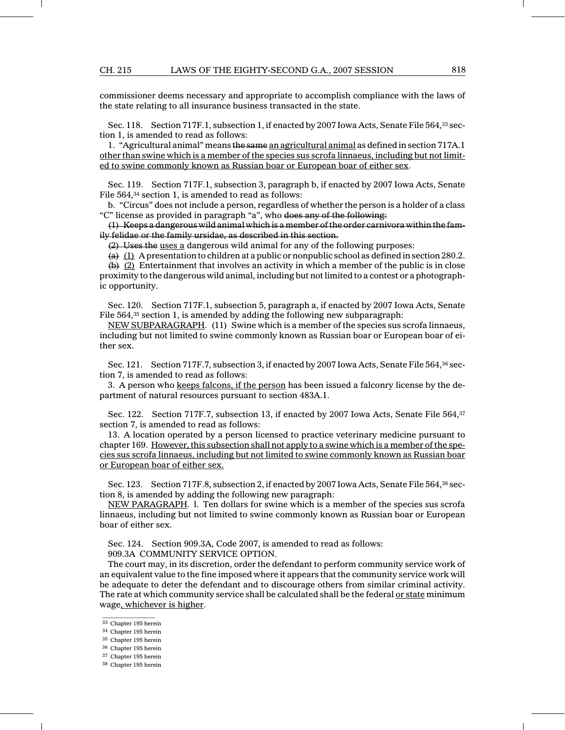commissioner deems necessary and appropriate to accomplish compliance with the laws of the state relating to all insurance business transacted in the state.

Sec. 118. Section 717F.1, subsection 1, if enacted by 2007 Iowa Acts, Senate File 564,33 section 1, is amended to read as follows:

1. "Agricultural animal" means the same an agricultural animal as defined in section 717A.1 other than swine which is a member of the species sus scrofa linnaeus, including but not limited to swine commonly known as Russian boar or European boar of either sex.

Sec. 119. Section 717F.1, subsection 3, paragraph b, if enacted by 2007 Iowa Acts, Senate File 564,<sup>34</sup> section 1, is amended to read as follows:

b. "Circus" does not include a person, regardless of whether the person is a holder of a class "C" license as provided in paragraph "a", who does any of the following:

(1) Keeps a dangerous wild animal which is a member of the order carnivora within the family felidae or the family ursidae, as described in this section.

(2) Uses the uses a dangerous wild animal for any of the following purposes:

(a) (1) A presentation to children at a public or nonpublic school as defined in section 280.2.

 $(b)$   $(2)$  Entertainment that involves an activity in which a member of the public is in close proximity to the dangerous wild animal, including but not limited to a contest or a photographic opportunity.

Sec. 120. Section 717F.1, subsection 5, paragraph a, if enacted by 2007 Iowa Acts, Senate File 564,<sup>35</sup> section 1, is amended by adding the following new subparagraph:

NEW SUBPARAGRAPH. (11) Swine which is a member of the species sus scrofa linnaeus, including but not limited to swine commonly known as Russian boar or European boar of either sex.

Sec. 121. Section 717F.7, subsection 3, if enacted by 2007 Iowa Acts, Senate File 564,<sup>36</sup> section 7, is amended to read as follows:

3. A person who keeps falcons, if the person has been issued a falconry license by the department of natural resources pursuant to section 483A.1.

Sec. 122. Section 717F.7, subsection 13, if enacted by 2007 Iowa Acts, Senate File 564,<sup>37</sup> section 7, is amended to read as follows:

13. A location operated by a person licensed to practice veterinary medicine pursuant to chapter 169. However, this subsection shall not apply to a swine which is a member of the species sus scrofa linnaeus, including but not limited to swine commonly known as Russian boar or European boar of either sex.

Sec. 123. Section 717F.8, subsection 2, if enacted by 2007 Iowa Acts, Senate File 564,<sup>38</sup> section 8, is amended by adding the following new paragraph:

NEW PARAGRAPH. l. Ten dollars for swine which is a member of the species sus scrofa linnaeus, including but not limited to swine commonly known as Russian boar or European boar of either sex.

Sec. 124. Section 909.3A, Code 2007, is amended to read as follows: 909.3A COMMUNITY SERVICE OPTION.

The court may, in its discretion, order the defendant to perform community service work of an equivalent value to the fine imposed where it appears that the community service work will be adequate to deter the defendant and to discourage others from similar criminal activity. The rate at which community service shall be calculated shall be the federal or state minimum wage, whichever is higher.

<sup>36</sup> Chapter 195 herein

 $\frac{1}{2}$  ,  $\frac{1}{2}$  ,  $\frac{1}{2}$  ,  $\frac{1}{2}$  ,  $\frac{1}{2}$  ,  $\frac{1}{2}$  ,  $\frac{1}{2}$  ,  $\frac{1}{2}$  ,  $\frac{1}{2}$  ,  $\frac{1}{2}$ <sup>33</sup> Chapter 195 herein

<sup>34</sup> Chapter 195 herein

<sup>35</sup> Chapter 195 herein

<sup>37</sup> Chapter 195 herein

<sup>38</sup> Chapter 195 herein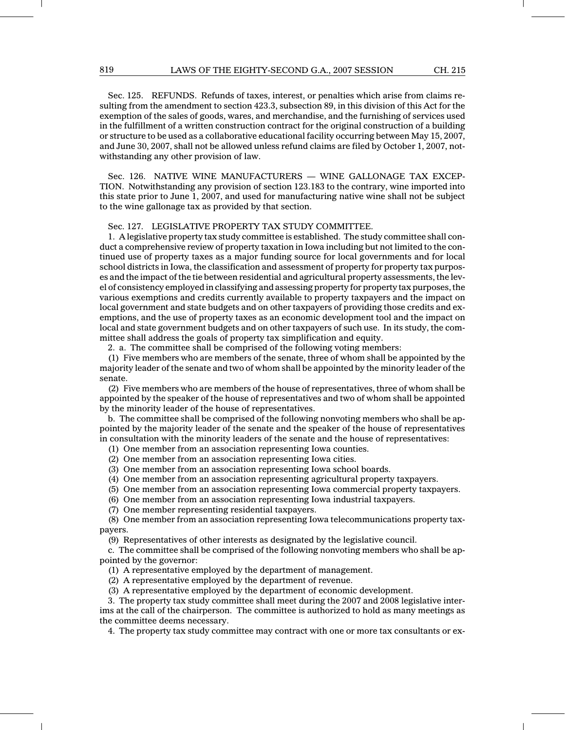Sec. 125. REFUNDS. Refunds of taxes, interest, or penalties which arise from claims resulting from the amendment to section 423.3, subsection 89, in this division of this Act for the exemption of the sales of goods, wares, and merchandise, and the furnishing of services used in the fulfillment of a written construction contract for the original construction of a building or structure to be used as a collaborative educational facility occurring between May 15, 2007, and June 30, 2007, shall not be allowed unless refund claims are filed by October 1, 2007, notwithstanding any other provision of law.

Sec. 126. NATIVE WINE MANUFACTURERS — WINE GALLONAGE TAX EXCEP-TION. Notwithstanding any provision of section 123.183 to the contrary, wine imported into this state prior to June 1, 2007, and used for manufacturing native wine shall not be subject to the wine gallonage tax as provided by that section.

#### Sec. 127. LEGISLATIVE PROPERTY TAX STUDY COMMITTEE.

1. A legislative property tax study committee is established. The study committee shall conduct a comprehensive review of property taxation in Iowa including but not limited to the continued use of property taxes as a major funding source for local governments and for local school districts in Iowa, the classification and assessment of property for property tax purposes and the impact of the tie between residential and agricultural property assessments, the level of consistency employed in classifying and assessing property for property tax purposes, the various exemptions and credits currently available to property taxpayers and the impact on local government and state budgets and on other taxpayers of providing those credits and exemptions, and the use of property taxes as an economic development tool and the impact on local and state government budgets and on other taxpayers of such use. In its study, the committee shall address the goals of property tax simplification and equity.

2. a. The committee shall be comprised of the following voting members:

(1) Five members who are members of the senate, three of whom shall be appointed by the majority leader of the senate and two of whom shall be appointed by the minority leader of the senate.

(2) Five members who are members of the house of representatives, three of whom shall be appointed by the speaker of the house of representatives and two of whom shall be appointed by the minority leader of the house of representatives.

b. The committee shall be comprised of the following nonvoting members who shall be appointed by the majority leader of the senate and the speaker of the house of representatives in consultation with the minority leaders of the senate and the house of representatives:

(1) One member from an association representing Iowa counties.

- (2) One member from an association representing Iowa cities.
- (3) One member from an association representing Iowa school boards.
- (4) One member from an association representing agricultural property taxpayers.
- (5) One member from an association representing Iowa commercial property taxpayers.
- (6) One member from an association representing Iowa industrial taxpayers.
- (7) One member representing residential taxpayers.

(8) One member from an association representing Iowa telecommunications property taxpayers.

(9) Representatives of other interests as designated by the legislative council.

c. The committee shall be comprised of the following nonvoting members who shall be appointed by the governor:

(1) A representative employed by the department of management.

(2) A representative employed by the department of revenue.

(3) A representative employed by the department of economic development.

3. The property tax study committee shall meet during the 2007 and 2008 legislative interims at the call of the chairperson. The committee is authorized to hold as many meetings as the committee deems necessary.

4. The property tax study committee may contract with one or more tax consultants or ex-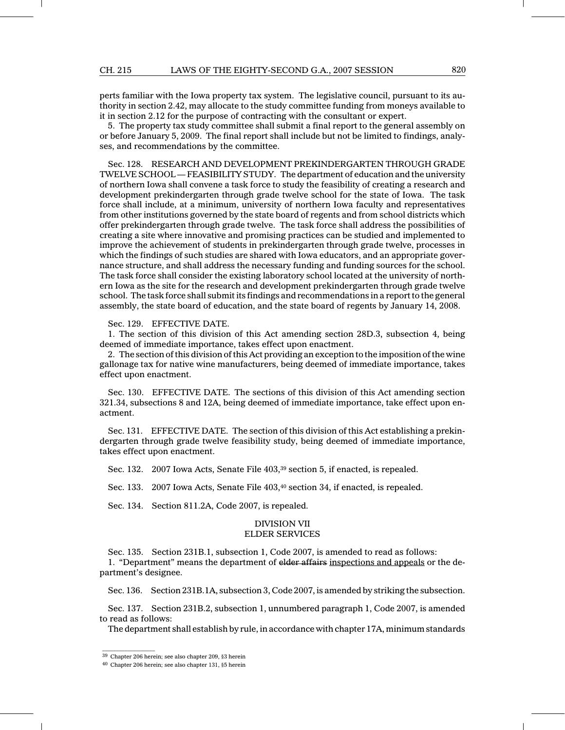perts familiar with the Iowa property tax system. The legislative council, pursuant to its authority in section 2.42, may allocate to the study committee funding from moneys available to it in section 2.12 for the purpose of contracting with the consultant or expert.

5. The property tax study committee shall submit a final report to the general assembly on or before January 5, 2009. The final report shall include but not be limited to findings, analyses, and recommendations by the committee.

Sec. 128. RESEARCH AND DEVELOPMENT PREKINDERGARTEN THROUGH GRADE TWELVE SCHOOL — FEASIBILITY STUDY. The department of education and the university of northern Iowa shall convene a task force to study the feasibility of creating a research and development prekindergarten through grade twelve school for the state of Iowa. The task force shall include, at a minimum, university of northern Iowa faculty and representatives from other institutions governed by the state board of regents and from school districts which offer prekindergarten through grade twelve. The task force shall address the possibilities of creating a site where innovative and promising practices can be studied and implemented to improve the achievement of students in prekindergarten through grade twelve, processes in which the findings of such studies are shared with Iowa educators, and an appropriate governance structure, and shall address the necessary funding and funding sources for the school. The task force shall consider the existing laboratory school located at the university of northern Iowa as the site for the research and development prekindergarten through grade twelve school. The task force shall submit its findings and recommendations in a report to the general assembly, the state board of education, and the state board of regents by January 14, 2008.

### Sec. 129. EFFECTIVE DATE.

1. The section of this division of this Act amending section 28D.3, subsection 4, being deemed of immediate importance, takes effect upon enactment.

2. The section of this division of this Act providing an exception to the imposition of the wine gallonage tax for native wine manufacturers, being deemed of immediate importance, takes effect upon enactment.

Sec. 130. EFFECTIVE DATE. The sections of this division of this Act amending section 321.34, subsections 8 and 12A, being deemed of immediate importance, take effect upon enactment.

Sec. 131. EFFECTIVE DATE. The section of this division of this Act establishing a prekindergarten through grade twelve feasibility study, being deemed of immediate importance, takes effect upon enactment.

Sec. 132. 2007 Iowa Acts, Senate File 403,<sup>39</sup> section 5, if enacted, is repealed.

Sec. 133. 2007 Iowa Acts, Senate File 403,<sup>40</sup> section 34, if enacted, is repealed.

Sec. 134. Section 811.2A, Code 2007, is repealed.

## DIVISION VII

## ELDER SERVICES

Sec. 135. Section 231B.1, subsection 1, Code 2007, is amended to read as follows:

1. "Department" means the department of elder affairs inspections and appeals or the department's designee.

Sec. 136. Section 231B.1A, subsection 3, Code 2007, is amended by striking the subsection.

Sec. 137. Section 231B.2, subsection 1, unnumbered paragraph 1, Code 2007, is amended to read as follows:

The department shall establish by rule, in accordance with chapter 17A, minimum standards

 $\mathcal{L}=\mathcal{L}$  , we can also the set of the set of the set of the set of the set of the set of the set of the set of the set of the set of the set of the set of the set of the set of the set of the set of the set of the s

<sup>39</sup> Chapter 206 herein; see also chapter 209, §3 herein

<sup>40</sup> Chapter 206 herein; see also chapter 131, §5 herein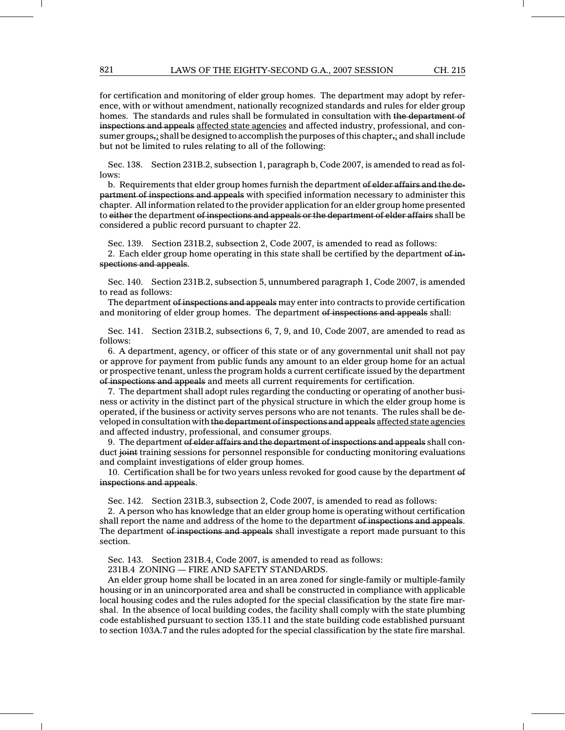for certification and monitoring of elder group homes. The department may adopt by reference, with or without amendment, nationally recognized standards and rules for elder group homes. The standards and rules shall be formulated in consultation with the department of inspections and appeals affected state agencies and affected industry, professional, and consumer groups<sub>i</sub>; shall be designed to accomplish the purposes of this chapter, and shall include but not be limited to rules relating to all of the following:

Sec. 138. Section 231B.2, subsection 1, paragraph b, Code 2007, is amended to read as follows:

b. Requirements that elder group homes furnish the department of elder affairs and the department of inspections and appeals with specified information necessary to administer this chapter. All information related to the provider application for an elder group home presented to either the department of inspections and appeals or the department of elder affairs shall be considered a public record pursuant to chapter 22.

Sec. 139. Section 231B.2, subsection 2, Code 2007, is amended to read as follows:

2. Each elder group home operating in this state shall be certified by the department of inspections and appeals.

Sec. 140. Section 231B.2, subsection 5, unnumbered paragraph 1, Code 2007, is amended to read as follows:

The department of inspections and appeals may enter into contracts to provide certification and monitoring of elder group homes. The department of inspections and appeals shall:

Sec. 141. Section 231B.2, subsections 6, 7, 9, and 10, Code 2007, are amended to read as follows:

6. A department, agency, or officer of this state or of any governmental unit shall not pay or approve for payment from public funds any amount to an elder group home for an actual or prospective tenant, unless the program holds a current certificate issued by the department of inspections and appeals and meets all current requirements for certification.

7. The department shall adopt rules regarding the conducting or operating of another business or activity in the distinct part of the physical structure in which the elder group home is operated, if the business or activity serves persons who are not tenants. The rules shall be developed in consultation with the department of inspections and appeals affected state agencies and affected industry, professional, and consumer groups.

9. The department of elder affairs and the department of inspections and appeals shall conduct joint training sessions for personnel responsible for conducting monitoring evaluations and complaint investigations of elder group homes.

10. Certification shall be for two years unless revoked for good cause by the department of inspections and appeals.

Sec. 142. Section 231B.3, subsection 2, Code 2007, is amended to read as follows:

2. A person who has knowledge that an elder group home is operating without certification shall report the name and address of the home to the department of inspections and appeals. The department of inspections and appeals shall investigate a report made pursuant to this section.

Sec. 143. Section 231B.4, Code 2007, is amended to read as follows:

231B.4 ZONING — FIRE AND SAFETY STANDARDS.

An elder group home shall be located in an area zoned for single-family or multiple-family housing or in an unincorporated area and shall be constructed in compliance with applicable local housing codes and the rules adopted for the special classification by the state fire marshal. In the absence of local building codes, the facility shall comply with the state plumbing code established pursuant to section 135.11 and the state building code established pursuant to section 103A.7 and the rules adopted for the special classification by the state fire marshal.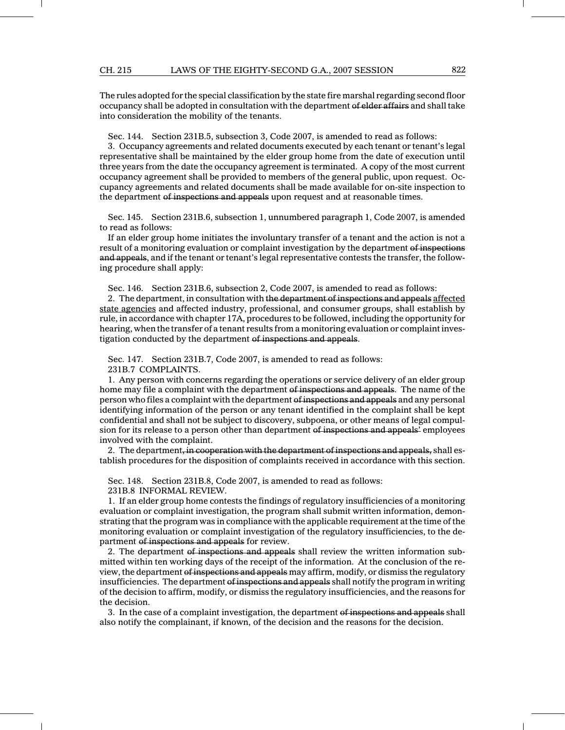#### CH. 215 LAWS OF THE EIGHTY-SECOND G.A., 2007 SESSION 822

The rules adopted for the special classification by the state fire marshal regarding second floor occupancy shall be adopted in consultation with the department of elder affairs and shall take into consideration the mobility of the tenants.

Sec. 144. Section 231B.5, subsection 3, Code 2007, is amended to read as follows:

3. Occupancy agreements and related documents executed by each tenant or tenant's legal representative shall be maintained by the elder group home from the date of execution until three years from the date the occupancy agreement is terminated. A copy of the most current occupancy agreement shall be provided to members of the general public, upon request. Occupancy agreements and related documents shall be made available for on-site inspection to the department of inspections and appeals upon request and at reasonable times.

Sec. 145. Section 231B.6, subsection 1, unnumbered paragraph 1, Code 2007, is amended to read as follows:

If an elder group home initiates the involuntary transfer of a tenant and the action is not a result of a monitoring evaluation or complaint investigation by the department of inspections and appeals, and if the tenant or tenant's legal representative contests the transfer, the following procedure shall apply:

Sec. 146. Section 231B.6, subsection 2, Code 2007, is amended to read as follows:

2. The department, in consultation with the department of inspections and appeals affected state agencies and affected industry, professional, and consumer groups, shall establish by rule, in accordance with chapter 17A, procedures to be followed, including the opportunity for hearing, when the transfer of a tenant results from a monitoring evaluation or complaint investigation conducted by the department of inspections and appeals.

Sec. 147. Section 231B.7, Code 2007, is amended to read as follows:

231B.7 COMPLAINTS.

1. Any person with concerns regarding the operations or service delivery of an elder group home may file a complaint with the department of inspections and appeals. The name of the person who files a complaint with the department of inspections and appeals and any personal identifying information of the person or any tenant identified in the complaint shall be kept confidential and shall not be subject to discovery, subpoena, or other means of legal compulsion for its release to a person other than department of inspections and appeals' employees involved with the complaint.

2. The department, in cooperation with the department of inspections and appeals, shall establish procedures for the disposition of complaints received in accordance with this section.

Sec. 148. Section 231B.8, Code 2007, is amended to read as follows:

231B.8 INFORMAL REVIEW.

1. If an elder group home contests the findings of regulatory insufficiencies of a monitoring evaluation or complaint investigation, the program shall submit written information, demonstrating that the program was in compliance with the applicable requirement at the time of the monitoring evaluation or complaint investigation of the regulatory insufficiencies, to the department of inspections and appeals for review.

2. The department of inspections and appeals shall review the written information submitted within ten working days of the receipt of the information. At the conclusion of the review, the department of inspections and appeals may affirm, modify, or dismiss the regulatory insufficiencies. The department of inspections and appeals shall notify the program in writing of the decision to affirm, modify, or dismiss the regulatory insufficiencies, and the reasons for the decision.

3. In the case of a complaint investigation, the department of inspections and appeals shall also notify the complainant, if known, of the decision and the reasons for the decision.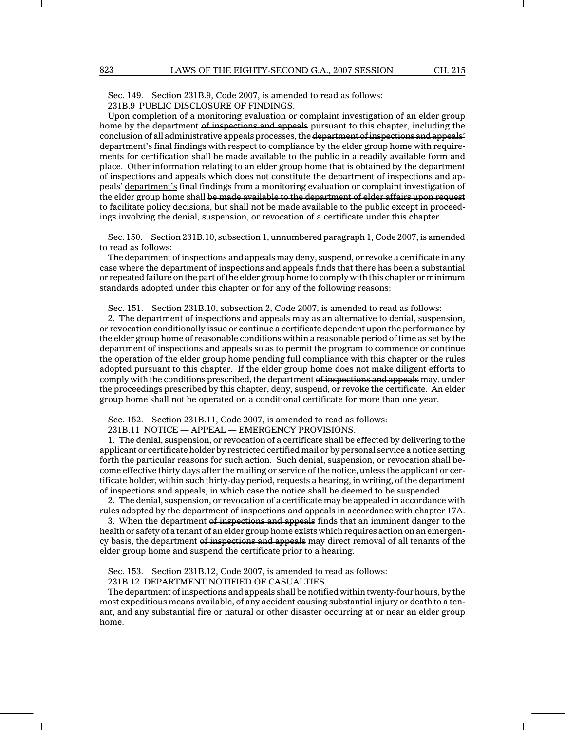Sec. 149. Section 231B.9, Code 2007, is amended to read as follows: 231B.9 PUBLIC DISCLOSURE OF FINDINGS.

Upon completion of a monitoring evaluation or complaint investigation of an elder group home by the department of inspections and appeals pursuant to this chapter, including the conclusion of all administrative appeals processes, the department of inspections and appeals' department's final findings with respect to compliance by the elder group home with requirements for certification shall be made available to the public in a readily available form and place. Other information relating to an elder group home that is obtained by the department of inspections and appeals which does not constitute the department of inspections and appeals' department's final findings from a monitoring evaluation or complaint investigation of the elder group home shall be made available to the department of elder affairs upon request to facilitate policy decisions, but shall not be made available to the public except in proceedings involving the denial, suspension, or revocation of a certificate under this chapter.

Sec. 150. Section 231B.10, subsection 1, unnumbered paragraph 1, Code 2007, is amended to read as follows:

The department of inspections and appeals may deny, suspend, or revoke a certificate in any case where the department of inspections and appeals finds that there has been a substantial or repeated failure on the part of the elder group home to comply with this chapter or minimum standards adopted under this chapter or for any of the following reasons:

Sec. 151. Section 231B.10, subsection 2, Code 2007, is amended to read as follows:

2. The department of inspections and appeals may as an alternative to denial, suspension, or revocation conditionally issue or continue a certificate dependent upon the performance by the elder group home of reasonable conditions within a reasonable period of time as set by the department of inspections and appeals so as to permit the program to commence or continue the operation of the elder group home pending full compliance with this chapter or the rules adopted pursuant to this chapter. If the elder group home does not make diligent efforts to comply with the conditions prescribed, the department of inspections and appeals may, under the proceedings prescribed by this chapter, deny, suspend, or revoke the certificate. An elder group home shall not be operated on a conditional certificate for more than one year.

Sec. 152. Section 231B.11, Code 2007, is amended to read as follows:

231B.11 NOTICE — APPEAL — EMERGENCY PROVISIONS.

1. The denial, suspension, or revocation of a certificate shall be effected by delivering to the applicant or certificate holder by restricted certified mail or by personal service a notice setting forth the particular reasons for such action. Such denial, suspension, or revocation shall become effective thirty days after the mailing or service of the notice, unless the applicant or certificate holder, within such thirty-day period, requests a hearing, in writing, of the department of inspections and appeals, in which case the notice shall be deemed to be suspended.

2. The denial, suspension, or revocation of a certificate may be appealed in accordance with rules adopted by the department of inspections and appeals in accordance with chapter 17A.

3. When the department of inspections and appeals finds that an imminent danger to the health or safety of a tenant of an elder group home exists which requires action on an emergency basis, the department of inspections and appeals may direct removal of all tenants of the elder group home and suspend the certificate prior to a hearing.

Sec. 153. Section 231B.12, Code 2007, is amended to read as follows:

231B.12 DEPARTMENT NOTIFIED OF CASUALTIES.

The department of inspections and appeals shall be notified within twenty-four hours, by the most expeditious means available, of any accident causing substantial injury or death to a tenant, and any substantial fire or natural or other disaster occurring at or near an elder group home.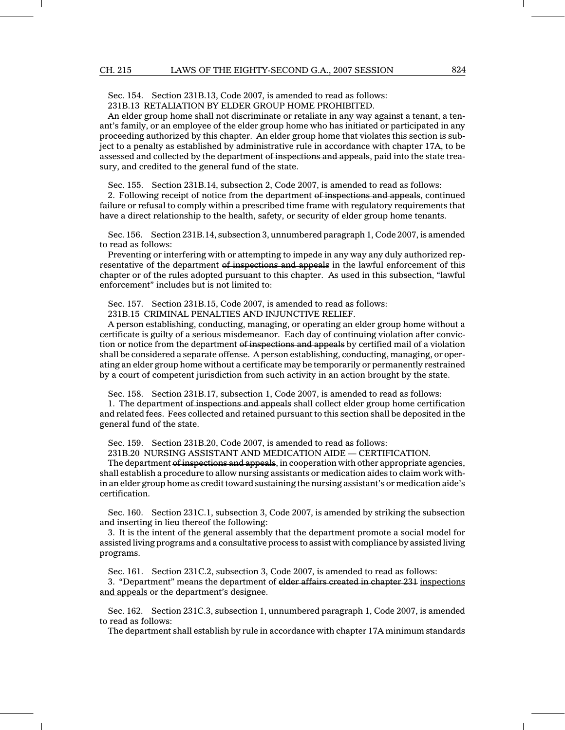Sec. 154. Section 231B.13, Code 2007, is amended to read as follows:

231B.13 RETALIATION BY ELDER GROUP HOME PROHIBITED.

An elder group home shall not discriminate or retaliate in any way against a tenant, a tenant's family, or an employee of the elder group home who has initiated or participated in any proceeding authorized by this chapter. An elder group home that violates this section is subject to a penalty as established by administrative rule in accordance with chapter 17A, to be assessed and collected by the department of inspections and appeals, paid into the state treasury, and credited to the general fund of the state.

Sec. 155. Section 231B.14, subsection 2, Code 2007, is amended to read as follows:

2. Following receipt of notice from the department of inspections and appeals, continued failure or refusal to comply within a prescribed time frame with regulatory requirements that have a direct relationship to the health, safety, or security of elder group home tenants.

Sec. 156. Section 231B.14, subsection 3, unnumbered paragraph 1, Code 2007, is amended to read as follows:

Preventing or interfering with or attempting to impede in any way any duly authorized representative of the department of inspections and appeals in the lawful enforcement of this chapter or of the rules adopted pursuant to this chapter. As used in this subsection, "lawful enforcement" includes but is not limited to:

Sec. 157. Section 231B.15, Code 2007, is amended to read as follows:

231B.15 CRIMINAL PENALTIES AND INJUNCTIVE RELIEF.

A person establishing, conducting, managing, or operating an elder group home without a certificate is guilty of a serious misdemeanor. Each day of continuing violation after conviction or notice from the department of inspections and appeals by certified mail of a violation shall be considered a separate offense. A person establishing, conducting, managing, or operating an elder group home without a certificate may be temporarily or permanently restrained by a court of competent jurisdiction from such activity in an action brought by the state.

Sec. 158. Section 231B.17, subsection 1, Code 2007, is amended to read as follows:

1. The department of inspections and appeals shall collect elder group home certification and related fees. Fees collected and retained pursuant to this section shall be deposited in the general fund of the state.

Sec. 159. Section 231B.20, Code 2007, is amended to read as follows:

231B.20 NURSING ASSISTANT AND MEDICATION AIDE — CERTIFICATION.

The department of inspections and appeals, in cooperation with other appropriate agencies, shall establish a procedure to allow nursing assistants or medication aides to claim work within an elder group home as credit toward sustaining the nursing assistant's or medication aide's certification.

Sec. 160. Section 231C.1, subsection 3, Code 2007, is amended by striking the subsection and inserting in lieu thereof the following:

3. It is the intent of the general assembly that the department promote a social model for assisted living programs and a consultative process to assist with compliance by assisted living programs.

Sec. 161. Section 231C.2, subsection 3, Code 2007, is amended to read as follows:

3. "Department" means the department of elder affairs created in chapter 231 inspections and appeals or the department's designee.

Sec. 162. Section 231C.3, subsection 1, unnumbered paragraph 1, Code 2007, is amended to read as follows:

The department shall establish by rule in accordance with chapter 17A minimum standards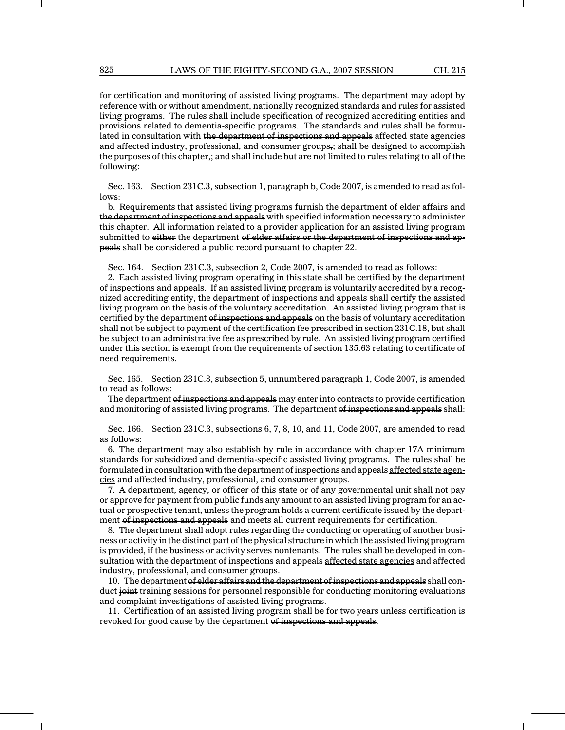for certification and monitoring of assisted living programs. The department may adopt by reference with or without amendment, nationally recognized standards and rules for assisted living programs. The rules shall include specification of recognized accrediting entities and provisions related to dementia-specific programs. The standards and rules shall be formulated in consultation with the department of inspections and appeals affected state agencies and affected industry, professional, and consumer groups,; shall be designed to accomplish the purposes of this chapter $\frac{1}{r_1}$  and shall include but are not limited to rules relating to all of the following:

Sec. 163. Section 231C.3, subsection 1, paragraph b, Code 2007, is amended to read as follows:

b. Requirements that assisted living programs furnish the department of elder affairs and the department of inspections and appeals with specified information necessary to administer this chapter. All information related to a provider application for an assisted living program submitted to either the department of elder affairs or the department of inspections and appeals shall be considered a public record pursuant to chapter 22.

Sec. 164. Section 231C.3, subsection 2, Code 2007, is amended to read as follows:

2. Each assisted living program operating in this state shall be certified by the department of inspections and appeals. If an assisted living program is voluntarily accredited by a recognized accrediting entity, the department of inspections and appeals shall certify the assisted living program on the basis of the voluntary accreditation. An assisted living program that is certified by the department of inspections and appeals on the basis of voluntary accreditation shall not be subject to payment of the certification fee prescribed in section 231C.18, but shall be subject to an administrative fee as prescribed by rule. An assisted living program certified under this section is exempt from the requirements of section 135.63 relating to certificate of need requirements.

Sec. 165. Section 231C.3, subsection 5, unnumbered paragraph 1, Code 2007, is amended to read as follows:

The department of inspections and appeals may enter into contracts to provide certification and monitoring of assisted living programs. The department of inspections and appeals shall:

Sec. 166. Section 231C.3, subsections 6, 7, 8, 10, and 11, Code 2007, are amended to read as follows:

6. The department may also establish by rule in accordance with chapter 17A minimum standards for subsidized and dementia-specific assisted living programs. The rules shall be formulated in consultation with the department of inspections and appeals affected state agencies and affected industry, professional, and consumer groups.

7. A department, agency, or officer of this state or of any governmental unit shall not pay or approve for payment from public funds any amount to an assisted living program for an actual or prospective tenant, unless the program holds a current certificate issued by the department of inspections and appeals and meets all current requirements for certification.

8. The department shall adopt rules regarding the conducting or operating of another business or activity in the distinct part of the physical structure in which the assisted living program is provided, if the business or activity serves nontenants. The rules shall be developed in consultation with the department of inspections and appeals affected state agencies and affected industry, professional, and consumer groups.

10. The department of elder affairs and the department of inspections and appeals shall conduct joint training sessions for personnel responsible for conducting monitoring evaluations and complaint investigations of assisted living programs.

11. Certification of an assisted living program shall be for two years unless certification is revoked for good cause by the department of inspections and appeals.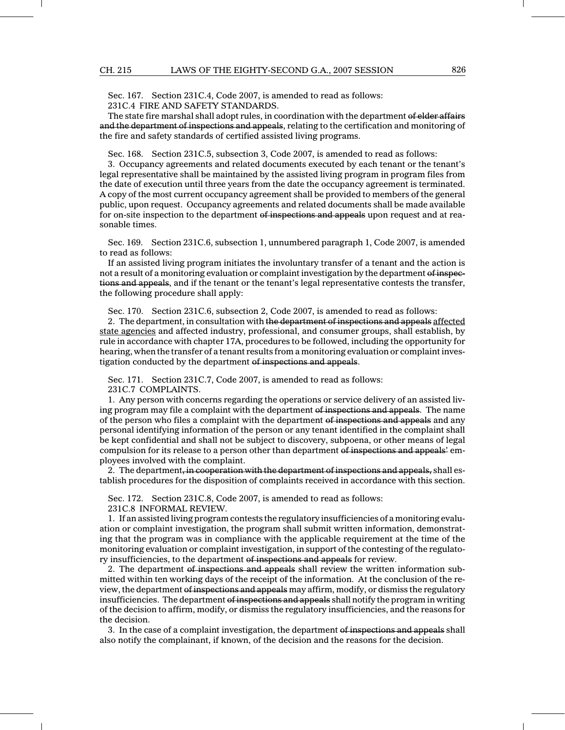Sec. 167. Section 231C.4, Code 2007, is amended to read as follows: 231C.4 FIRE AND SAFETY STANDARDS.

The state fire marshal shall adopt rules, in coordination with the department of elder affairs and the department of inspections and appeals, relating to the certification and monitoring of the fire and safety standards of certified assisted living programs.

Sec. 168. Section 231C.5, subsection 3, Code 2007, is amended to read as follows:

3. Occupancy agreements and related documents executed by each tenant or the tenant's legal representative shall be maintained by the assisted living program in program files from the date of execution until three years from the date the occupancy agreement is terminated. A copy of the most current occupancy agreement shall be provided to members of the general public, upon request. Occupancy agreements and related documents shall be made available for on-site inspection to the department of inspections and appeals upon request and at reasonable times.

Sec. 169. Section 231C.6, subsection 1, unnumbered paragraph 1, Code 2007, is amended to read as follows:

If an assisted living program initiates the involuntary transfer of a tenant and the action is not a result of a monitoring evaluation or complaint investigation by the department of inspections and appeals, and if the tenant or the tenant's legal representative contests the transfer, the following procedure shall apply:

Sec. 170. Section 231C.6, subsection 2, Code 2007, is amended to read as follows:

2. The department, in consultation with the department of inspections and appeals affected state agencies and affected industry, professional, and consumer groups, shall establish, by rule in accordance with chapter 17A, procedures to be followed, including the opportunity for hearing, when the transfer of a tenant results from a monitoring evaluation or complaint investigation conducted by the department of inspections and appeals.

Sec. 171. Section 231C.7, Code 2007, is amended to read as follows: 231C.7 COMPLAINTS.

1. Any person with concerns regarding the operations or service delivery of an assisted living program may file a complaint with the department of inspections and appeals. The name of the person who files a complaint with the department of inspections and appeals and any personal identifying information of the person or any tenant identified in the complaint shall be kept confidential and shall not be subject to discovery, subpoena, or other means of legal compulsion for its release to a person other than department of inspections and appeals' employees involved with the complaint.

2. The department, in cooperation with the department of inspections and appeals, shall establish procedures for the disposition of complaints received in accordance with this section.

Sec. 172. Section 231C.8, Code 2007, is amended to read as follows: 231C.8 INFORMAL REVIEW.

1. If an assisted living program contests the regulatory insufficiencies of a monitoring evaluation or complaint investigation, the program shall submit written information, demonstrating that the program was in compliance with the applicable requirement at the time of the monitoring evaluation or complaint investigation, in support of the contesting of the regulatory insufficiencies, to the department of inspections and appeals for review.

2. The department of inspections and appeals shall review the written information submitted within ten working days of the receipt of the information. At the conclusion of the review, the department of inspections and appeals may affirm, modify, or dismiss the regulatory insufficiencies. The department of inspections and appeals shall notify the program in writing of the decision to affirm, modify, or dismiss the regulatory insufficiencies, and the reasons for the decision.

3. In the case of a complaint investigation, the department of inspections and appeals shall also notify the complainant, if known, of the decision and the reasons for the decision.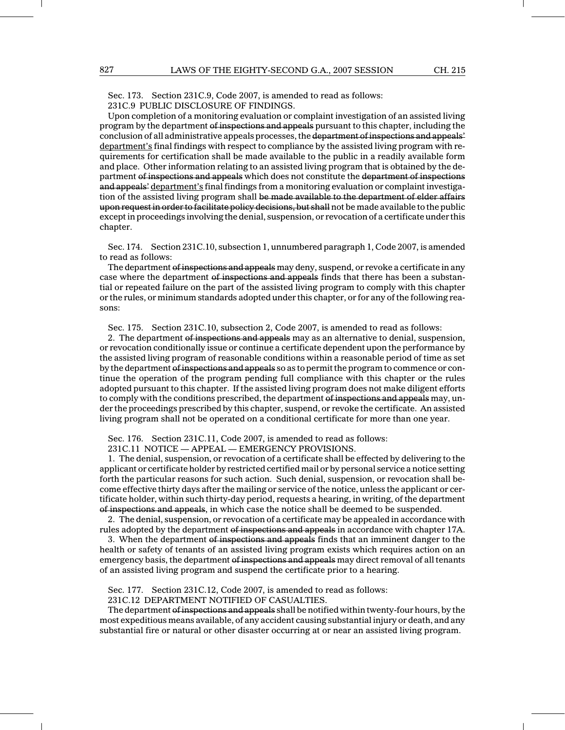Sec. 173. Section 231C.9, Code 2007, is amended to read as follows: 231C.9 PUBLIC DISCLOSURE OF FINDINGS.

Upon completion of a monitoring evaluation or complaint investigation of an assisted living program by the department of inspections and appeals pursuant to this chapter, including the conclusion of all administrative appeals processes, the department of inspections and appeals' department's final findings with respect to compliance by the assisted living program with requirements for certification shall be made available to the public in a readily available form and place. Other information relating to an assisted living program that is obtained by the department of inspections and appeals which does not constitute the department of inspections and appeals' department's final findings from a monitoring evaluation or complaint investigation of the assisted living program shall be made available to the department of elder affairs upon request in order to facilitate policy decisions, but shall not be made available to the public except in proceedings involving the denial, suspension, or revocation of a certificate under this chapter.

Sec. 174. Section 231C.10, subsection 1, unnumbered paragraph 1, Code 2007, is amended to read as follows:

The department of inspections and appeals may deny, suspend, or revoke a certificate in any case where the department of inspections and appeals finds that there has been a substantial or repeated failure on the part of the assisted living program to comply with this chapter or the rules, or minimum standards adopted under this chapter, or for any of the following reasons:

Sec. 175. Section 231C.10, subsection 2, Code 2007, is amended to read as follows:

2. The department of inspections and appeals may as an alternative to denial, suspension, or revocation conditionally issue or continue a certificate dependent upon the performance by the assisted living program of reasonable conditions within a reasonable period of time as set by the department of inspections and appeals so as to permit the program to commence or continue the operation of the program pending full compliance with this chapter or the rules adopted pursuant to this chapter. If the assisted living program does not make diligent efforts to comply with the conditions prescribed, the department of inspections and appeals may, under the proceedings prescribed by this chapter, suspend, or revoke the certificate. An assisted living program shall not be operated on a conditional certificate for more than one year.

Sec. 176. Section 231C.11, Code 2007, is amended to read as follows:

231C.11 NOTICE — APPEAL — EMERGENCY PROVISIONS.

1. The denial, suspension, or revocation of a certificate shall be effected by delivering to the applicant or certificate holder by restricted certified mail or by personal service a notice setting forth the particular reasons for such action. Such denial, suspension, or revocation shall become effective thirty days after the mailing or service of the notice, unless the applicant or certificate holder, within such thirty-day period, requests a hearing, in writing, of the department of inspections and appeals, in which case the notice shall be deemed to be suspended.

2. The denial, suspension, or revocation of a certificate may be appealed in accordance with rules adopted by the department of inspections and appeals in accordance with chapter 17A.

3. When the department of inspections and appeals finds that an imminent danger to the health or safety of tenants of an assisted living program exists which requires action on an emergency basis, the department of inspections and appeals may direct removal of all tenants of an assisted living program and suspend the certificate prior to a hearing.

Sec. 177. Section 231C.12, Code 2007, is amended to read as follows:

231C.12 DEPARTMENT NOTIFIED OF CASUALTIES.

The department of inspections and appeals shall be notified within twenty-four hours, by the most expeditious means available, of any accident causing substantial injury or death, and any substantial fire or natural or other disaster occurring at or near an assisted living program.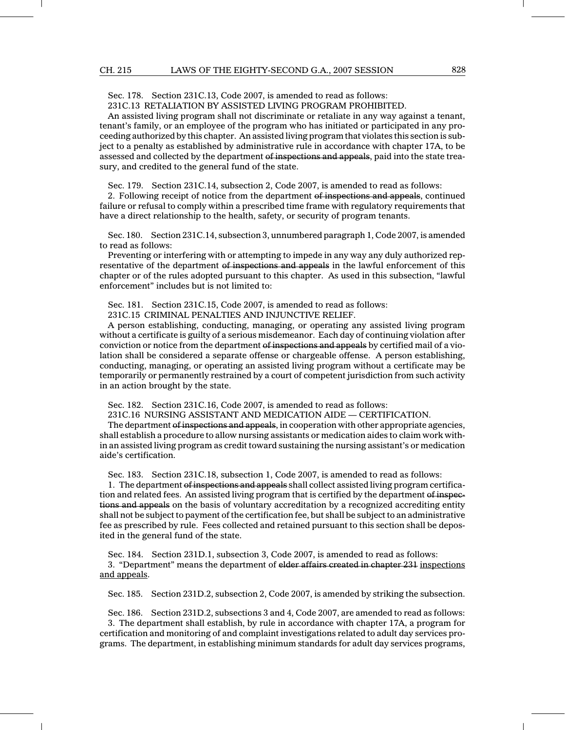Sec. 178. Section 231C.13, Code 2007, is amended to read as follows:

231C.13 RETALIATION BY ASSISTED LIVING PROGRAM PROHIBITED.

An assisted living program shall not discriminate or retaliate in any way against a tenant, tenant's family, or an employee of the program who has initiated or participated in any proceeding authorized by this chapter. An assisted living program that violates this section is subject to a penalty as established by administrative rule in accordance with chapter 17A, to be assessed and collected by the department of inspections and appeals, paid into the state treasury, and credited to the general fund of the state.

Sec. 179. Section 231C.14, subsection 2, Code 2007, is amended to read as follows:

2. Following receipt of notice from the department of inspections and appeals, continued failure or refusal to comply within a prescribed time frame with regulatory requirements that have a direct relationship to the health, safety, or security of program tenants.

Sec. 180. Section 231C.14, subsection 3, unnumbered paragraph 1, Code 2007, is amended to read as follows:

Preventing or interfering with or attempting to impede in any way any duly authorized representative of the department of inspections and appeals in the lawful enforcement of this chapter or of the rules adopted pursuant to this chapter. As used in this subsection, "lawful enforcement" includes but is not limited to:

Sec. 181. Section 231C.15, Code 2007, is amended to read as follows:

231C.15 CRIMINAL PENALTIES AND INJUNCTIVE RELIEF.

A person establishing, conducting, managing, or operating any assisted living program without a certificate is guilty of a serious misdemeanor. Each day of continuing violation after conviction or notice from the department of inspections and appeals by certified mail of a violation shall be considered a separate offense or chargeable offense. A person establishing, conducting, managing, or operating an assisted living program without a certificate may be temporarily or permanently restrained by a court of competent jurisdiction from such activity in an action brought by the state.

Sec. 182. Section 231C.16, Code 2007, is amended to read as follows:

231C.16 NURSING ASSISTANT AND MEDICATION AIDE — CERTIFICATION.

The department of inspections and appeals, in cooperation with other appropriate agencies, shall establish a procedure to allow nursing assistants or medication aides to claim work within an assisted living program as credit toward sustaining the nursing assistant's or medication aide's certification.

Sec. 183. Section 231C.18, subsection 1, Code 2007, is amended to read as follows:

1. The department of inspections and appeals shall collect assisted living program certification and related fees. An assisted living program that is certified by the department of inspections and appeals on the basis of voluntary accreditation by a recognized accrediting entity shall not be subject to payment of the certification fee, but shall be subject to an administrative fee as prescribed by rule. Fees collected and retained pursuant to this section shall be deposited in the general fund of the state.

Sec. 184. Section 231D.1, subsection 3, Code 2007, is amended to read as follows: 3. "Department" means the department of elder affairs created in chapter 231 inspections and appeals.

Sec. 185. Section 231D.2, subsection 2, Code 2007, is amended by striking the subsection.

Sec. 186. Section 231D.2, subsections 3 and 4, Code 2007, are amended to read as follows: 3. The department shall establish, by rule in accordance with chapter 17A, a program for certification and monitoring of and complaint investigations related to adult day services programs. The department, in establishing minimum standards for adult day services programs,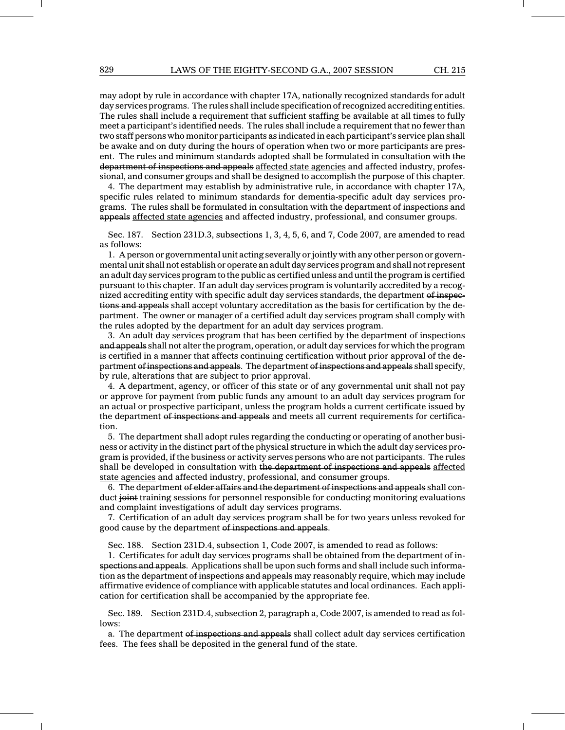may adopt by rule in accordance with chapter 17A, nationally recognized standards for adult day services programs. The rules shall include specification of recognized accrediting entities. The rules shall include a requirement that sufficient staffing be available at all times to fully meet a participant's identified needs. The rules shall include a requirement that no fewer than two staff persons who monitor participants as indicated in each participant's service plan shall be awake and on duty during the hours of operation when two or more participants are present. The rules and minimum standards adopted shall be formulated in consultation with the department of inspections and appeals affected state agencies and affected industry, professional, and consumer groups and shall be designed to accomplish the purpose of this chapter.

4. The department may establish by administrative rule, in accordance with chapter 17A, specific rules related to minimum standards for dementia-specific adult day services programs. The rules shall be formulated in consultation with the department of inspections and appeals affected state agencies and affected industry, professional, and consumer groups.

Sec. 187. Section 231D.3, subsections 1, 3, 4, 5, 6, and 7, Code 2007, are amended to read as follows:

1. A person or governmental unit acting severally or jointly with any other person or governmental unit shall not establish or operate an adult day services program and shall not represent an adult day services program to the public as certified unless and until the program is certified pursuant to this chapter. If an adult day services program is voluntarily accredited by a recognized accrediting entity with specific adult day services standards, the department of inspections and appeals shall accept voluntary accreditation as the basis for certification by the department. The owner or manager of a certified adult day services program shall comply with the rules adopted by the department for an adult day services program.

3. An adult day services program that has been certified by the department of inspections and appeals shall not alter the program, operation, or adult day services for which the program is certified in a manner that affects continuing certification without prior approval of the department of inspections and appeals. The department of inspections and appeals shall specify, by rule, alterations that are subject to prior approval.

4. A department, agency, or officer of this state or of any governmental unit shall not pay or approve for payment from public funds any amount to an adult day services program for an actual or prospective participant, unless the program holds a current certificate issued by the department of inspections and appeals and meets all current requirements for certification.

5. The department shall adopt rules regarding the conducting or operating of another business or activity in the distinct part of the physical structure in which the adult day services program is provided, if the business or activity serves persons who are not participants. The rules shall be developed in consultation with the department of inspections and appeals affected state agencies and affected industry, professional, and consumer groups.

6. The department of elder affairs and the department of inspections and appeals shall conduct joint training sessions for personnel responsible for conducting monitoring evaluations and complaint investigations of adult day services programs.

7. Certification of an adult day services program shall be for two years unless revoked for good cause by the department of inspections and appeals.

Sec. 188. Section 231D.4, subsection 1, Code 2007, is amended to read as follows:

1. Certificates for adult day services programs shall be obtained from the department of inspections and appeals. Applications shall be upon such forms and shall include such information as the department of inspections and appeals may reasonably require, which may include affirmative evidence of compliance with applicable statutes and local ordinances. Each application for certification shall be accompanied by the appropriate fee.

Sec. 189. Section 231D.4, subsection 2, paragraph a, Code 2007, is amended to read as follows:

a. The department of inspections and appeals shall collect adult day services certification fees. The fees shall be deposited in the general fund of the state.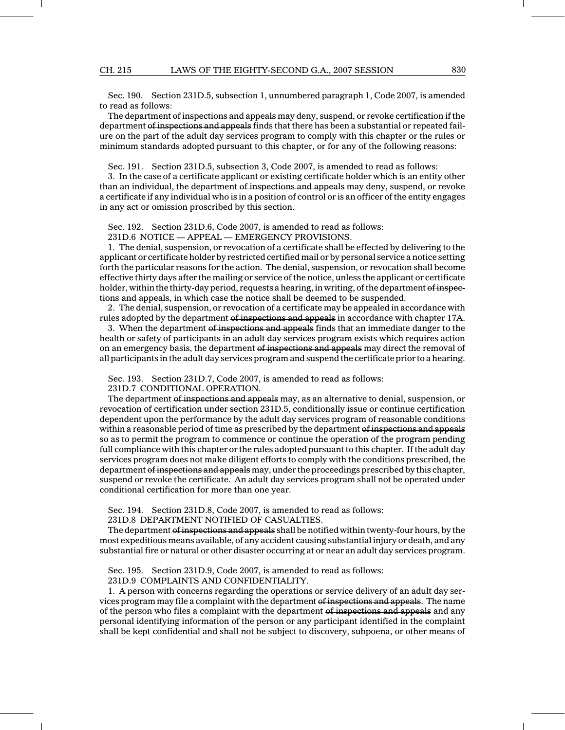#### CH. 215 LAWS OF THE EIGHTY-SECOND G.A., 2007 SESSION 830

Sec. 190. Section 231D.5, subsection 1, unnumbered paragraph 1, Code 2007, is amended to read as follows:

The department of inspections and appeals may deny, suspend, or revoke certification if the department of inspections and appeals finds that there has been a substantial or repeated failure on the part of the adult day services program to comply with this chapter or the rules or minimum standards adopted pursuant to this chapter, or for any of the following reasons:

Sec. 191. Section 231D.5, subsection 3, Code 2007, is amended to read as follows:

3. In the case of a certificate applicant or existing certificate holder which is an entity other than an individual, the department of inspections and appeals may deny, suspend, or revoke a certificate if any individual who is in a position of control or is an officer of the entity engages in any act or omission proscribed by this section.

Sec. 192. Section 231D.6, Code 2007, is amended to read as follows: 231D.6 NOTICE — APPEAL — EMERGENCY PROVISIONS.

1. The denial, suspension, or revocation of a certificate shall be effected by delivering to the applicant or certificate holder by restricted certified mail or by personal service a notice setting forth the particular reasons for the action. The denial, suspension, or revocation shall become effective thirty days after the mailing or service of the notice, unless the applicant or certificate holder, within the thirty-day period, requests a hearing, in writing, of the department of inspections and appeals, in which case the notice shall be deemed to be suspended.

2. The denial, suspension, or revocation of a certificate may be appealed in accordance with rules adopted by the department of inspections and appeals in accordance with chapter 17A.

3. When the department of inspections and appeals finds that an immediate danger to the health or safety of participants in an adult day services program exists which requires action on an emergency basis, the department of inspections and appeals may direct the removal of all participants in the adult day services program and suspend the certificate prior to a hearing.

Sec. 193. Section 231D.7, Code 2007, is amended to read as follows:

231D.7 CONDITIONAL OPERATION.

The department of inspections and appeals may, as an alternative to denial, suspension, or revocation of certification under section 231D.5, conditionally issue or continue certification dependent upon the performance by the adult day services program of reasonable conditions within a reasonable period of time as prescribed by the department of inspections and appeals so as to permit the program to commence or continue the operation of the program pending full compliance with this chapter or the rules adopted pursuant to this chapter. If the adult day services program does not make diligent efforts to comply with the conditions prescribed, the department of inspections and appeals may, under the proceedings prescribed by this chapter, suspend or revoke the certificate. An adult day services program shall not be operated under conditional certification for more than one year.

Sec. 194. Section 231D.8, Code 2007, is amended to read as follows:

231D.8 DEPARTMENT NOTIFIED OF CASUALTIES.

The department of inspections and appeals shall be notified within twenty-four hours, by the most expeditious means available, of any accident causing substantial injury or death, and any substantial fire or natural or other disaster occurring at or near an adult day services program.

Sec. 195. Section 231D.9, Code 2007, is amended to read as follows:

231D.9 COMPLAINTS AND CONFIDENTIALITY.

1. A person with concerns regarding the operations or service delivery of an adult day services program may file a complaint with the department of inspections and appeals. The name of the person who files a complaint with the department of inspections and appeals and any personal identifying information of the person or any participant identified in the complaint shall be kept confidential and shall not be subject to discovery, subpoena, or other means of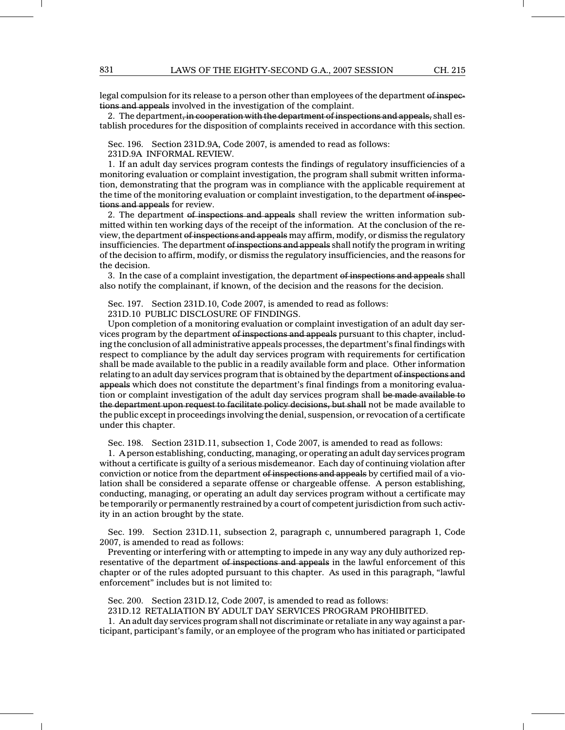legal compulsion for its release to a person other than employees of the department of inspections and appeals involved in the investigation of the complaint.

2. The department, in cooperation with the department of inspections and appeals, shall establish procedures for the disposition of complaints received in accordance with this section.

Sec. 196. Section 231D.9A, Code 2007, is amended to read as follows:

231D.9A INFORMAL REVIEW.

1. If an adult day services program contests the findings of regulatory insufficiencies of a monitoring evaluation or complaint investigation, the program shall submit written information, demonstrating that the program was in compliance with the applicable requirement at the time of the monitoring evaluation or complaint investigation, to the department of inspections and appeals for review.

2. The department of inspections and appeals shall review the written information submitted within ten working days of the receipt of the information. At the conclusion of the review, the department of inspections and appeals may affirm, modify, or dismiss the regulatory insufficiencies. The department of inspections and appeals shall notify the program in writing of the decision to affirm, modify, or dismiss the regulatory insufficiencies, and the reasons for the decision.

3. In the case of a complaint investigation, the department of inspections and appeals shall also notify the complainant, if known, of the decision and the reasons for the decision.

Sec. 197. Section 231D.10, Code 2007, is amended to read as follows: 231D.10 PUBLIC DISCLOSURE OF FINDINGS.

Upon completion of a monitoring evaluation or complaint investigation of an adult day services program by the department of inspections and appeals pursuant to this chapter, including the conclusion of all administrative appeals processes, the department's final findings with respect to compliance by the adult day services program with requirements for certification shall be made available to the public in a readily available form and place. Other information relating to an adult day services program that is obtained by the department of inspections and appeals which does not constitute the department's final findings from a monitoring evaluation or complaint investigation of the adult day services program shall be made available to the department upon request to facilitate policy decisions, but shall not be made available to the public except in proceedings involving the denial, suspension, or revocation of a certificate under this chapter.

Sec. 198. Section 231D.11, subsection 1, Code 2007, is amended to read as follows:

1. A person establishing, conducting, managing, or operating an adult day services program without a certificate is guilty of a serious misdemeanor. Each day of continuing violation after conviction or notice from the department of inspections and appeals by certified mail of a violation shall be considered a separate offense or chargeable offense. A person establishing, conducting, managing, or operating an adult day services program without a certificate may be temporarily or permanently restrained by a court of competent jurisdiction from such activity in an action brought by the state.

Sec. 199. Section 231D.11, subsection 2, paragraph c, unnumbered paragraph 1, Code 2007, is amended to read as follows:

Preventing or interfering with or attempting to impede in any way any duly authorized representative of the department of inspections and appeals in the lawful enforcement of this chapter or of the rules adopted pursuant to this chapter. As used in this paragraph, "lawful enforcement" includes but is not limited to:

Sec. 200. Section 231D.12, Code 2007, is amended to read as follows:

231D.12 RETALIATION BY ADULT DAY SERVICES PROGRAM PROHIBITED.

1. An adult day services program shall not discriminate or retaliate in any way against a participant, participant's family, or an employee of the program who has initiated or participated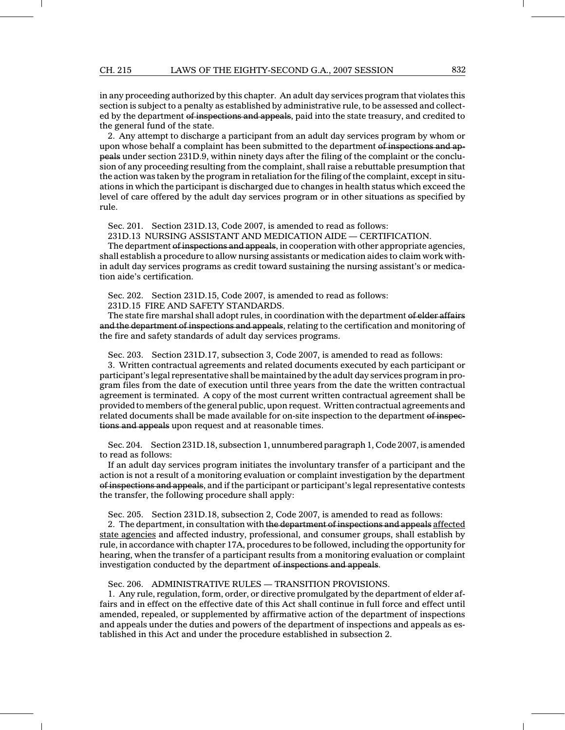in any proceeding authorized by this chapter. An adult day services program that violates this section is subject to a penalty as established by administrative rule, to be assessed and collected by the department of inspections and appeals, paid into the state treasury, and credited to the general fund of the state.

2. Any attempt to discharge a participant from an adult day services program by whom or upon whose behalf a complaint has been submitted to the department of inspections and appeals under section 231D.9, within ninety days after the filing of the complaint or the conclusion of any proceeding resulting from the complaint, shall raise a rebuttable presumption that the action was taken by the program in retaliation for the filing of the complaint, except in situations in which the participant is discharged due to changes in health status which exceed the level of care offered by the adult day services program or in other situations as specified by rule.

Sec. 201. Section 231D.13, Code 2007, is amended to read as follows:

231D.13 NURSING ASSISTANT AND MEDICATION AIDE — CERTIFICATION.

The department of inspections and appeals, in cooperation with other appropriate agencies, shall establish a procedure to allow nursing assistants or medication aides to claim work within adult day services programs as credit toward sustaining the nursing assistant's or medication aide's certification.

Sec. 202. Section 231D.15, Code 2007, is amended to read as follows:

231D.15 FIRE AND SAFETY STANDARDS.

The state fire marshal shall adopt rules, in coordination with the department of elder affairs and the department of inspections and appeals, relating to the certification and monitoring of the fire and safety standards of adult day services programs.

Sec. 203. Section 231D.17, subsection 3, Code 2007, is amended to read as follows: 3. Written contractual agreements and related documents executed by each participant or participant's legal representative shall be maintained by the adult day services program in program files from the date of execution until three years from the date the written contractual agreement is terminated. A copy of the most current written contractual agreement shall be provided to members of the general public, upon request. Written contractual agreements and related documents shall be made available for on-site inspection to the department of inspections and appeals upon request and at reasonable times.

Sec. 204. Section 231D.18, subsection 1, unnumbered paragraph 1, Code 2007, is amended to read as follows:

If an adult day services program initiates the involuntary transfer of a participant and the action is not a result of a monitoring evaluation or complaint investigation by the department of inspections and appeals, and if the participant or participant's legal representative contests the transfer, the following procedure shall apply:

Sec. 205. Section 231D.18, subsection 2, Code 2007, is amended to read as follows:

2. The department, in consultation with the department of inspections and appeals affected state agencies and affected industry, professional, and consumer groups, shall establish by rule, in accordance with chapter 17A, procedures to be followed, including the opportunity for hearing, when the transfer of a participant results from a monitoring evaluation or complaint investigation conducted by the department of inspections and appeals.

Sec. 206. ADMINISTRATIVE RULES — TRANSITION PROVISIONS.

1. Any rule, regulation, form, order, or directive promulgated by the department of elder affairs and in effect on the effective date of this Act shall continue in full force and effect until amended, repealed, or supplemented by affirmative action of the department of inspections and appeals under the duties and powers of the department of inspections and appeals as established in this Act and under the procedure established in subsection 2.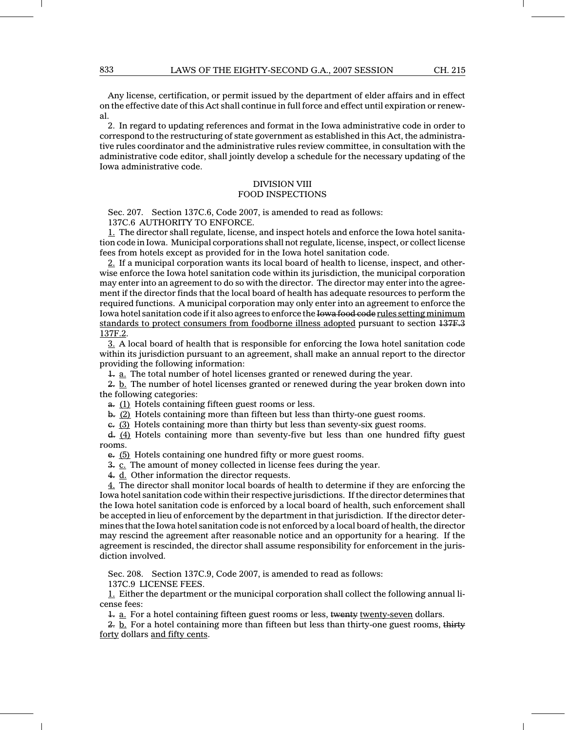Any license, certification, or permit issued by the department of elder affairs and in effect on the effective date of this Act shall continue in full force and effect until expiration or renewal.

2. In regard to updating references and format in the Iowa administrative code in order to correspond to the restructuring of state government as established in this Act, the administrative rules coordinator and the administrative rules review committee, in consultation with the administrative code editor, shall jointly develop a schedule for the necessary updating of the Iowa administrative code.

# DIVISION VIII

## FOOD INSPECTIONS

Sec. 207. Section 137C.6, Code 2007, is amended to read as follows: 137C.6 AUTHORITY TO ENFORCE.

1. The director shall regulate, license, and inspect hotels and enforce the Iowa hotel sanitation code in Iowa. Municipal corporations shall not regulate, license, inspect, or collect license fees from hotels except as provided for in the Iowa hotel sanitation code.

2. If a municipal corporation wants its local board of health to license, inspect, and otherwise enforce the Iowa hotel sanitation code within its jurisdiction, the municipal corporation may enter into an agreement to do so with the director. The director may enter into the agreement if the director finds that the local board of health has adequate resources to perform the required functions. A municipal corporation may only enter into an agreement to enforce the Iowa hotel sanitation code if it also agrees to enforce the Iowa food code rules setting minimum standards to protect consumers from foodborne illness adopted pursuant to section 137F.3 137F.2.

3. A local board of health that is responsible for enforcing the Iowa hotel sanitation code within its jurisdiction pursuant to an agreement, shall make an annual report to the director providing the following information:

1. a. The total number of hotel licenses granted or renewed during the year.

 $2. b$ . The number of hotel licenses granted or renewed during the year broken down into the following categories:

a. (1) Hotels containing fifteen guest rooms or less.

b. (2) Hotels containing more than fifteen but less than thirty-one guest rooms.

 $\epsilon$ . (3) Hotels containing more than thirty but less than seventy-six guest rooms.

 $\frac{d}{dx}$  (4) Hotels containing more than seventy-five but less than one hundred fifty guest rooms.

e. (5) Hotels containing one hundred fifty or more guest rooms.

3. c. The amount of money collected in license fees during the year.

4. d. Other information the director requests.

 $4.$  The director shall monitor local boards of health to determine if they are enforcing the Iowa hotel sanitation code within their respective jurisdictions. If the director determines that the Iowa hotel sanitation code is enforced by a local board of health, such enforcement shall be accepted in lieu of enforcement by the department in that jurisdiction. If the director determines that the Iowa hotel sanitation code is not enforced by a local board of health, the director may rescind the agreement after reasonable notice and an opportunity for a hearing. If the agreement is rescinded, the director shall assume responsibility for enforcement in the jurisdiction involved.

Sec. 208. Section 137C.9, Code 2007, is amended to read as follows:

137C.9 LICENSE FEES.

1. Either the department or the municipal corporation shall collect the following annual license fees:

1. a. For a hotel containing fifteen guest rooms or less, twenty twenty-seven dollars.

 $2$ . **b.** For a hotel containing more than fifteen but less than thirty-one guest rooms, thirty forty dollars and fifty cents.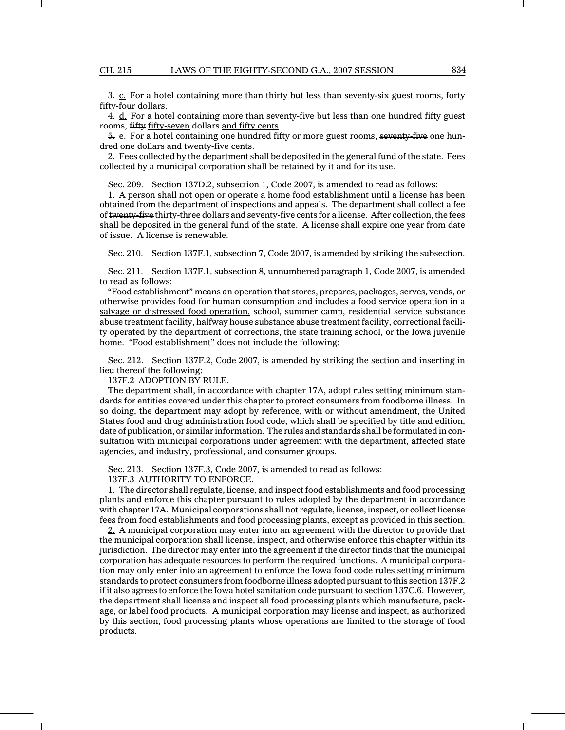$3. \underline{c}$ . For a hotel containing more than thirty but less than seventy-six guest rooms, forty fifty-four dollars.

 $4. d.$  For a hotel containing more than seventy-five but less than one hundred fifty guest rooms, fifty fifty-seven dollars and fifty cents.

5. e. For a hotel containing one hundred fifty or more guest rooms, seventy-five one hundred one dollars and twenty-five cents.

2. Fees collected by the department shall be deposited in the general fund of the state. Fees collected by a municipal corporation shall be retained by it and for its use.

Sec. 209. Section 137D.2, subsection 1, Code 2007, is amended to read as follows:

1. A person shall not open or operate a home food establishment until a license has been obtained from the department of inspections and appeals. The department shall collect a fee of twenty-five thirty-three dollars and seventy-five cents for a license. After collection, the fees shall be deposited in the general fund of the state. A license shall expire one year from date of issue. A license is renewable.

Sec. 210. Section 137F.1, subsection 7, Code 2007, is amended by striking the subsection.

Sec. 211. Section 137F.1, subsection 8, unnumbered paragraph 1, Code 2007, is amended to read as follows:

"Food establishment" means an operation that stores, prepares, packages, serves, vends, or otherwise provides food for human consumption and includes a food service operation in a salvage or distressed food operation, school, summer camp, residential service substance abuse treatment facility, halfway house substance abuse treatment facility, correctional facility operated by the department of corrections, the state training school, or the Iowa juvenile home. "Food establishment" does not include the following:

Sec. 212. Section 137F.2, Code 2007, is amended by striking the section and inserting in lieu thereof the following:

137F.2 ADOPTION BY RULE.

The department shall, in accordance with chapter 17A, adopt rules setting minimum standards for entities covered under this chapter to protect consumers from foodborne illness. In so doing, the department may adopt by reference, with or without amendment, the United States food and drug administration food code, which shall be specified by title and edition, date of publication, or similar information. The rules and standards shall be formulated in consultation with municipal corporations under agreement with the department, affected state agencies, and industry, professional, and consumer groups.

Sec. 213. Section 137F.3, Code 2007, is amended to read as follows:

137F.3 AUTHORITY TO ENFORCE.

1. The director shall regulate, license, and inspect food establishments and food processing plants and enforce this chapter pursuant to rules adopted by the department in accordance with chapter 17A. Municipal corporations shall not regulate, license, inspect, or collect license fees from food establishments and food processing plants, except as provided in this section.

2. A municipal corporation may enter into an agreement with the director to provide that the municipal corporation shall license, inspect, and otherwise enforce this chapter within its jurisdiction. The director may enter into the agreement if the director finds that the municipal corporation has adequate resources to perform the required functions. A municipal corporation may only enter into an agreement to enforce the Iowa food code rules setting minimum standards to protect consumers from foodborne illness adopted pursuant to this section 137F.2 if it also agrees to enforce the Iowa hotel sanitation code pursuant to section 137C.6. However, the department shall license and inspect all food processing plants which manufacture, package, or label food products. A municipal corporation may license and inspect, as authorized by this section, food processing plants whose operations are limited to the storage of food products.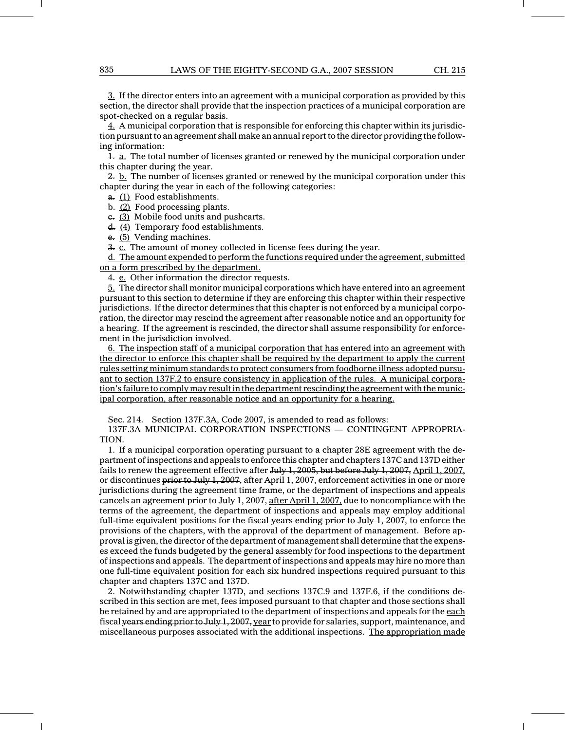3. If the director enters into an agreement with a municipal corporation as provided by this section, the director shall provide that the inspection practices of a municipal corporation are spot-checked on a regular basis.

4. A municipal corporation that is responsible for enforcing this chapter within its jurisdiction pursuant to an agreement shall make an annual report to the director providing the following information:

 $\frac{1}{2}$ . The total number of licenses granted or renewed by the municipal corporation under this chapter during the year.

 $2.$  b. The number of licenses granted or renewed by the municipal corporation under this chapter during the year in each of the following categories:

a. (1) Food establishments.

b. (2) Food processing plants.

c. (3) Mobile food units and pushcarts.

d. (4) Temporary food establishments.

e. (5) Vending machines.

3. c. The amount of money collected in license fees during the year.

d. The amount expended to perform the functions required under the agreement, submitted on a form prescribed by the department.

4. e. Other information the director requests.

5. The director shall monitor municipal corporations which have entered into an agreement pursuant to this section to determine if they are enforcing this chapter within their respective jurisdictions. If the director determines that this chapter is not enforced by a municipal corporation, the director may rescind the agreement after reasonable notice and an opportunity for a hearing. If the agreement is rescinded, the director shall assume responsibility for enforcement in the jurisdiction involved.

6. The inspection staff of a municipal corporation that has entered into an agreement with the director to enforce this chapter shall be required by the department to apply the current rules setting minimum standards to protect consumers from foodborne illness adopted pursuant to section 137F.2 to ensure consistency in application of the rules. A municipal corporation's failure to comply may result in the department rescinding the agreement with the municipal corporation, after reasonable notice and an opportunity for a hearing.

Sec. 214. Section 137F.3A, Code 2007, is amended to read as follows:

137F.3A MUNICIPAL CORPORATION INSPECTIONS — CONTINGENT APPROPRIA-TION.

1. If a municipal corporation operating pursuant to a chapter 28E agreement with the department of inspections and appeals to enforce this chapter and chapters 137C and 137D either fails to renew the agreement effective after July 1, 2005, but before July 1, 2007, April 1, 2007, or discontinues prior to July 1, 2007, after April 1, 2007, enforcement activities in one or more jurisdictions during the agreement time frame, or the department of inspections and appeals cancels an agreement prior to July 1, 2007, after April 1, 2007, due to noncompliance with the terms of the agreement, the department of inspections and appeals may employ additional full-time equivalent positions for the fiscal years ending prior to July  $1, 2007$ , to enforce the provisions of the chapters, with the approval of the department of management. Before approval is given, the director of the department of management shall determine that the expenses exceed the funds budgeted by the general assembly for food inspections to the department of inspections and appeals. The department of inspections and appeals may hire no more than one full-time equivalent position for each six hundred inspections required pursuant to this chapter and chapters 137C and 137D.

2. Notwithstanding chapter 137D, and sections 137C.9 and 137F.6, if the conditions described in this section are met, fees imposed pursuant to that chapter and those sections shall be retained by and are appropriated to the department of inspections and appeals for the each fiscal years ending prior to July 1, 2007, year to provide for salaries, support, maintenance, and miscellaneous purposes associated with the additional inspections. The appropriation made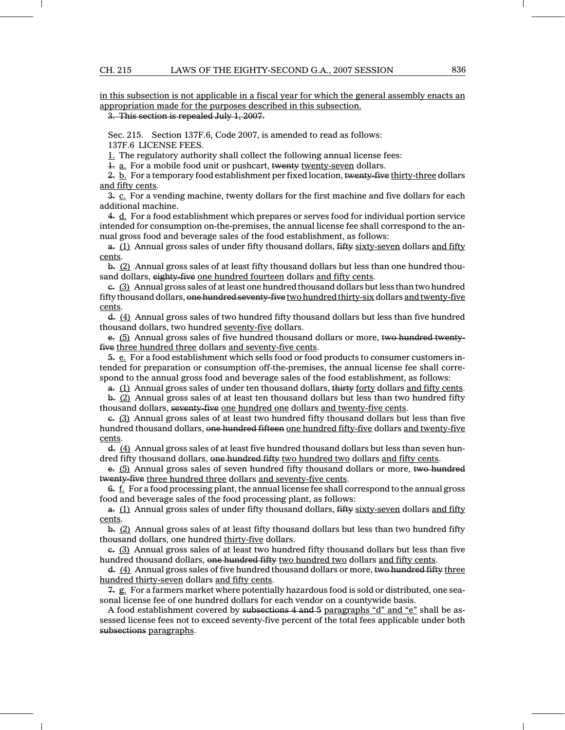in this subsection is not applicable in a fiscal year for which the general assembly enacts an appropriation made for the purposes described in this subsection.

3. This section is repealed July 1, 2007.

Sec. 215. Section 137F.6, Code 2007, is amended to read as follows:

137F.6 LICENSE FEES.

1. The regulatory authority shall collect the following annual license fees:

1. a. For a mobile food unit or pushcart, twenty twenty-seven dollars.

 $2. \underline{b}$ . For a temporary food establishment per fixed location, twenty-five thirty-three dollars and fifty cents.

 $3. c$ . For a vending machine, twenty dollars for the first machine and five dollars for each additional machine.

4. d. For a food establishment which prepares or serves food for individual portion service intended for consumption on-the-premises, the annual license fee shall correspond to the annual gross food and beverage sales of the food establishment, as follows:

a. (1) Annual gross sales of under fifty thousand dollars, fifty sixty-seven dollars and fifty cents.

 $b. (2)$  Annual gross sales of at least fifty thousand dollars but less than one hundred thousand dollars, eighty-five one hundred fourteen dollars and fifty cents.

 $\epsilon$ . (3) Annual gross sales of at least one hundred thousand dollars but less than two hundred fifty thousand dollars, one hundred seventy-five two hundred thirty-six dollars and twenty-five cents.

d. (4) Annual gross sales of two hundred fifty thousand dollars but less than five hundred thousand dollars, two hundred seventy-five dollars.

e. (5) Annual gross sales of five hundred thousand dollars or more, two hundred twentyfive three hundred three dollars and seventy-five cents.

5. e. For a food establishment which sells food or food products to consumer customers intended for preparation or consumption off-the-premises, the annual license fee shall correspond to the annual gross food and beverage sales of the food establishment, as follows:

a. (1) Annual gross sales of under ten thousand dollars, thirty forty dollars and fifty cents.

 $b$ . (2) Annual gross sales of at least ten thousand dollars but less than two hundred fifty thousand dollars, seventy-five one hundred one dollars and twenty-five cents.

c. (3) Annual gross sales of at least two hundred fifty thousand dollars but less than five hundred thousand dollars, one hundred fifteen one hundred fifty-five dollars and twenty-five cents.

 $\frac{d}{dx}$  (4) Annual gross sales of at least five hundred thousand dollars but less than seven hundred fifty thousand dollars, one hundred fifty two hundred two dollars and fifty cents.

e. (5) Annual gross sales of seven hundred fifty thousand dollars or more, two hundred twenty-five three hundred three dollars and seventy-five cents.

 $6. \text{ f.}$  For a food processing plant, the annual license fee shall correspond to the annual gross food and beverage sales of the food processing plant, as follows:

a. (1) Annual gross sales of under fifty thousand dollars, fifty sixty-seven dollars and fifty cents.

 $b$ . (2) Annual gross sales of at least fifty thousand dollars but less than two hundred fifty thousand dollars, one hundred thirty-five dollars.

 $\epsilon$ . (3) Annual gross sales of at least two hundred fifty thousand dollars but less than five hundred thousand dollars, one hundred fifty two hundred two dollars and fifty cents.

d. (4) Annual gross sales of five hundred thousand dollars or more, two hundred fifty three hundred thirty-seven dollars and fifty cents.

7. g. For a farmers market where potentially hazardous food is sold or distributed, one seasonal license fee of one hundred dollars for each vendor on a countywide basis.

A food establishment covered by subsections 4 and 5 paragraphs "d" and "e" shall be assessed license fees not to exceed seventy-five percent of the total fees applicable under both subsections paragraphs.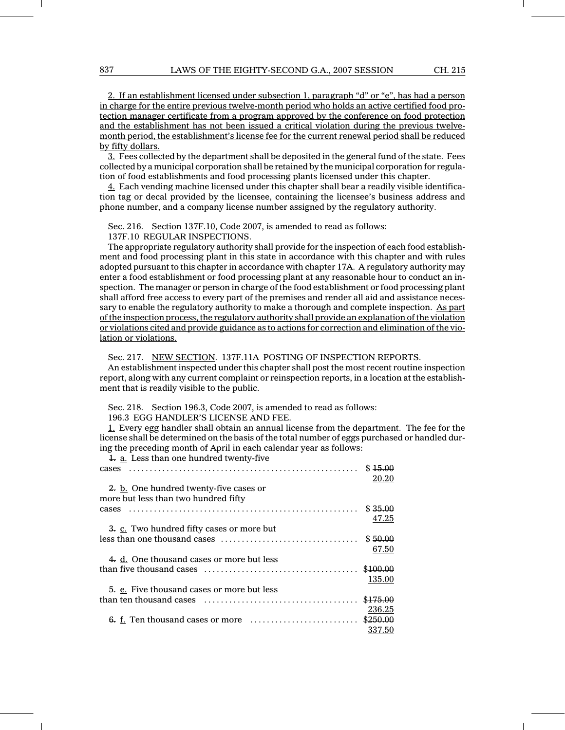2. If an establishment licensed under subsection 1, paragraph "d" or "e", has had a person in charge for the entire previous twelve-month period who holds an active certified food protection manager certificate from a program approved by the conference on food protection and the establishment has not been issued a critical violation during the previous twelvemonth period, the establishment's license fee for the current renewal period shall be reduced by fifty dollars.

3. Fees collected by the department shall be deposited in the general fund of the state. Fees collected by a municipal corporation shall be retained by the municipal corporation for regulation of food establishments and food processing plants licensed under this chapter.

4. Each vending machine licensed under this chapter shall bear a readily visible identification tag or decal provided by the licensee, containing the licensee's business address and phone number, and a company license number assigned by the regulatory authority.

Sec. 216. Section 137F.10, Code 2007, is amended to read as follows:

137F.10 REGULAR INSPECTIONS.

The appropriate regulatory authority shall provide for the inspection of each food establishment and food processing plant in this state in accordance with this chapter and with rules adopted pursuant to this chapter in accordance with chapter 17A. A regulatory authority may enter a food establishment or food processing plant at any reasonable hour to conduct an inspection. The manager or person in charge of the food establishment or food processing plant shall afford free access to every part of the premises and render all aid and assistance necessary to enable the regulatory authority to make a thorough and complete inspection. As part of the inspection process, the regulatory authority shall provide an explanation of the violation or violations cited and provide guidance as to actions for correction and elimination of the violation or violations.

Sec. 217. NEW SECTION. 137F.11A POSTING OF INSPECTION REPORTS.

An establishment inspected under this chapter shall post the most recent routine inspection report, along with any current complaint or reinspection reports, in a location at the establishment that is readily

Sec. 218. Section 196.3, Code 2007, is amended to read as follows:

196.3 EGG HANDLER'S LICENSE AND FEE.

1. Every egg handler shall obtain an annual license from the department. The fee for the license shall be determined on the basis of the total number of eggs purchased or handled during the preceding month of April in each calendar year as follows:

20.20

47.25

67.50

236.25

337.50

1. a. Less than one hundred twenty-five cases \$ ............................... ........................ 15.00 2. b. One hundred twenty-five cases or more but less than two hundred fifty cases \$ ............................... ........................ 35.00 3. c. Two hundred fifty cases or more but less than one thousand cases \$ ................................. 50.00 4. d. One thousand cases or more but less than five thousand cases  $\dots \dots \dots \dots \dots \dots \dots \dots \dots \dots$ \$100.00 135.00 5. e. Five thousand cases or more but less than ten thousand cases \$ ..................................... 175.00

 $6.$  f. Ten thousand cases or more  $\dots\dots\dots\dots\dots\dots$ . \$250.00

| y visible to the public. |  |                                |  |
|--------------------------|--|--------------------------------|--|
|                          |  | n 1063 Code 2007 is amended to |  |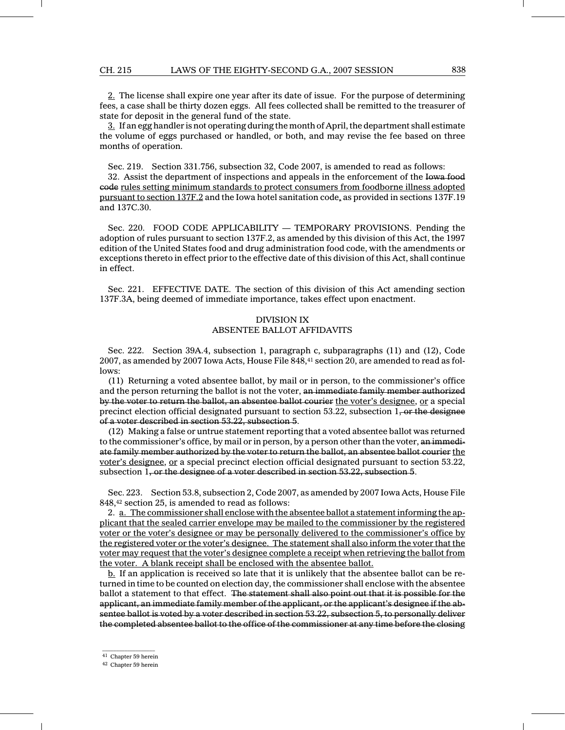#### CH. 215 LAWS OF THE EIGHTY-SECOND G.A., 2007 SESSION 838

2. The license shall expire one year after its date of issue. For the purpose of determining fees, a case shall be thirty dozen eggs. All fees collected shall be remitted to the treasurer of state for deposit in the general fund of the state.

 $3.$  If an egg handler is not operating during the month of April, the department shall estimate the volume of eggs purchased or handled, or both, and may revise the fee based on three months of operation.

Sec. 219. Section 331.756, subsection 32, Code 2007, is amended to read as follows:

32. Assist the department of inspections and appeals in the enforcement of the Iowa food code rules setting minimum standards to protect consumers from foodborne illness adopted pursuant to section 137F.2 and the Iowa hotel sanitation code, as provided in sections 137F.19 and 137C.30.

Sec. 220. FOOD CODE APPLICABILITY — TEMPORARY PROVISIONS. Pending the adoption of rules pursuant to section 137F.2, as amended by this division of this Act, the 1997 edition of the United States food and drug administration food code, with the amendments or exceptions thereto in effect prior to the effective date of this division of this Act, shall continue in effect.

Sec. 221. EFFECTIVE DATE. The section of this division of this Act amending section 137F.3A, being deemed of immediate importance, takes effect upon enactment.

## DIVISION IX ABSENTEE BALLOT AFFIDAVITS

Sec. 222. Section 39A.4, subsection 1, paragraph c, subparagraphs (11) and (12), Code 2007, as amended by 2007 Iowa Acts, House File 848,<sup>41</sup> section 20, are amended to read as follows:

(11) Returning a voted absentee ballot, by mail or in person, to the commissioner's office and the person returning the ballot is not the voter, an immediate family member authorized by the voter to return the ballot, an absentee ballot courier the voter's designee, or a special precinct election official designated pursuant to section  $53.22$ , subsection  $1, \text{ or the}$  designee of a voter described in section 53.22, subsection 5.

(12) Making a false or untrue statement reporting that a voted absentee ballot was returned to the commissioner's office, by mail or in person, by a person other than the voter, an immediate family member authorized by the voter to return the ballot, an absentee ballot courier the voter's designee, or a special precinct election official designated pursuant to section 53.22, subsection 1, or the designee of a voter described in section 53.22, subsection 5.

Sec. 223. Section 53.8, subsection 2, Code 2007, as amended by 2007 Iowa Acts, House File 848,<sup>42</sup> section 25, is amended to read as follows:

2. a. The commissioner shall enclose with the absentee ballot a statement informing the applicant that the sealed carrier envelope may be mailed to the commissioner by the registered voter or the voter's designee or may be personally delivered to the commissioner's office by the registered voter or the voter's designee. The statement shall also inform the voter that the voter may request that the voter's designee complete a receipt when retrieving the ballot from the voter. A blank receipt shall be enclosed with the absentee ballot.

b. If an application is received so late that it is unlikely that the absentee ballot can be returned in time to be counted on election day, the commissioner shall enclose with the absentee ballot a statement to that effect. The statement shall also point out that it is possible for the applicant, an immediate family member of the applicant, or the applicant's designee if the absentee ballot is voted by a voter described in section 53.22, subsection 5, to personally deliver the completed absentee ballot to the office of the commissioner at any time before the closing

 $\mathcal{L}=\mathcal{L}$  , we can also the set of the set of the set of the set of the set of the set of the set of the set of the set of the set of the set of the set of the set of the set of the set of the set of the set of the s <sup>41</sup> Chapter 59 herein

<sup>42</sup> Chapter 59 herein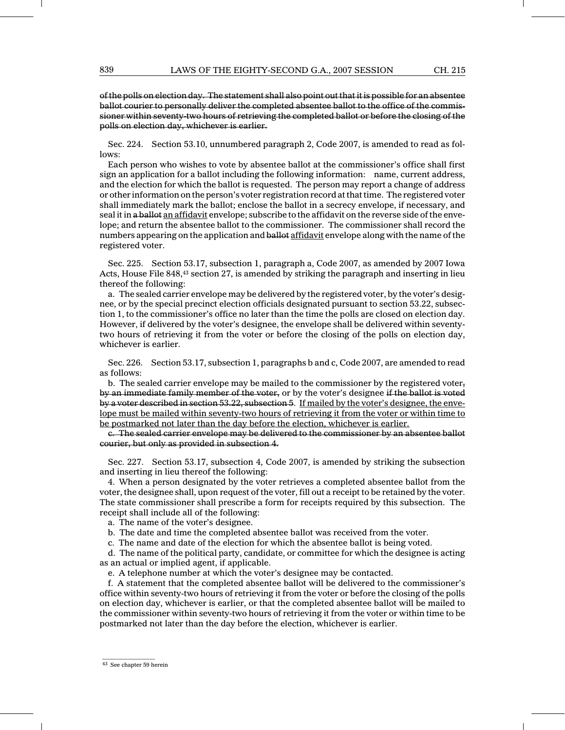of the polls on election day. The statement shall also point out that it is possible for an absentee ballot courier to personally deliver the completed absentee ballot to the office of the commissioner within seventy-two hours of retrieving the completed ballot or before the closing of the polls on election day, whichever is earlier.

Sec. 224. Section 53.10, unnumbered paragraph 2, Code 2007, is amended to read as follows:

Each person who wishes to vote by absentee ballot at the commissioner's office shall first sign an application for a ballot including the following information: name, current address, and the election for which the ballot is requested. The person may report a change of address or other information on the person's voter registration record at that time. The registered voter shall immediately mark the ballot; enclose the ballot in a secrecy envelope, if necessary, and seal it in a ballot an affidavit envelope; subscribe to the affidavit on the reverse side of the envelope; and return the absentee ballot to the commissioner. The commissioner shall record the numbers appearing on the application and ballot affidavit envelope along with the name of the registered voter.

Sec. 225. Section 53.17, subsection 1, paragraph a, Code 2007, as amended by 2007 Iowa Acts, House File 848,<sup>43</sup> section 27, is amended by striking the paragraph and inserting in lieu thereof the following:

a. The sealed carrier envelope may be delivered by the registered voter, by the voter's designee, or by the special precinct election officials designated pursuant to section 53.22, subsection 1, to the commissioner's office no later than the time the polls are closed on election day. However, if delivered by the voter's designee, the envelope shall be delivered within seventytwo hours of retrieving it from the voter or before the closing of the polls on election day, whichever is earlier.

Sec. 226. Section 53.17, subsection 1, paragraphs b and c, Code 2007, are amended to read as follows:

b. The sealed carrier envelope may be mailed to the commissioner by the registered voter, by an immediate family member of the voter, or by the voter's designee if the ballot is voted by a voter described in section 53.22, subsection 5. If mailed by the voter's designee, the envelope must be mailed within seventy-two hours of retrieving it from the voter or within time to be postmarked not later than the day before the election, whichever is earlier.

c. The sealed carrier envelope may be delivered to the commissioner by an absentee ballot courier, but only as provided in subsection 4.

Sec. 227. Section 53.17, subsection 4, Code 2007, is amended by striking the subsection and inserting in lieu thereof the following:

4. When a person designated by the voter retrieves a completed absentee ballot from the voter, the designee shall, upon request of the voter, fill out a receipt to be retained by the voter. The state commissioner shall prescribe a form for receipts required by this subsection. The receipt shall include all of the following:

a. The name of the voter's designee.

b. The date and time the completed absentee ballot was received from the voter.

c. The name and date of the election for which the absentee ballot is being voted.

d. The name of the political party, candidate, or committee for which the designee is acting as an actual or implied agent, if applicable.

e. A telephone number at which the voter's designee may be contacted.

f. A statement that the completed absentee ballot will be delivered to the commissioner's office within seventy-two hours of retrieving it from the voter or before the closing of the polls on election day, whichever is earlier, or that the completed absentee ballot will be mailed to the commissioner within seventy-two hours of retrieving it from the voter or within time to be postmarked not later than the day before the election, whichever is earlier.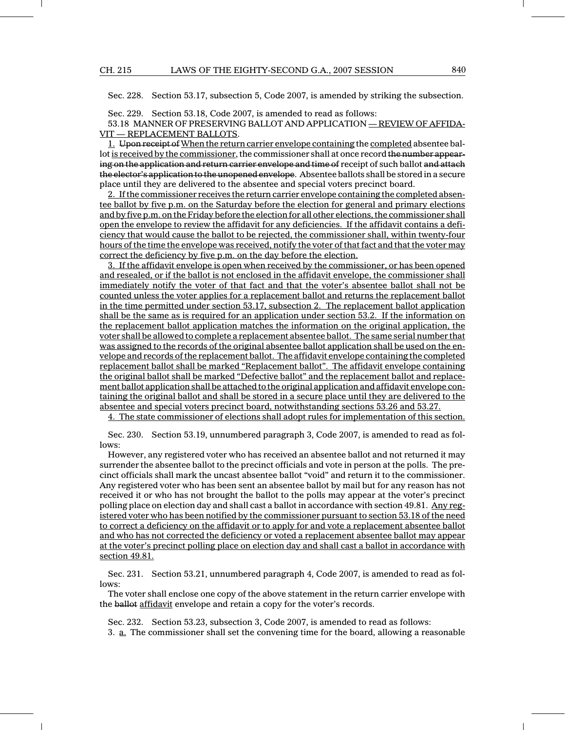Sec. 228. Section 53.17, subsection 5, Code 2007, is amended by striking the subsection.

Sec. 229. Section 53.18, Code 2007, is amended to read as follows:

53.18 MANNER OF PRESERVING BALLOT AND APPLICATION — REVIEW OF AFFIDA-VIT — REPLACEMENT BALLOTS.

1. Upon receipt of When the return carrier envelope containing the completed absentee ballot is received by the commissioner, the commissioner shall at once record the number appearing on the application and return carrier envelope and time of receipt of such ballot and attach the elector's application to the unopened envelope. Absentee ballots shall be stored in a secure place until they are delivered to the absentee and special voters precinct board.

2. If the commissioner receives the return carrier envelope containing the completed absentee ballot by five p.m. on the Saturday before the election for general and primary elections and by five p.m. on the Friday before the election for all other elections, the commissioner shall open the envelope to review the affidavit for any deficiencies. If the affidavit contains a deficiency that would cause the ballot to be rejected, the commissioner shall, within twenty-four hours of the time the envelope was received, notify the voter of that fact and that the voter may correct the deficiency by five p.m. on the day before the election.

3. If the affidavit envelope is open when received by the commissioner, or has been opened and resealed, or if the ballot is not enclosed in the affidavit envelope, the commissioner shall immediately notify the voter of that fact and that the voter's absentee ballot shall not be counted unless the voter applies for a replacement ballot and returns the replacement ballot in the time permitted under section 53.17, subsection 2. The replacement ballot application shall be the same as is required for an application under section 53.2. If the information on the replacement ballot application matches the information on the original application, the voter shall be allowed to complete a replacement absentee ballot. The same serial number that was assigned to the records of the original absentee ballot application shall be used on the envelope and records of the replacement ballot. The affidavit envelope containing the completed replacement ballot shall be marked "Replacement ballot". The affidavit envelope containing the original ballot shall be marked "Defective ballot" and the replacement ballot and replacement ballot application shall be attached to the original application and affidavit envelope containing the original ballot and shall be stored in a secure place until they are delivered to the absentee and special voters precinct board, notwithstanding sections 53.26 and 53.27.

4. The state commissioner of elections shall adopt rules for implementation of this section.

Sec. 230. Section 53.19, unnumbered paragraph 3, Code 2007, is amended to read as follows:

However, any registered voter who has received an absentee ballot and not returned it may surrender the absentee ballot to the precinct officials and vote in person at the polls. The precinct officials shall mark the uncast absentee ballot "void" and return it to the commissioner. Any registered voter who has been sent an absentee ballot by mail but for any reason has not received it or who has not brought the ballot to the polls may appear at the voter's precinct polling place on election day and shall cast a ballot in accordance with section 49.81. Any registered voter who has been notified by the commissioner pursuant to section 53.18 of the need to correct a deficiency on the affidavit or to apply for and vote a replacement absentee ballot and who has not corrected the deficiency or voted a replacement absentee ballot may appear at the voter's precinct polling place on election day and shall cast a ballot in accordance with section 49.81.

Sec. 231. Section 53.21, unnumbered paragraph 4, Code 2007, is amended to read as follows:

The voter shall enclose one copy of the above statement in the return carrier envelope with the ballot affidavit envelope and retain a copy for the voter's records.

Sec. 232. Section 53.23, subsection 3, Code 2007, is amended to read as follows: 3. a. The commissioner shall set the convening time for the board, allowing a reasonable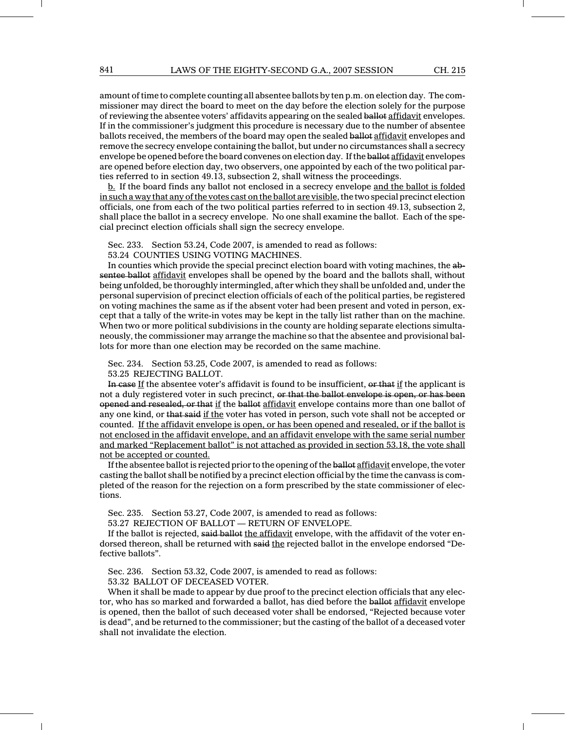amount of time to complete counting all absentee ballots by ten p.m. on election day. The commissioner may direct the board to meet on the day before the election solely for the purpose of reviewing the absentee voters' affidavits appearing on the sealed ballot affidavit envelopes. If in the commissioner's judgment this procedure is necessary due to the number of absentee ballots received, the members of the board may open the sealed ballot affidavit envelopes and remove the secrecy envelope containing the ballot, but under no circumstances shall a secrecy envelope be opened before the board convenes on election day. If the ballot affidavit envelopes are opened before election day, two observers, one appointed by each of the two political parties referred to in section 49.13, subsection 2, shall witness the proceedings.

b. If the board finds any ballot not enclosed in a secrecy envelope and the ballot is folded in such a way that any of the votes cast on the ballot are visible, the two special precinct election officials, one from each of the two political parties referred to in section 49.13, subsection 2, shall place the ballot in a secrecy envelope. No one shall examine the ballot. Each of the special precinct election officials shall sign the secrecy envelope.

Sec. 233. Section 53.24, Code 2007, is amended to read as follows:

53.24 COUNTIES USING VOTING MACHINES.

In counties which provide the special precinct election board with voting machines, the absentee ballot affidavit envelopes shall be opened by the board and the ballots shall, without being unfolded, be thoroughly intermingled, after which they shall be unfolded and, under the personal supervision of precinct election officials of each of the political parties, be registered on voting machines the same as if the absent voter had been present and voted in person, except that a tally of the write-in votes may be kept in the tally list rather than on the machine. When two or more political subdivisions in the county are holding separate elections simultaneously, the commissioner may arrange the machine so that the absentee and provisional ballots for more than one election may be recorded on the same machine.

Sec. 234. Section 53.25, Code 2007, is amended to read as follows: 53.25 REJECTING BALLOT.

In case If the absentee voter's affidavit is found to be insufficient, or that if the applicant is not a duly registered voter in such precinct, or that the ballot envelope is open, or has been opened and resealed, or that if the ballot affidavit envelope contains more than one ballot of any one kind, or that said if the voter has voted in person, such vote shall not be accepted or counted. If the affidavit envelope is open, or has been opened and resealed, or if the ballot is not enclosed in the affidavit envelope, and an affidavit envelope with the same serial number and marked "Replacement ballot" is not attached as provided in section 53.18, the vote shall not be accepted or counted.

If the absentee ballot is rejected prior to the opening of the ballot affidavit envelope, the voter casting the ballot shall be notified by a precinct election official by the time the canvass is completed of the reason for the rejection on a form prescribed by the state commissioner of elections.

Sec. 235. Section 53.27, Code 2007, is amended to read as follows:

53.27 REJECTION OF BALLOT — RETURN OF ENVELOPE.

If the ballot is rejected, said ballot the affidavit envelope, with the affidavit of the voter endorsed thereon, shall be returned with said the rejected ballot in the envelope endorsed "Defective ballots".

Sec. 236. Section 53.32, Code 2007, is amended to read as follows:

53.32 BALLOT OF DECEASED VOTER.

When it shall be made to appear by due proof to the precinct election officials that any elector, who has so marked and forwarded a ballot, has died before the ballot affidavit envelope is opened, then the ballot of such deceased voter shall be endorsed, "Rejected because voter is dead", and be returned to the commissioner; but the casting of the ballot of a deceased voter shall not invalidate the election.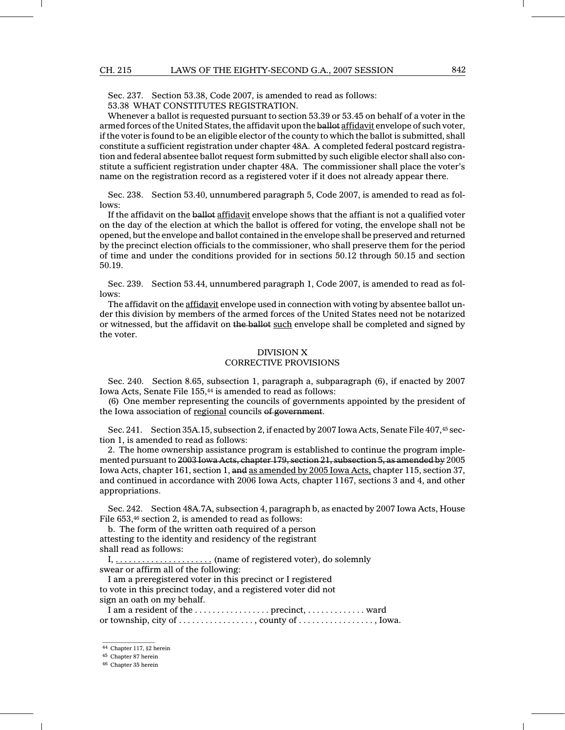Sec. 237. Section 53.38, Code 2007, is amended to read as follows:

53.38 WHAT CONSTITUTES REGISTRATION.

Whenever a ballot is requested pursuant to section 53.39 or 53.45 on behalf of a voter in the armed forces of the United States, the affidavit upon the ballot affidavit envelope of such voter, if the voter is found to be an eligible elector of the county to which the ballot is submitted, shall constitute a sufficient registration under chapter 48A. A completed federal postcard registration and federal absentee ballot request form submitted by such eligible elector shall also constitute a sufficient registration under chapter 48A. The commissioner shall place the voter's name on the registration record as a registered voter if it does not already appear there.

Sec. 238. Section 53.40, unnumbered paragraph 5, Code 2007, is amended to read as follows:

If the affidavit on the ballot affidavit envelope shows that the affiant is not a qualified voter on the day of the election at which the ballot is offered for voting, the envelope shall not be opened, but the envelope and ballot contained in the envelope shall be preserved and returned by the precinct election officials to the commissioner, who shall preserve them for the period of time and under the conditions provided for in sections 50.12 through 50.15 and section 50.19.

Sec. 239. Section 53.44, unnumbered paragraph 1, Code 2007, is amended to read as follows:

The affidavit on the affidavit envelope used in connection with voting by absentee ballot under this division by members of the armed forces of the United States need not be notarized or witnessed, but the affidavit on the ballot such envelope shall be completed and signed by the voter.

#### DIVISION X CORRECTIVE PROVISIONS

Sec. 240. Section 8.65, subsection 1, paragraph a, subparagraph (6), if enacted by 2007 Iowa Acts, Senate File 155,<sup>44</sup> is amended to read as follows:

(6) One member representing the councils of governments appointed by the president of the Iowa association of regional councils of government.

Sec. 241. Section 35A.15, subsection 2, if enacted by 2007 Iowa Acts, Senate File 407,<sup>45</sup> section 1, is amended to read as follows:

2. The home ownership assistance program is established to continue the program implemented pursuant to 2003 Iowa Acts, chapter 179, section 21, subsection 5, as amended by 2005 Iowa Acts, chapter 161, section 1, and as amended by 2005 Iowa Acts, chapter 115, section 37, and continued in accordance with 2006 Iowa Acts, chapter 1167, sections 3 and 4, and other appropriations.

Sec. 242. Section 48A.7A, subsection 4, paragraph b, as enacted by 2007 Iowa Acts, House File 653,<sup>46</sup> section 2, is amended to read as follows:

b. The form of the written oath required of a person attesting to the identity and residency of the registrant shall read as follows:

I, . . . . . . . . . . . . . . . . . . . . . . (name of registered voter), do solemnly swear or affirm all of the following:

I am a preregistered voter in this precinct or I registered to vote in this precinct today, and a registered voter did not sign an oath on my behalf.

I am a resident of the ..................... precinct, ................. ward or township, city of  $\dots \dots \dots \dots$ , county of  $\dots \dots \dots \dots$ , Iowa.

<sup>44</sup> Chapter 117, §2 herein

 $\mathcal{L}=\mathcal{L}$  , we can also the set of the set of the set of the set of the set of the set of the set of the set of the set of the set of the set of the set of the set of the set of the set of the set of the set of the s <sup>45</sup> Chapter 87 herein

<sup>46</sup> Chapter 35 herein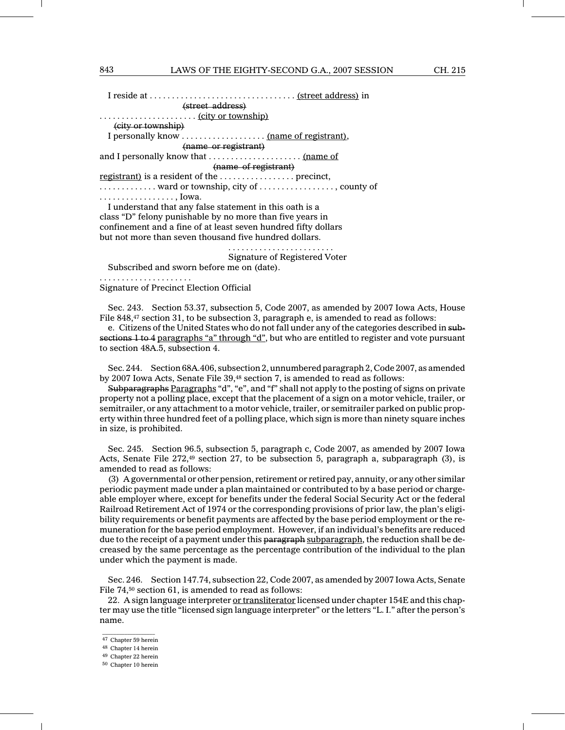#### 843 LAWS OF THE EIGHTY-SECOND G.A., 2007 SESSION CH. 215

I reside at . . . . . . . . . . . . . . . . . . . . . . . . . . . . . . . . . (street address) in (street address) . . . . . . . . . . . . . . . . . . . . . . (city or township) (city or township) I personally know . . . . . . . . . . . . . . . . . . . (name of registrant), (name or registrant) and I personally know that . . . . . . . . . . . . . . . . . . . . . (name of (name of registrant) registrant) is a resident of the . . . . . . . . . . . . . . . . . precinct, . . . . . . . . . . . . . ward or township, city of . . . . . . . . . . . . . . . . . , county of . . . . . . . . . . . . . . . . . , Iowa. I understand that any false statement in this oath is a class "D" felony punishable by no more than five years in confinement and a fine of at least seven hundred fifty dollars but not more than seven thousand five hundred dollars.

........................

Signature of Registered Voter

Subscribed and sworn before me on (date).

Signature of Precinct Election Official

.....................

Sec. 243. Section 53.37, subsection 5, Code 2007, as amended by 2007 Iowa Acts, House File 848,<sup>47</sup> section 31, to be subsection 3, paragraph e, is amended to read as follows:

e. Citizens of the United States who do not fall under any of the categories described in subsections 1 to 4 paragraphs "a" through "d", but who are entitled to register and vote pursuant to section 48A.5, subsection 4.

Sec. 244. Section 68A.406, subsection 2, unnumbered paragraph 2, Code 2007, as amended by 2007 Iowa Acts, Senate File 39,<sup>48</sup> section 7, is amended to read as follows:

Subparagraphs Paragraphs "d", "e", and "f" shall not apply to the posting of signs on private property not a polling place, except that the placement of a sign on a motor vehicle, trailer, or semitrailer, or any attachment to a motor vehicle, trailer, or semitrailer parked on public property within three hundred feet of a polling place, which sign is more than ninety square inches in size, is prohibited.

Sec. 245. Section 96.5, subsection 5, paragraph c, Code 2007, as amended by 2007 Iowa Acts, Senate File  $272,49$  section 27, to be subsection 5, paragraph a, subparagraph (3), is amended to read as follows:

(3) A governmental or other pension, retirement or retired pay, annuity, or any other similar periodic payment made under a plan maintained or contributed to by a base period or chargeable employer where, except for benefits under the federal Social Security Act or the federal Railroad Retirement Act of 1974 or the corresponding provisions of prior law, the plan's eligibility requirements or benefit payments are affected by the base period employment or the remuneration for the base period employment. However, if an individual's benefits are reduced due to the receipt of a payment under this paragraph subparagraph, the reduction shall be decreased by the same percentage as the percentage contribution of the individual to the plan under which the payment is made.

Sec. 246. Section 147.74, subsection 22, Code 2007, as amended by 2007 Iowa Acts, Senate File 74,<sup>50</sup> section 61, is amended to read as follows:

22. A sign language interpreter or transliterator licensed under chapter 154E and this chapter may use the title "licensed sign language interpreter" or the letters "L. I." after the person's name.

 $\mathcal{L}=\mathcal{L}$  , we can also the set of the set of the set of the set of the set of the set of the set of the set of the set of the set of the set of the set of the set of the set of the set of the set of the set of the s <sup>47</sup> Chapter 59 herein

<sup>48</sup> Chapter 14 herein

<sup>49</sup> Chapter 22 herein

<sup>50</sup> Chapter 10 herein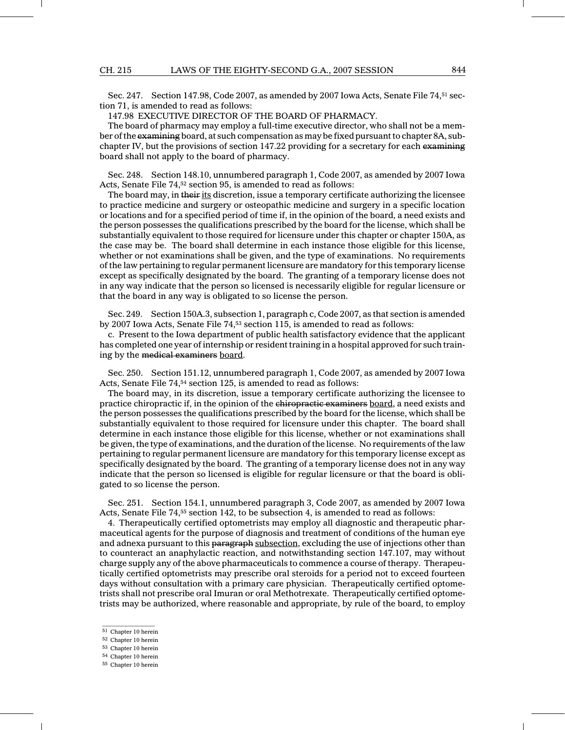Sec. 247. Section 147.98, Code 2007, as amended by 2007 Iowa Acts, Senate File 74,<sup>51</sup> section 71, is amended to read as follows:

147.98 EXECUTIVE DIRECTOR OF THE BOARD OF PHARMACY.

The board of pharmacy may employ a full-time executive director, who shall not be a member of the examining board, at such compensation as may be fixed pursuant to chapter 8A, subchapter IV, but the provisions of section 147.22 providing for a secretary for each examining board shall not apply to the board of pharmacy.

Sec. 248. Section 148.10, unnumbered paragraph 1, Code 2007, as amended by 2007 Iowa Acts, Senate File 74,<sup>52</sup> section 95, is amended to read as follows:

The board may, in their its discretion, issue a temporary certificate authorizing the licensee to practice medicine and surgery or osteopathic medicine and surgery in a specific location or locations and for a specified period of time if, in the opinion of the board, a need exists and the person possesses the qualifications prescribed by the board for the license, which shall be substantially equivalent to those required for licensure under this chapter or chapter 150A, as the case may be. The board shall determine in each instance those eligible for this license, whether or not examinations shall be given, and the type of examinations. No requirements of the law pertaining to regular permanent licensure are mandatory for this temporary license except as specifically designated by the board. The granting of a temporary license does not in any way indicate that the person so licensed is necessarily eligible for regular licensure or that the board in any way is obligated to so license the person.

Sec. 249. Section 150A.3, subsection 1, paragraph c, Code 2007, as that section is amended by 2007 Iowa Acts, Senate File 74,<sup>53</sup> section 115, is amended to read as follows:

c. Present to the Iowa department of public health satisfactory evidence that the applicant has completed one year of internship or resident training in a hospital approved for such training by the medical examiners board.

Sec. 250. Section 151.12, unnumbered paragraph 1, Code 2007, as amended by 2007 Iowa Acts, Senate File 74,<sup>54</sup> section 125, is amended to read as follows:

The board may, in its discretion, issue a temporary certificate authorizing the licensee to practice chiropractic if, in the opinion of the chiropractic examiners board, a need exists and the person possesses the qualifications prescribed by the board for the license, which shall be substantially equivalent to those required for licensure under this chapter. The board shall determine in each instance those eligible for this license, whether or not examinations shall be given, the type of examinations, and the duration of the license. No requirements of the law pertaining to regular permanent licensure are mandatory for this temporary license except as specifically designated by the board. The granting of a temporary license does not in any way indicate that the person so licensed is eligible for regular licensure or that the board is obligated to so license the person.

Sec. 251. Section 154.1, unnumbered paragraph 3, Code 2007, as amended by 2007 Iowa Acts, Senate File 74,<sup>55</sup> section 142, to be subsection 4, is amended to read as follows:

4. Therapeutically certified optometrists may employ all diagnostic and therapeutic pharmaceutical agents for the purpose of diagnosis and treatment of conditions of the human eye and adnexa pursuant to this paragraph subsection, excluding the use of injections other than to counteract an anaphylactic reaction, and notwithstanding section 147.107, may without charge supply any of the above pharmaceuticals to commence a course of therapy. Therapeutically certified optometrists may prescribe oral steroids for a period not to exceed fourteen days without consultation with a primary care physician. Therapeutically certified optometrists shall not prescribe oral Imuran or oral Methotrexate. Therapeutically certified optometrists may be authorized, where reasonable and appropriate, by rule of the board, to employ

- $\mathcal{L}=\mathcal{L}$  , we can also the set of the set of the set of the set of the set of the set of the set of the set of the set of the set of the set of the set of the set of the set of the set of the set of the set of the s <sup>51</sup> Chapter 10 herein
- <sup>52</sup> Chapter 10 herein
- <sup>53</sup> Chapter 10 herein <sup>54</sup> Chapter 10 herein

<sup>55</sup> Chapter 10 herein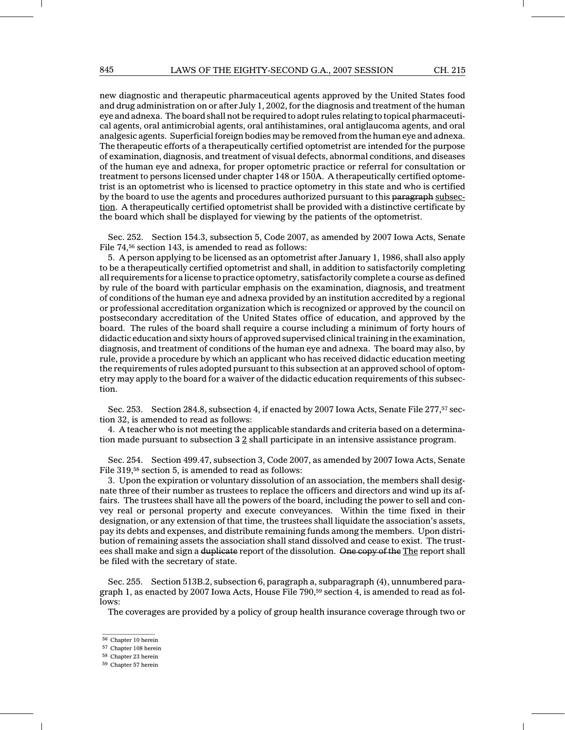new diagnostic and therapeutic pharmaceutical agents approved by the United States food and drug administration on or after July 1, 2002, for the diagnosis and treatment of the human eye and adnexa. The board shall not be required to adopt rules relating to topical pharmaceutical agents, oral antimicrobial agents, oral antihistamines, oral antiglaucoma agents, and oral analgesic agents. Superficial foreign bodies may be removed from the human eye and adnexa. The therapeutic efforts of a therapeutically certified optometrist are intended for the purpose of examination, diagnosis, and treatment of visual defects, abnormal conditions, and diseases of the human eye and adnexa, for proper optometric practice or referral for consultation or treatment to persons licensed under chapter 148 or 150A. A therapeutically certified optometrist is an optometrist who is licensed to practice optometry in this state and who is certified by the board to use the agents and procedures authorized pursuant to this paragraph subsection. A therapeutically certified optometrist shall be provided with a distinctive certificate by the board which shall be displayed for viewing by the patients of the optometrist.

Sec. 252. Section 154.3, subsection 5, Code 2007, as amended by 2007 Iowa Acts, Senate File 74,<sup>56</sup> section 143, is amended to read as follows:

5. A person applying to be licensed as an optometrist after January 1, 1986, shall also apply to be a therapeutically certified optometrist and shall, in addition to satisfactorily completing all requirements for a license to practice optometry, satisfactorily complete a course as defined by rule of the board with particular emphasis on the examination, diagnosis, and treatment of conditions of the human eye and adnexa provided by an institution accredited by a regional or professional accreditation organization which is recognized or approved by the council on postsecondary accreditation of the United States office of education, and approved by the board. The rules of the board shall require a course including a minimum of forty hours of didactic education and sixty hours of approved supervised clinical training in the examination, diagnosis, and treatment of conditions of the human eye and adnexa. The board may also, by rule, provide a procedure by which an applicant who has received didactic education meeting the requirements of rules adopted pursuant to this subsection at an approved school of optometry may apply to the board for a waiver of the didactic education requirements of this subsection.

Sec. 253. Section 284.8, subsection 4, if enacted by 2007 Iowa Acts, Senate File 277,<sup>57</sup> section 32, is amended to read as follows:

4. A teacher who is not meeting the applicable standards and criteria based on a determination made pursuant to subsection  $3.2$  shall participate in an intensive assistance program.

Sec. 254. Section 499.47, subsection 3, Code 2007, as amended by 2007 Iowa Acts, Senate File 319,<sup>58</sup> section 5, is amended to read as follows:

3. Upon the expiration or voluntary dissolution of an association, the members shall designate three of their number as trustees to replace the officers and directors and wind up its affairs. The trustees shall have all the powers of the board, including the power to sell and convey real or personal property and execute conveyances. Within the time fixed in their designation, or any extension of that time, the trustees shall liquidate the association's assets, pay its debts and expenses, and distribute remaining funds among the members. Upon distribution of remaining assets the association shall stand dissolved and cease to exist. The trustees shall make and sign a duplicate report of the dissolution. One copy of the The report shall be filed with the secretary of state.

Sec. 255. Section 513B.2, subsection 6, paragraph a, subparagraph (4), unnumbered paragraph 1, as enacted by 2007 Iowa Acts, House File  $790,59$  section 4, is amended to read as follows:

The coverages are provided by a policy of group health insurance coverage through two or

 $\mathcal{L}=\mathcal{L}$  , we can also the set of the set of the set of the set of the set of the set of the set of the set of the set of the set of the set of the set of the set of the set of the set of the set of the set of the s <sup>56</sup> Chapter 10 herein

<sup>57</sup> Chapter 108 herein

<sup>58</sup> Chapter 23 herein

<sup>59</sup> Chapter 57 herein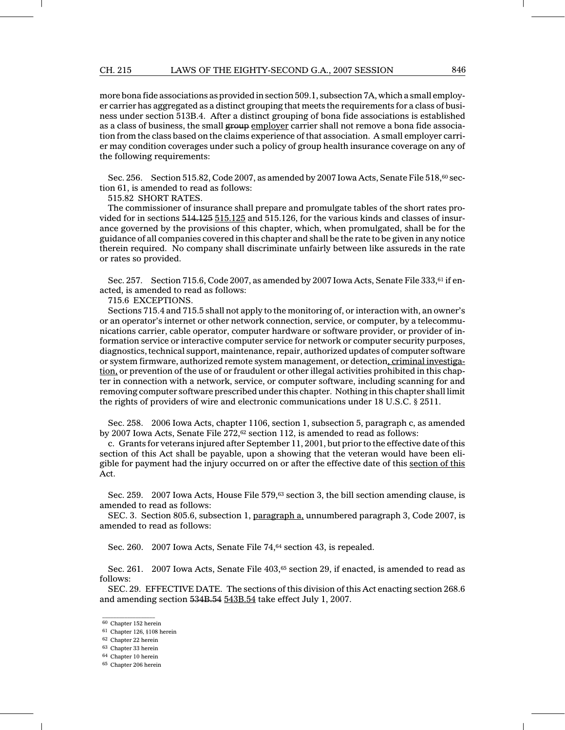more bona fide associations as provided in section 509.1, subsection 7A, which a small employer carrier has aggregated as a distinct grouping that meets the requirements for a class of business under section 513B.4. After a distinct grouping of bona fide associations is established as a class of business, the small group employer carrier shall not remove a bona fide association from the class based on the claims experience of that association. A small employer carrier may condition coverages under such a policy of group health insurance coverage on any of the following requirements:

Sec. 256. Section 515.82, Code 2007, as amended by 2007 Iowa Acts, Senate File 518,<sup>60</sup> section 61, is amended to read as follows:

515.82 SHORT RATES.

The commissioner of insurance shall prepare and promulgate tables of the short rates provided for in sections 514.125 515.125 and 515.126, for the various kinds and classes of insurance governed by the provisions of this chapter, which, when promulgated, shall be for the guidance of all companies covered in this chapter and shall be the rate to be given in any notice therein required. No company shall discriminate unfairly between like assureds in the rate or rates so provided.

Sec. 257. Section 715.6, Code 2007, as amended by 2007 Iowa Acts, Senate File 333,<sup>61</sup> if enacted, is amended to read as follows:

715.6 EXCEPTIONS.

Sections 715.4 and 715.5 shall not apply to the monitoring of, or interaction with, an owner's or an operator's internet or other network connection, service, or computer, by a telecommunications carrier, cable operator, computer hardware or software provider, or provider of information service or interactive computer service for network or computer security purposes, diagnostics, technical support, maintenance, repair, authorized updates of computer software or system firmware, authorized remote system management, or detection, criminal investigation, or prevention of the use of or fraudulent or other illegal activities prohibited in this chapter in connection with a network, service, or computer software, including scanning for and removing computer software prescribed under this chapter. Nothing in this chapter shall limit the rights of providers of wire and electronic communications under 18 U.S.C. § 2511.

Sec. 258. 2006 Iowa Acts, chapter 1106, section 1, subsection 5, paragraph c, as amended by 2007 Iowa Acts, Senate File 272,<sup>62</sup> section 112, is amended to read as follows:

c. Grants for veterans injured after September 11, 2001, but prior to the effective date of this section of this Act shall be payable, upon a showing that the veteran would have been eligible for payment had the injury occurred on or after the effective date of this section of this Act.

Sec. 259. 2007 Iowa Acts, House File 579,<sup>63</sup> section 3, the bill section amending clause, is amended to read as follows:

SEC. 3. Section 805.6, subsection 1, paragraph a, unnumbered paragraph 3, Code 2007, is amended to read as follows:

Sec. 260. 2007 Iowa Acts, Senate File 74,<sup>64</sup> section 43, is repealed.

Sec. 261. 2007 Iowa Acts, Senate File 403,<sup>65</sup> section 29, if enacted, is amended to read as follows:

SEC. 29. EFFECTIVE DATE. The sections of this division of this Act enacting section 268.6 and amending section 534B.54 543B.54 take effect July 1, 2007.

 $\frac{1}{2}$  ,  $\frac{1}{2}$  ,  $\frac{1}{2}$  ,  $\frac{1}{2}$  ,  $\frac{1}{2}$  ,  $\frac{1}{2}$  ,  $\frac{1}{2}$  ,  $\frac{1}{2}$  ,  $\frac{1}{2}$  ,  $\frac{1}{2}$ <sup>60</sup> Chapter 152 herein

<sup>61</sup> Chapter 126, §108 herein

<sup>62</sup> Chapter 22 herein

<sup>63</sup> Chapter 33 herein

<sup>64</sup> Chapter 10 herein

<sup>65</sup> Chapter 206 herein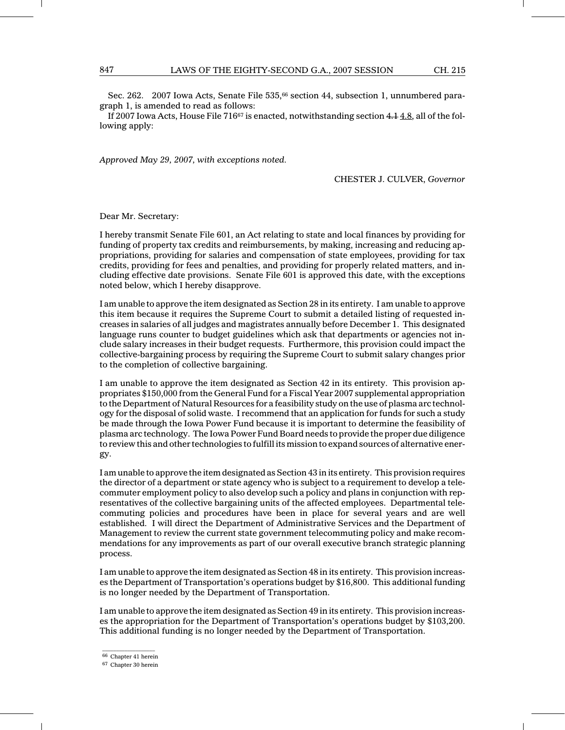Sec. 262. 2007 Iowa Acts, Senate File 535,<sup>66</sup> section 44, subsection 1, unnumbered paragraph 1, is amended to read as follows:

If 2007 Iowa Acts, House File  $716\%$  is enacted, notwithstanding section  $4.14.8$ , all of the following apply:

Approved May 29, 2007, with exceptions noted.

CHESTER J. CULVER, Governor

Dear Mr. Secretary:

I hereby transmit Senate File 601, an Act relating to state and local finances by providing for funding of property tax credits and reimbursements, by making, increasing and reducing appropriations, providing for salaries and compensation of state employees, providing for tax credits, providing for fees and penalties, and providing for properly related matters, and including effective date provisions. Senate File 601 is approved this date, with the exceptions noted below, which I hereby disapprove.

I am unable to approve the item designated as Section 28 in its entirety. I am unable to approve this item because it requires the Supreme Court to submit a detailed listing of requested increases in salaries of all judges and magistrates annually before December 1. This designated language runs counter to budget guidelines which ask that departments or agencies not include salary increases in their budget requests. Furthermore, this provision could impact the collective-bargaining process by requiring the Supreme Court to submit salary changes prior to the completion of collective bargaining.

I am unable to approve the item designated as Section 42 in its entirety. This provision appropriates \$150,000 from the General Fund for a Fiscal Year 2007 supplemental appropriation to the Department of Natural Resources for a feasibility study on the use of plasma arc technology for the disposal of solid waste. I recommend that an application for funds for such a study be made through the Iowa Power Fund because it is important to determine the feasibility of plasma arc technology. The Iowa Power Fund Board needs to provide the proper due diligence to review this and other technologies to fulfill its mission to expand sources of alternative energy.

I am unable to approve the item designated as Section 43 in its entirety. This provision requires the director of a department or state agency who is subject to a requirement to develop a telecommuter employment policy to also develop such a policy and plans in conjunction with representatives of the collective bargaining units of the affected employees. Departmental telecommuting policies and procedures have been in place for several years and are well established. I will direct the Department of Administrative Services and the Department of Management to review the current state government telecommuting policy and make recommendations for any improvements as part of our overall executive branch strategic planning process.

I am unable to approve the item designated as Section 48 in its entirety. This provision increases the Department of Transportation's operations budget by \$16,800. This additional funding is no longer needed by the Department of Transportation.

I am unable to approve the item designated as Section 49 in its entirety. This provision increases the appropriation for the Department of Transportation's operations budget by \$103,200. This additional funding is no longer needed by the Department of Transportation.

 $\mathcal{L}=\mathcal{L}$  , we can also the set of the set of the set of the set of the set of the set of the set of the set of the set of the set of the set of the set of the set of the set of the set of the set of the set of the s <sup>66</sup> Chapter 41 herein

<sup>67</sup> Chapter 30 herein